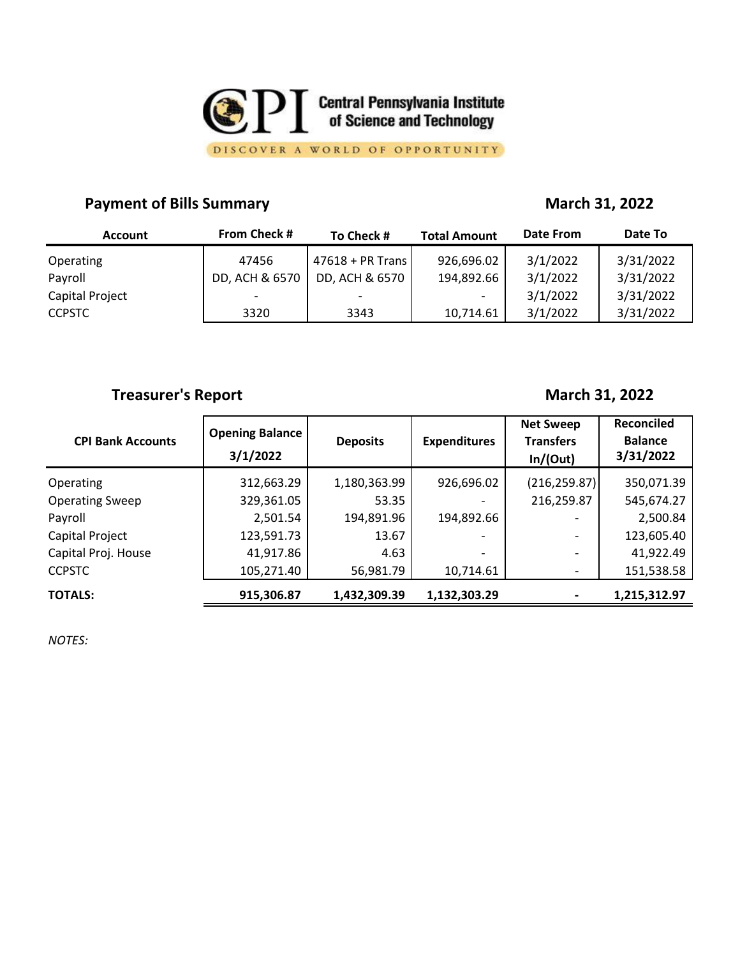

DISCOVER A WORLD OF OPPORTUNITY

### **Payment of Bills Summary March 31, 2022**

| <b>Account</b>  | <b>From Check #</b> | To Check #         | <b>Total Amount</b>      | <b>Date From</b> | Date To   |
|-----------------|---------------------|--------------------|--------------------------|------------------|-----------|
| Operating       | 47456               | $47618 + PR$ Trans | 926,696.02               | 3/1/2022         | 3/31/2022 |
| Payroll         | DD, ACH & 6570      | DD, ACH & 6570     | 194,892.66               | 3/1/2022         | 3/31/2022 |
| Capital Project | -                   |                    | $\overline{\phantom{0}}$ | 3/1/2022         | 3/31/2022 |
| <b>CCPSTC</b>   | 3320                | 3343               | 10,714.61                | 3/1/2022         | 3/31/2022 |

## **Treasurer's Report March 31, 2022**

| <b>CPI Bank Accounts</b> | <b>Opening Balance</b><br>3/1/2022 | <b>Deposits</b> | <b>Expenditures</b>          | <b>Net Sweep</b><br><b>Transfers</b><br>In/(Out) | <b>Reconciled</b><br><b>Balance</b><br>3/31/2022 |
|--------------------------|------------------------------------|-----------------|------------------------------|--------------------------------------------------|--------------------------------------------------|
| Operating                | 312,663.29                         | 1,180,363.99    | 926,696.02                   | (216, 259.87)                                    | 350,071.39                                       |
| <b>Operating Sweep</b>   | 329,361.05                         | 53.35           |                              | 216,259.87                                       | 545,674.27                                       |
| Payroll                  | 2,501.54                           | 194,891.96      | 194,892.66                   |                                                  | 2,500.84                                         |
| Capital Project          | 123,591.73                         | 13.67           |                              | $\overline{\phantom{0}}$                         | 123,605.40                                       |
| Capital Proj. House      | 41,917.86                          | 4.63            | $\qquad \qquad \blacksquare$ | $\overline{\phantom{0}}$                         | 41,922.49                                        |
| <b>CCPSTC</b>            | 105,271.40                         | 56,981.79       | 10,714.61                    | $\overline{\phantom{a}}$                         | 151,538.58                                       |
| <b>TOTALS:</b>           | 915,306.87                         | 1,432,309.39    | 1,132,303.29                 |                                                  | 1,215,312.97                                     |

*NOTES:*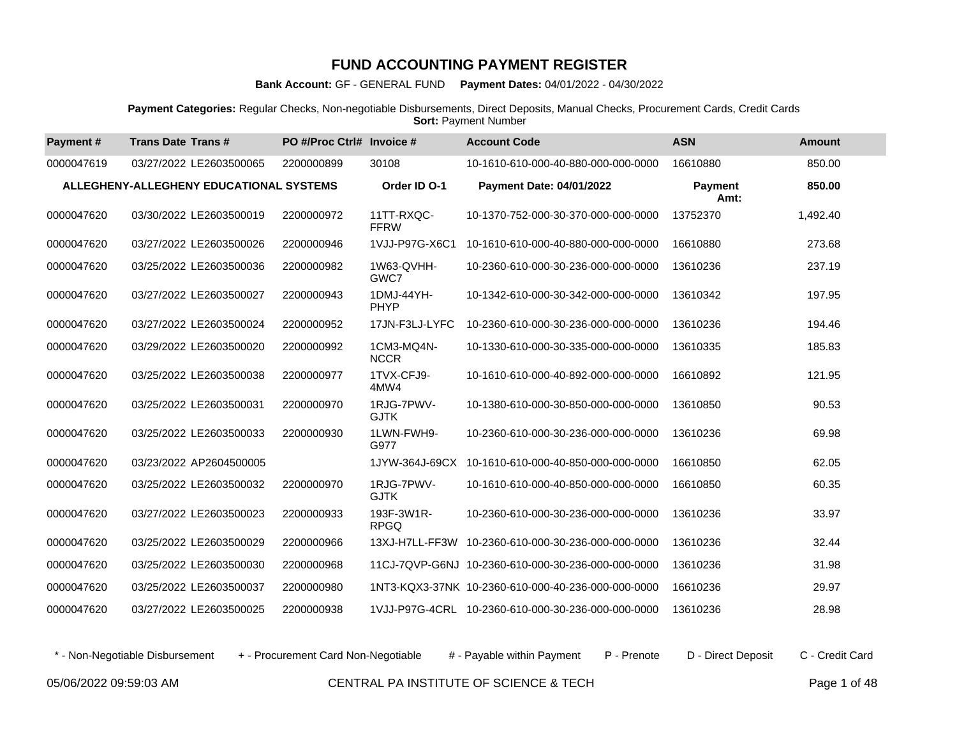**Bank Account:** GF - GENERAL FUND **Payment Dates:** 04/01/2022 - 04/30/2022

**Payment Categories:** Regular Checks, Non-negotiable Disbursements, Direct Deposits, Manual Checks, Procurement Cards, Credit Cards **Sort: Payment Number** 

| Payment#   | <b>Trans Date Trans#</b>                | PO #/Proc Ctrl# Invoice # |                           | <b>Account Code</b>                                | <b>ASN</b>             | <b>Amount</b> |
|------------|-----------------------------------------|---------------------------|---------------------------|----------------------------------------------------|------------------------|---------------|
| 0000047619 | 03/27/2022 LE2603500065                 | 2200000899                | 30108                     | 10-1610-610-000-40-880-000-000-0000                | 16610880               | 850.00        |
|            | ALLEGHENY-ALLEGHENY EDUCATIONAL SYSTEMS |                           | Order ID O-1              | <b>Payment Date: 04/01/2022</b>                    | <b>Payment</b><br>Amt: | 850.00        |
| 0000047620 | 03/30/2022 LE2603500019                 | 2200000972                | 11TT-RXQC-<br><b>FFRW</b> | 10-1370-752-000-30-370-000-000-0000                | 13752370               | 1,492.40      |
| 0000047620 | 03/27/2022 LE2603500026                 | 2200000946                | 1VJJ-P97G-X6C1            | 10-1610-610-000-40-880-000-000-0000                | 16610880               | 273.68        |
| 0000047620 | 03/25/2022 LE2603500036                 | 2200000982                | 1W63-QVHH-<br>GWC7        | 10-2360-610-000-30-236-000-000-0000                | 13610236               | 237.19        |
| 0000047620 | 03/27/2022 LE2603500027                 | 2200000943                | 1DMJ-44YH-<br>PHYP        | 10-1342-610-000-30-342-000-000-0000                | 13610342               | 197.95        |
| 0000047620 | 03/27/2022 LE2603500024                 | 2200000952                | 17JN-F3LJ-LYFC            | 10-2360-610-000-30-236-000-000-0000                | 13610236               | 194.46        |
| 0000047620 | 03/29/2022 LE2603500020                 | 2200000992                | 1CM3-MQ4N-<br><b>NCCR</b> | 10-1330-610-000-30-335-000-000-0000                | 13610335               | 185.83        |
| 0000047620 | 03/25/2022 LE2603500038                 | 2200000977                | 1TVX-CFJ9-<br>4MW4        | 10-1610-610-000-40-892-000-000-0000                | 16610892               | 121.95        |
| 0000047620 | 03/25/2022 LE2603500031                 | 2200000970                | 1RJG-7PWV-<br><b>GJTK</b> | 10-1380-610-000-30-850-000-000-0000                | 13610850               | 90.53         |
| 0000047620 | 03/25/2022 LE2603500033                 | 2200000930                | 1LWN-FWH9-<br>G977        | 10-2360-610-000-30-236-000-000-0000                | 13610236               | 69.98         |
| 0000047620 | 03/23/2022 AP2604500005                 |                           | 1JYW-364J-69CX            | 10-1610-610-000-40-850-000-000-0000                | 16610850               | 62.05         |
| 0000047620 | 03/25/2022 LE2603500032                 | 2200000970                | 1RJG-7PWV-<br><b>GJTK</b> | 10-1610-610-000-40-850-000-000-0000                | 16610850               | 60.35         |
| 0000047620 | 03/27/2022 LE2603500023                 | 2200000933                | 193F-3W1R-<br><b>RPGQ</b> | 10-2360-610-000-30-236-000-000-0000                | 13610236               | 33.97         |
| 0000047620 | 03/25/2022 LE2603500029                 | 2200000966                | 13XJ-H7LL-FF3W            | 10-2360-610-000-30-236-000-000-0000                | 13610236               | 32.44         |
| 0000047620 | 03/25/2022 LE2603500030                 | 2200000968                |                           | 11CJ-7QVP-G6NJ 10-2360-610-000-30-236-000-000-0000 | 13610236               | 31.98         |
| 0000047620 | 03/25/2022 LE2603500037                 | 2200000980                |                           | 1NT3-KQX3-37NK 10-2360-610-000-40-236-000-000-0000 | 16610236               | 29.97         |
| 0000047620 | 03/27/2022 LE2603500025                 | 2200000938                |                           | 1VJJ-P97G-4CRL 10-2360-610-000-30-236-000-000-0000 | 13610236               | 28.98         |

\* - Non-Negotiable Disbursement + - Procurement Card Non-Negotiable # - Payable within Payment P - Prenote D - Direct Deposit C - Credit Card

05/06/2022 09:59:03 AM CENTRAL PA INSTITUTE OF SCIENCE & TECH Page 1 of 48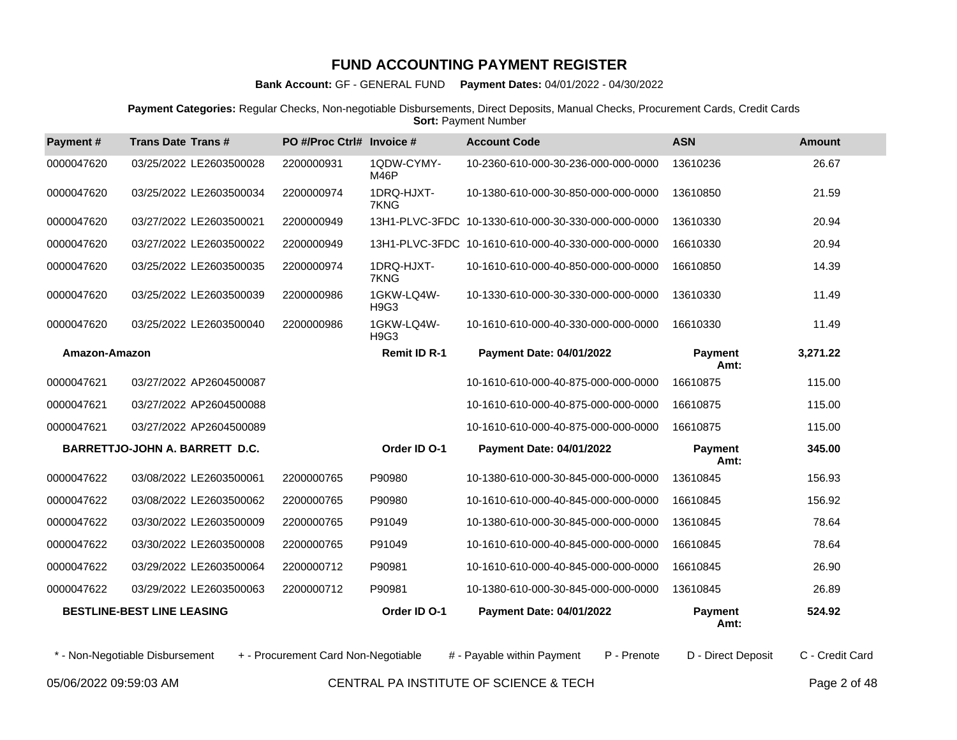**Bank Account:** GF - GENERAL FUND **Payment Dates:** 04/01/2022 - 04/30/2022

**Payment Categories:** Regular Checks, Non-negotiable Disbursements, Direct Deposits, Manual Checks, Procurement Cards, Credit Cards **Sort: Payment Number** 

| Payment#      | <b>Trans Date Trans#</b>          | PO #/Proc Ctrl# Invoice #           |                           | <b>Account Code</b>                                | <b>ASN</b>             | <b>Amount</b>   |
|---------------|-----------------------------------|-------------------------------------|---------------------------|----------------------------------------------------|------------------------|-----------------|
| 0000047620    | 03/25/2022 LE2603500028           | 2200000931                          | 1QDW-CYMY-<br><b>M46P</b> | 10-2360-610-000-30-236-000-000-0000                | 13610236               | 26.67           |
| 0000047620    | 03/25/2022 LE2603500034           | 2200000974                          | 1DRQ-HJXT-<br>7KNG        | 10-1380-610-000-30-850-000-000-0000                | 13610850               | 21.59           |
| 0000047620    | 03/27/2022 LE2603500021           | 2200000949                          |                           | 13H1-PLVC-3FDC 10-1330-610-000-30-330-000-000-0000 | 13610330               | 20.94           |
| 0000047620    | 03/27/2022 LE2603500022           | 2200000949                          |                           | 13H1-PLVC-3FDC 10-1610-610-000-40-330-000-000-0000 | 16610330               | 20.94           |
| 0000047620    | 03/25/2022 LE2603500035           | 2200000974                          | 1DRQ-HJXT-<br>7KNG        | 10-1610-610-000-40-850-000-000-0000                | 16610850               | 14.39           |
| 0000047620    | 03/25/2022 LE2603500039           | 2200000986                          | 1GKW-LQ4W-<br>H9G3        | 10-1330-610-000-30-330-000-000-0000                | 13610330               | 11.49           |
| 0000047620    | 03/25/2022 LE2603500040           | 2200000986                          | 1GKW-LQ4W-<br>H9G3        | 10-1610-610-000-40-330-000-000-0000                | 16610330               | 11.49           |
| Amazon-Amazon |                                   |                                     | <b>Remit ID R-1</b>       | <b>Payment Date: 04/01/2022</b>                    | <b>Payment</b><br>Amt: | 3,271.22        |
| 0000047621    | 03/27/2022 AP2604500087           |                                     |                           | 10-1610-610-000-40-875-000-000-0000                | 16610875               | 115.00          |
| 0000047621    | 03/27/2022 AP2604500088           |                                     |                           | 10-1610-610-000-40-875-000-000-0000                | 16610875               | 115.00          |
| 0000047621    | 03/27/2022 AP2604500089           |                                     |                           | 10-1610-610-000-40-875-000-000-0000                | 16610875               | 115.00          |
|               | BARRETTJO-JOHN A. BARRETT D.C.    |                                     | Order ID O-1              | <b>Payment Date: 04/01/2022</b>                    | <b>Payment</b><br>Amt: | 345.00          |
| 0000047622    | 03/08/2022 LE2603500061           | 2200000765                          | P90980                    | 10-1380-610-000-30-845-000-000-0000                | 13610845               | 156.93          |
| 0000047622    | 03/08/2022 LE2603500062           | 2200000765                          | P90980                    | 10-1610-610-000-40-845-000-000-0000                | 16610845               | 156.92          |
| 0000047622    | 03/30/2022 LE2603500009           | 2200000765                          | P91049                    | 10-1380-610-000-30-845-000-000-0000                | 13610845               | 78.64           |
| 0000047622    | 03/30/2022 LE2603500008           | 2200000765                          | P91049                    | 10-1610-610-000-40-845-000-000-0000                | 16610845               | 78.64           |
| 0000047622    | 03/29/2022 LE2603500064           | 2200000712                          | P90981                    | 10-1610-610-000-40-845-000-000-0000                | 16610845               | 26.90           |
| 0000047622    | 03/29/2022 LE2603500063           | 2200000712                          | P90981                    | 10-1380-610-000-30-845-000-000-0000                | 13610845               | 26.89           |
|               | <b>BESTLINE-BEST LINE LEASING</b> |                                     | Order ID O-1              | <b>Payment Date: 04/01/2022</b>                    | <b>Payment</b><br>Amt: | 524.92          |
|               | * - Non-Negotiable Disbursement   | + - Procurement Card Non-Negotiable |                           | # - Payable within Payment<br>P - Prenote          | D - Direct Deposit     | C - Credit Card |

05/06/2022 09:59:03 AM CENTRAL PA INSTITUTE OF SCIENCE & TECH Page 2 of 48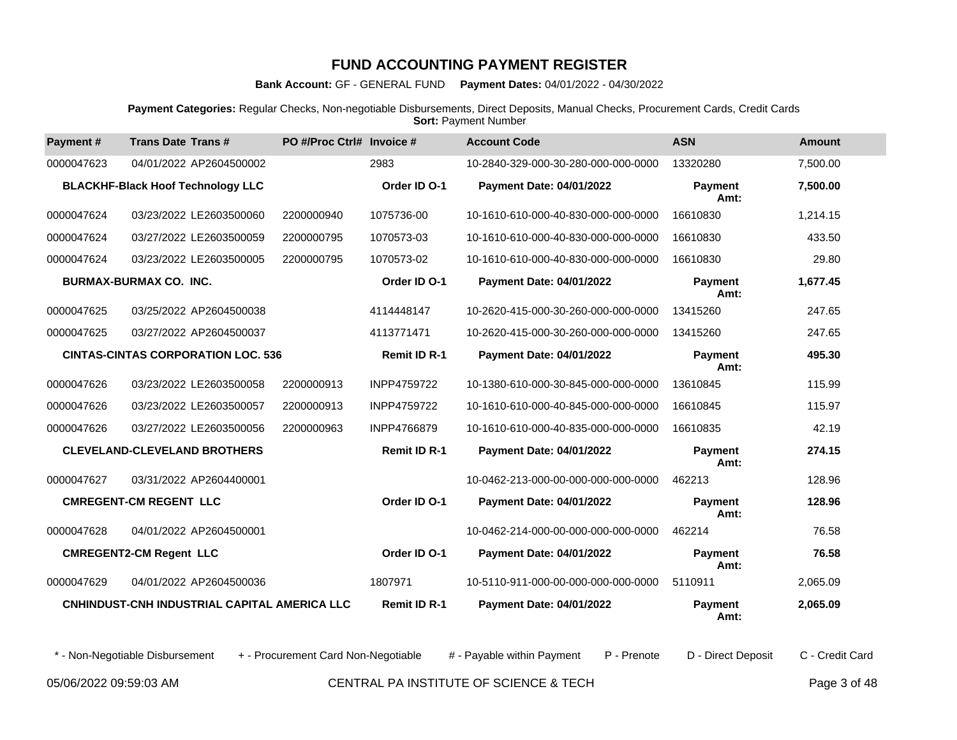**Bank Account:** GF - GENERAL FUND **Payment Dates:** 04/01/2022 - 04/30/2022

**Payment Categories:** Regular Checks, Non-negotiable Disbursements, Direct Deposits, Manual Checks, Procurement Cards, Credit Cards **Sort: Payment Number** 

| Payment#   | <b>Trans Date Trans#</b>                     | PO #/Proc Ctrl# Invoice # |                     | <b>Account Code</b>                 | <b>ASN</b>             | <b>Amount</b> |
|------------|----------------------------------------------|---------------------------|---------------------|-------------------------------------|------------------------|---------------|
| 0000047623 | 04/01/2022 AP2604500002                      |                           | 2983                | 10-2840-329-000-30-280-000-000-0000 | 13320280               | 7,500.00      |
|            | <b>BLACKHF-Black Hoof Technology LLC</b>     |                           | Order ID O-1        | <b>Payment Date: 04/01/2022</b>     | <b>Payment</b><br>Amt: | 7,500.00      |
| 0000047624 | 03/23/2022 LE2603500060                      | 2200000940                | 1075736-00          | 10-1610-610-000-40-830-000-000-0000 | 16610830               | 1,214.15      |
| 0000047624 | 03/27/2022 LE2603500059                      | 2200000795                | 1070573-03          | 10-1610-610-000-40-830-000-000-0000 | 16610830               | 433.50        |
| 0000047624 | 03/23/2022 LE2603500005                      | 2200000795                | 1070573-02          | 10-1610-610-000-40-830-000-000-0000 | 16610830               | 29.80         |
|            | <b>BURMAX-BURMAX CO. INC.</b>                |                           | Order ID O-1        | <b>Payment Date: 04/01/2022</b>     | <b>Payment</b><br>Amt: | 1,677.45      |
| 0000047625 | 03/25/2022 AP2604500038                      |                           | 4114448147          | 10-2620-415-000-30-260-000-000-0000 | 13415260               | 247.65        |
| 0000047625 | 03/27/2022 AP2604500037                      |                           | 4113771471          | 10-2620-415-000-30-260-000-000-0000 | 13415260               | 247.65        |
|            | <b>CINTAS-CINTAS CORPORATION LOC. 536</b>    |                           | <b>Remit ID R-1</b> | <b>Payment Date: 04/01/2022</b>     | <b>Payment</b><br>Amt: | 495.30        |
| 0000047626 | 03/23/2022 LE2603500058                      | 2200000913                | INPP4759722         | 10-1380-610-000-30-845-000-000-0000 | 13610845               | 115.99        |
| 0000047626 | 03/23/2022 LE2603500057                      | 2200000913                | INPP4759722         | 10-1610-610-000-40-845-000-000-0000 | 16610845               | 115.97        |
| 0000047626 | 03/27/2022 LE2603500056                      | 2200000963                | INPP4766879         | 10-1610-610-000-40-835-000-000-0000 | 16610835               | 42.19         |
|            | <b>CLEVELAND-CLEVELAND BROTHERS</b>          |                           | <b>Remit ID R-1</b> | <b>Payment Date: 04/01/2022</b>     | Payment<br>Amt:        | 274.15        |
| 0000047627 | 03/31/2022 AP2604400001                      |                           |                     | 10-0462-213-000-00-000-000-000-0000 | 462213                 | 128.96        |
|            | <b>CMREGENT-CM REGENT LLC</b>                |                           | Order ID O-1        | Payment Date: 04/01/2022            | Payment<br>Amt:        | 128.96        |
| 0000047628 | 04/01/2022 AP2604500001                      |                           |                     | 10-0462-214-000-00-000-000-000-0000 | 462214                 | 76.58         |
|            | <b>CMREGENT2-CM Regent LLC</b>               |                           | Order ID O-1        | <b>Payment Date: 04/01/2022</b>     | Payment<br>Amt:        | 76.58         |
| 0000047629 | 04/01/2022 AP2604500036                      |                           | 1807971             | 10-5110-911-000-00-000-000-000-0000 | 5110911                | 2,065.09      |
|            | CNHINDUST-CNH INDUSTRIAL CAPITAL AMERICA LLC |                           | <b>Remit ID R-1</b> | <b>Payment Date: 04/01/2022</b>     | <b>Payment</b><br>Amt: | 2,065.09      |

\* - Non-Negotiable Disbursement + - Procurement Card Non-Negotiable # - Payable within Payment P - Prenote D - Direct Deposit C - Credit Card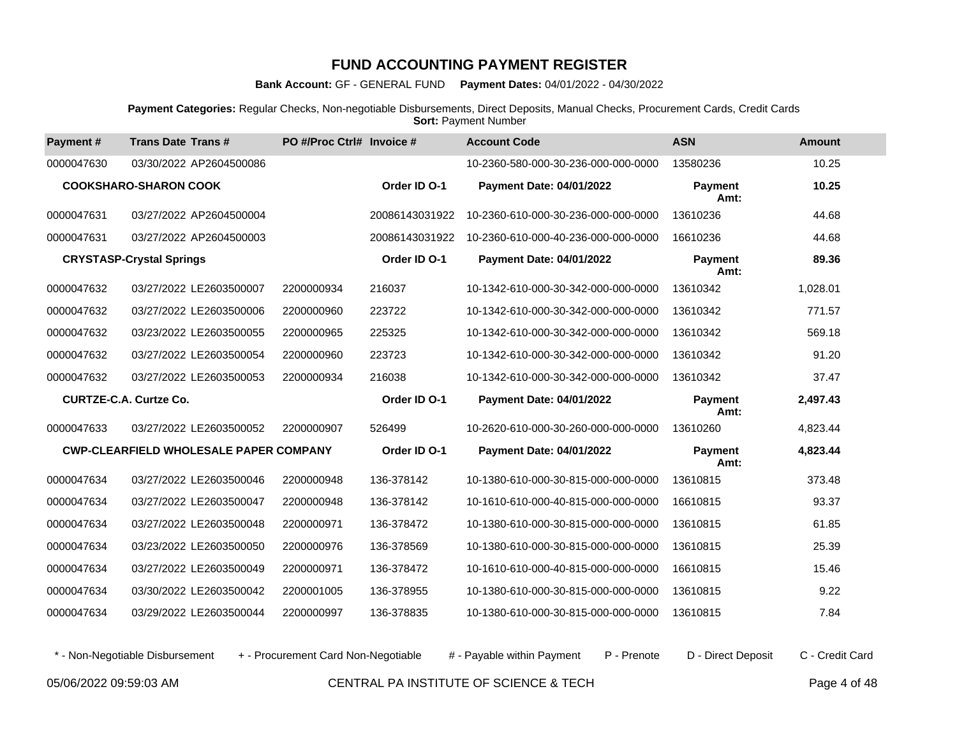**Bank Account:** GF - GENERAL FUND **Payment Dates:** 04/01/2022 - 04/30/2022

**Payment Categories:** Regular Checks, Non-negotiable Disbursements, Direct Deposits, Manual Checks, Procurement Cards, Credit Cards **Sort: Payment Number** 

| Payment#                      | <b>Trans Date Trans#</b>                      | PO #/Proc Ctrl# Invoice # |                | <b>Account Code</b>                 | <b>ASN</b>             | <b>Amount</b> |
|-------------------------------|-----------------------------------------------|---------------------------|----------------|-------------------------------------|------------------------|---------------|
| 0000047630                    | 03/30/2022 AP2604500086                       |                           |                | 10-2360-580-000-30-236-000-000-0000 | 13580236               | 10.25         |
|                               | <b>COOKSHARO-SHARON COOK</b>                  |                           | Order ID O-1   | <b>Payment Date: 04/01/2022</b>     | <b>Payment</b><br>Amt: | 10.25         |
| 0000047631                    | 03/27/2022 AP2604500004                       |                           | 20086143031922 | 10-2360-610-000-30-236-000-000-0000 | 13610236               | 44.68         |
| 0000047631                    | 03/27/2022 AP2604500003                       |                           | 20086143031922 | 10-2360-610-000-40-236-000-000-0000 | 16610236               | 44.68         |
|                               | <b>CRYSTASP-Crystal Springs</b>               |                           | Order ID O-1   | Payment Date: 04/01/2022            | <b>Payment</b><br>Amt: | 89.36         |
| 0000047632                    | 03/27/2022 LE2603500007                       | 2200000934                | 216037         | 10-1342-610-000-30-342-000-000-0000 | 13610342               | 1,028.01      |
| 0000047632                    | 03/27/2022 LE2603500006                       | 2200000960                | 223722         | 10-1342-610-000-30-342-000-000-0000 | 13610342               | 771.57        |
| 0000047632                    | 03/23/2022 LE2603500055                       | 2200000965                | 225325         | 10-1342-610-000-30-342-000-000-0000 | 13610342               | 569.18        |
| 0000047632                    | 03/27/2022 LE2603500054                       | 2200000960                | 223723         | 10-1342-610-000-30-342-000-000-0000 | 13610342               | 91.20         |
| 0000047632                    | 03/27/2022 LE2603500053                       | 2200000934                | 216038         | 10-1342-610-000-30-342-000-000-0000 | 13610342               | 37.47         |
| <b>CURTZE-C.A. Curtze Co.</b> |                                               |                           | Order ID O-1   | Payment Date: 04/01/2022            | <b>Payment</b><br>Amt: | 2,497.43      |
| 0000047633                    | 03/27/2022 LE2603500052                       | 2200000907                | 526499         | 10-2620-610-000-30-260-000-000-0000 | 13610260               | 4,823.44      |
|                               | <b>CWP-CLEARFIELD WHOLESALE PAPER COMPANY</b> |                           | Order ID O-1   | Payment Date: 04/01/2022            | <b>Payment</b><br>Amt: | 4,823.44      |
| 0000047634                    | 03/27/2022 LE2603500046                       | 2200000948                | 136-378142     | 10-1380-610-000-30-815-000-000-0000 | 13610815               | 373.48        |
| 0000047634                    | 03/27/2022 LE2603500047                       | 2200000948                | 136-378142     | 10-1610-610-000-40-815-000-000-0000 | 16610815               | 93.37         |
| 0000047634                    | 03/27/2022 LE2603500048                       | 2200000971                | 136-378472     | 10-1380-610-000-30-815-000-000-0000 | 13610815               | 61.85         |
| 0000047634                    | 03/23/2022 LE2603500050                       | 2200000976                | 136-378569     | 10-1380-610-000-30-815-000-000-0000 | 13610815               | 25.39         |
| 0000047634                    | 03/27/2022 LE2603500049                       | 2200000971                | 136-378472     | 10-1610-610-000-40-815-000-000-0000 | 16610815               | 15.46         |
| 0000047634                    | 03/30/2022 LE2603500042                       | 2200001005                | 136-378955     | 10-1380-610-000-30-815-000-000-0000 | 13610815               | 9.22          |
| 0000047634                    | 03/29/2022 LE2603500044                       | 2200000997                | 136-378835     | 10-1380-610-000-30-815-000-000-0000 | 13610815               | 7.84          |

\* - Non-Negotiable Disbursement + - Procurement Card Non-Negotiable # - Payable within Payment P - Prenote D - Direct Deposit C - Credit Card

05/06/2022 09:59:03 AM CENTRAL PA INSTITUTE OF SCIENCE & TECH Page 4 of 48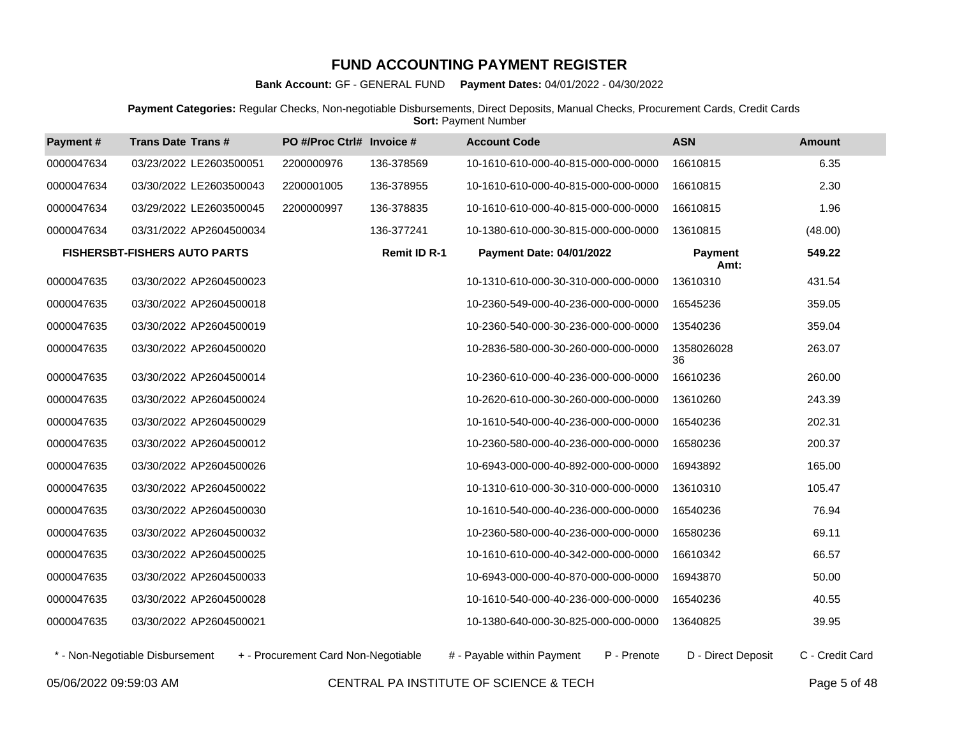**Bank Account:** GF - GENERAL FUND **Payment Dates:** 04/01/2022 - 04/30/2022

**Payment Categories:** Regular Checks, Non-negotiable Disbursements, Direct Deposits, Manual Checks, Procurement Cards, Credit Cards **Sort: Payment Number** 

| Payment#   | <b>Trans Date Trans#</b>            | PO #/Proc Ctrl# Invoice # |                     | <b>Account Code</b>                 | <b>ASN</b>             | <b>Amount</b> |
|------------|-------------------------------------|---------------------------|---------------------|-------------------------------------|------------------------|---------------|
| 0000047634 | 03/23/2022 LE2603500051             | 2200000976                | 136-378569          | 10-1610-610-000-40-815-000-000-0000 | 16610815               | 6.35          |
| 0000047634 | 03/30/2022 LE2603500043             | 2200001005                | 136-378955          | 10-1610-610-000-40-815-000-000-0000 | 16610815               | 2.30          |
| 0000047634 | 03/29/2022 LE2603500045             | 2200000997                | 136-378835          | 10-1610-610-000-40-815-000-000-0000 | 16610815               | 1.96          |
| 0000047634 | 03/31/2022 AP2604500034             |                           | 136-377241          | 10-1380-610-000-30-815-000-000-0000 | 13610815               | (48.00)       |
|            | <b>FISHERSBT-FISHERS AUTO PARTS</b> |                           | <b>Remit ID R-1</b> | <b>Payment Date: 04/01/2022</b>     | <b>Payment</b><br>Amt: | 549.22        |
| 0000047635 | 03/30/2022 AP2604500023             |                           |                     | 10-1310-610-000-30-310-000-000-0000 | 13610310               | 431.54        |
| 0000047635 | 03/30/2022 AP2604500018             |                           |                     | 10-2360-549-000-40-236-000-000-0000 | 16545236               | 359.05        |
| 0000047635 | 03/30/2022 AP2604500019             |                           |                     | 10-2360-540-000-30-236-000-000-0000 | 13540236               | 359.04        |
| 0000047635 | 03/30/2022 AP2604500020             |                           |                     | 10-2836-580-000-30-260-000-000-0000 | 1358026028<br>36       | 263.07        |
| 0000047635 | 03/30/2022 AP2604500014             |                           |                     | 10-2360-610-000-40-236-000-000-0000 | 16610236               | 260.00        |
| 0000047635 | 03/30/2022 AP2604500024             |                           |                     | 10-2620-610-000-30-260-000-000-0000 | 13610260               | 243.39        |
| 0000047635 | 03/30/2022 AP2604500029             |                           |                     | 10-1610-540-000-40-236-000-000-0000 | 16540236               | 202.31        |
| 0000047635 | 03/30/2022 AP2604500012             |                           |                     | 10-2360-580-000-40-236-000-000-0000 | 16580236               | 200.37        |
| 0000047635 | 03/30/2022 AP2604500026             |                           |                     | 10-6943-000-000-40-892-000-000-0000 | 16943892               | 165.00        |
| 0000047635 | 03/30/2022 AP2604500022             |                           |                     | 10-1310-610-000-30-310-000-000-0000 | 13610310               | 105.47        |
| 0000047635 | 03/30/2022 AP2604500030             |                           |                     | 10-1610-540-000-40-236-000-000-0000 | 16540236               | 76.94         |
| 0000047635 | 03/30/2022 AP2604500032             |                           |                     | 10-2360-580-000-40-236-000-000-0000 | 16580236               | 69.11         |
| 0000047635 | 03/30/2022 AP2604500025             |                           |                     | 10-1610-610-000-40-342-000-000-0000 | 16610342               | 66.57         |
| 0000047635 | 03/30/2022 AP2604500033             |                           |                     | 10-6943-000-000-40-870-000-000-0000 | 16943870               | 50.00         |
| 0000047635 | 03/30/2022 AP2604500028             |                           |                     | 10-1610-540-000-40-236-000-000-0000 | 16540236               | 40.55         |
| 0000047635 | 03/30/2022 AP2604500021             |                           |                     | 10-1380-640-000-30-825-000-000-0000 | 13640825               | 39.95         |

\* - Non-Negotiable Disbursement + - Procurement Card Non-Negotiable # - Payable within Payment P - Prenote D - Direct Deposit C - Credit Card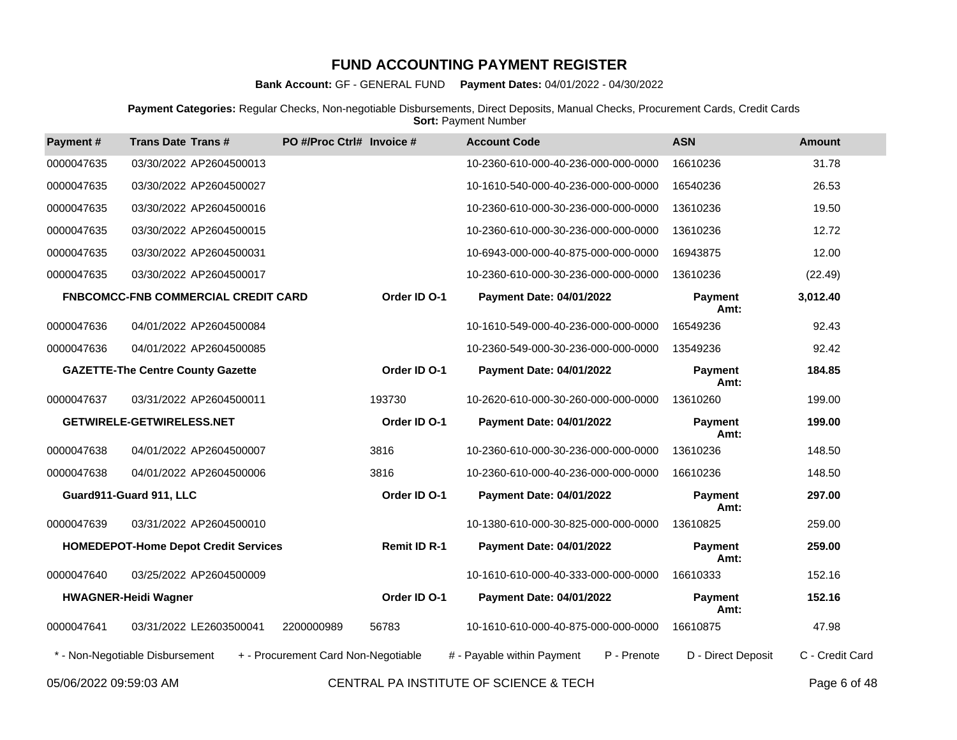**Bank Account:** GF - GENERAL FUND **Payment Dates:** 04/01/2022 - 04/30/2022

**Payment Categories:** Regular Checks, Non-negotiable Disbursements, Direct Deposits, Manual Checks, Procurement Cards, Credit Cards **Sort: Payment Number** 

| Payment#   | <b>Trans Date Trans#</b>                    | PO #/Proc Ctrl# Invoice #           |                     | <b>Account Code</b>                       | <b>ASN</b>             | <b>Amount</b>   |
|------------|---------------------------------------------|-------------------------------------|---------------------|-------------------------------------------|------------------------|-----------------|
| 0000047635 | 03/30/2022 AP2604500013                     |                                     |                     | 10-2360-610-000-40-236-000-000-0000       | 16610236               | 31.78           |
| 0000047635 | 03/30/2022 AP2604500027                     |                                     |                     | 10-1610-540-000-40-236-000-000-0000       | 16540236               | 26.53           |
| 0000047635 | 03/30/2022 AP2604500016                     |                                     |                     | 10-2360-610-000-30-236-000-000-0000       | 13610236               | 19.50           |
| 0000047635 | 03/30/2022 AP2604500015                     |                                     |                     | 10-2360-610-000-30-236-000-000-0000       | 13610236               | 12.72           |
| 0000047635 | 03/30/2022 AP2604500031                     |                                     |                     | 10-6943-000-000-40-875-000-000-0000       | 16943875               | 12.00           |
| 0000047635 | 03/30/2022 AP2604500017                     |                                     |                     | 10-2360-610-000-30-236-000-000-0000       | 13610236               | (22.49)         |
|            | <b>FNBCOMCC-FNB COMMERCIAL CREDIT CARD</b>  |                                     | Order ID O-1        | <b>Payment Date: 04/01/2022</b>           | <b>Payment</b><br>Amt: | 3,012.40        |
| 0000047636 | 04/01/2022 AP2604500084                     |                                     |                     | 10-1610-549-000-40-236-000-000-0000       | 16549236               | 92.43           |
| 0000047636 | 04/01/2022 AP2604500085                     |                                     |                     | 10-2360-549-000-30-236-000-000-0000       | 13549236               | 92.42           |
|            | <b>GAZETTE-The Centre County Gazette</b>    |                                     | Order ID O-1        | <b>Payment Date: 04/01/2022</b>           | <b>Payment</b><br>Amt: | 184.85          |
| 0000047637 | 03/31/2022 AP2604500011                     |                                     | 193730              | 10-2620-610-000-30-260-000-000-0000       | 13610260               | 199.00          |
|            | <b>GETWIRELE-GETWIRELESS.NET</b>            |                                     | Order ID O-1        | <b>Payment Date: 04/01/2022</b>           | <b>Payment</b><br>Amt: | 199.00          |
| 0000047638 | 04/01/2022 AP2604500007                     |                                     | 3816                | 10-2360-610-000-30-236-000-000-0000       | 13610236               | 148.50          |
| 0000047638 | 04/01/2022 AP2604500006                     |                                     | 3816                | 10-2360-610-000-40-236-000-000-0000       | 16610236               | 148.50          |
|            | Guard911-Guard 911, LLC                     |                                     | Order ID O-1        | <b>Payment Date: 04/01/2022</b>           | <b>Payment</b><br>Amt: | 297.00          |
| 0000047639 | 03/31/2022 AP2604500010                     |                                     |                     | 10-1380-610-000-30-825-000-000-0000       | 13610825               | 259.00          |
|            | <b>HOMEDEPOT-Home Depot Credit Services</b> |                                     | <b>Remit ID R-1</b> | <b>Payment Date: 04/01/2022</b>           | <b>Payment</b><br>Amt: | 259.00          |
| 0000047640 | 03/25/2022 AP2604500009                     |                                     |                     | 10-1610-610-000-40-333-000-000-0000       | 16610333               | 152.16          |
|            | <b>HWAGNER-Heidi Wagner</b>                 |                                     | Order ID O-1        | <b>Payment Date: 04/01/2022</b>           | Payment<br>Amt:        | 152.16          |
| 0000047641 | 03/31/2022 LE2603500041                     | 2200000989                          | 56783               | 10-1610-610-000-40-875-000-000-0000       | 16610875               | 47.98           |
|            | * - Non-Negotiable Disbursement             | + - Procurement Card Non-Negotiable |                     | # - Payable within Payment<br>P - Prenote | D - Direct Deposit     | C - Credit Card |
|            |                                             |                                     |                     |                                           |                        |                 |

05/06/2022 09:59:03 AM CENTRAL PA INSTITUTE OF SCIENCE & TECH Page 6 of 48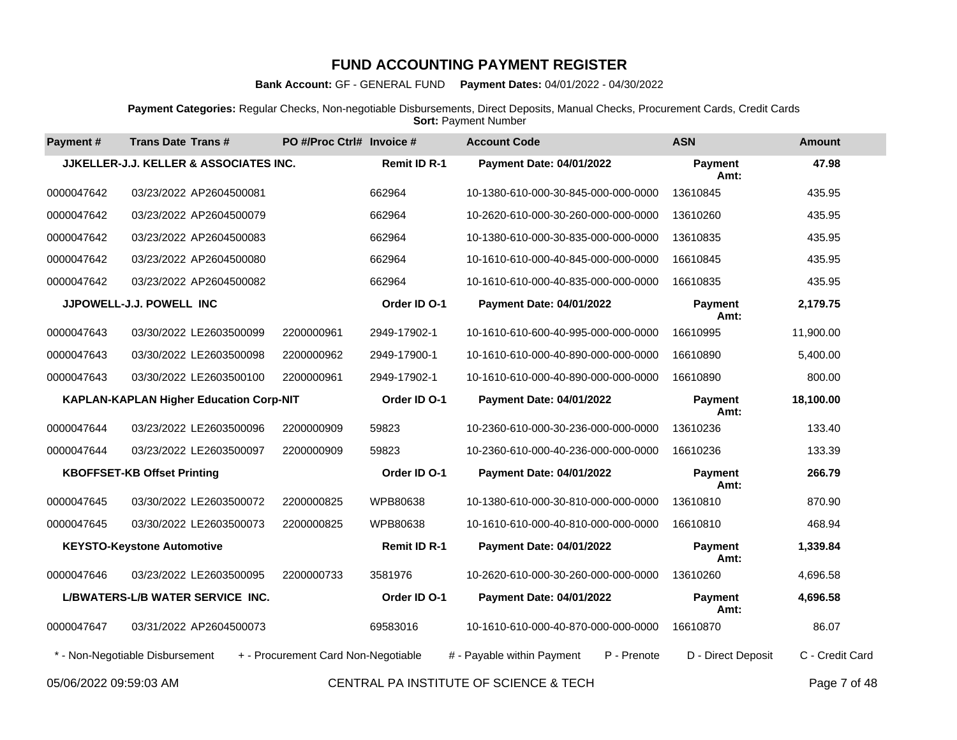**Bank Account:** GF - GENERAL FUND **Payment Dates:** 04/01/2022 - 04/30/2022

**Payment Categories:** Regular Checks, Non-negotiable Disbursements, Direct Deposits, Manual Checks, Procurement Cards, Credit Cards **Sort: Payment Number** 

| Payment#               | <b>Trans Date Trans#</b>                       | PO #/Proc Ctrl# Invoice #           |                     | <b>Account Code</b>                       | <b>ASN</b>             | <b>Amount</b>   |
|------------------------|------------------------------------------------|-------------------------------------|---------------------|-------------------------------------------|------------------------|-----------------|
|                        | JJKELLER-J.J. KELLER & ASSOCIATES INC.         |                                     | <b>Remit ID R-1</b> | <b>Payment Date: 04/01/2022</b>           | Payment<br>Amt:        | 47.98           |
| 0000047642             | 03/23/2022 AP2604500081                        |                                     | 662964              | 10-1380-610-000-30-845-000-000-0000       | 13610845               | 435.95          |
| 0000047642             | 03/23/2022 AP2604500079                        |                                     | 662964              | 10-2620-610-000-30-260-000-000-0000       | 13610260               | 435.95          |
| 0000047642             | 03/23/2022 AP2604500083                        |                                     | 662964              | 10-1380-610-000-30-835-000-000-0000       | 13610835               | 435.95          |
| 0000047642             | 03/23/2022 AP2604500080                        |                                     | 662964              | 10-1610-610-000-40-845-000-000-0000       | 16610845               | 435.95          |
| 0000047642             | 03/23/2022 AP2604500082                        |                                     | 662964              | 10-1610-610-000-40-835-000-000-0000       | 16610835               | 435.95          |
|                        | JJPOWELL-J.J. POWELL INC                       |                                     | Order ID O-1        | <b>Payment Date: 04/01/2022</b>           | Payment<br>Amt:        | 2,179.75        |
| 0000047643             | 03/30/2022 LE2603500099                        | 2200000961                          | 2949-17902-1        | 10-1610-610-600-40-995-000-000-0000       | 16610995               | 11,900.00       |
| 0000047643             | 03/30/2022 LE2603500098                        | 2200000962                          | 2949-17900-1        | 10-1610-610-000-40-890-000-000-0000       | 16610890               | 5,400.00        |
| 0000047643             | 03/30/2022 LE2603500100                        | 2200000961                          | 2949-17902-1        | 10-1610-610-000-40-890-000-000-0000       | 16610890               | 800.00          |
|                        | <b>KAPLAN-KAPLAN Higher Education Corp-NIT</b> |                                     | Order ID O-1        | Payment Date: 04/01/2022                  | <b>Payment</b><br>Amt: | 18,100.00       |
| 0000047644             | 03/23/2022 LE2603500096                        | 2200000909                          | 59823               | 10-2360-610-000-30-236-000-000-0000       | 13610236               | 133.40          |
| 0000047644             | 03/23/2022 LE2603500097                        | 2200000909                          | 59823               | 10-2360-610-000-40-236-000-000-0000       | 16610236               | 133.39          |
|                        | <b>KBOFFSET-KB Offset Printing</b>             |                                     | Order ID O-1        | <b>Payment Date: 04/01/2022</b>           | <b>Payment</b><br>Amt: | 266.79          |
| 0000047645             | 03/30/2022 LE2603500072                        | 2200000825                          | WPB80638            | 10-1380-610-000-30-810-000-000-0000       | 13610810               | 870.90          |
| 0000047645             | 03/30/2022 LE2603500073                        | 2200000825                          | WPB80638            | 10-1610-610-000-40-810-000-000-0000       | 16610810               | 468.94          |
|                        | <b>KEYSTO-Keystone Automotive</b>              |                                     | <b>Remit ID R-1</b> | Payment Date: 04/01/2022                  | <b>Payment</b><br>Amt: | 1,339.84        |
| 0000047646             | 03/23/2022 LE2603500095                        | 2200000733                          | 3581976             | 10-2620-610-000-30-260-000-000-0000       | 13610260               | 4,696.58        |
|                        | L/BWATERS-L/B WATER SERVICE INC.               |                                     | Order ID O-1        | <b>Payment Date: 04/01/2022</b>           | <b>Payment</b><br>Amt: | 4,696.58        |
| 0000047647             | 03/31/2022 AP2604500073                        |                                     | 69583016            | 10-1610-610-000-40-870-000-000-0000       | 16610870               | 86.07           |
|                        | * - Non-Negotiable Disbursement                | + - Procurement Card Non-Negotiable |                     | P - Prenote<br># - Payable within Payment | D - Direct Deposit     | C - Credit Card |
| 05/06/2022 09:59:03 AM |                                                |                                     |                     | CENTRAL PA INSTITUTE OF SCIENCE & TECH    |                        | Page 7 of 48    |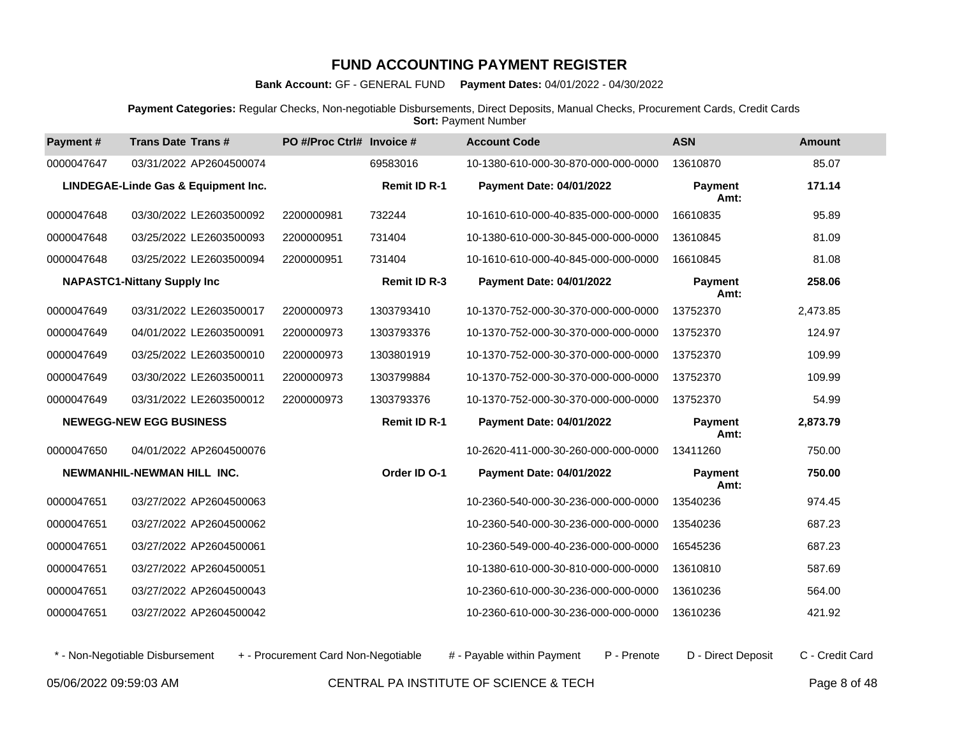**Bank Account:** GF - GENERAL FUND **Payment Dates:** 04/01/2022 - 04/30/2022

**Payment Categories:** Regular Checks, Non-negotiable Disbursements, Direct Deposits, Manual Checks, Procurement Cards, Credit Cards **Sort: Payment Number** 

| Payment#   | <b>Trans Date Trans#</b>            | PO #/Proc Ctrl# Invoice # |                     | <b>Account Code</b>                 | <b>ASN</b>             | <b>Amount</b> |
|------------|-------------------------------------|---------------------------|---------------------|-------------------------------------|------------------------|---------------|
| 0000047647 | 03/31/2022 AP2604500074             |                           | 69583016            | 10-1380-610-000-30-870-000-000-0000 | 13610870               | 85.07         |
|            | LINDEGAE-Linde Gas & Equipment Inc. |                           | <b>Remit ID R-1</b> | <b>Payment Date: 04/01/2022</b>     | Payment<br>Amt:        | 171.14        |
| 0000047648 | 03/30/2022 LE2603500092             | 2200000981                | 732244              | 10-1610-610-000-40-835-000-000-0000 | 16610835               | 95.89         |
| 0000047648 | 03/25/2022 LE2603500093             | 2200000951                | 731404              | 10-1380-610-000-30-845-000-000-0000 | 13610845               | 81.09         |
| 0000047648 | 03/25/2022 LE2603500094             | 2200000951                | 731404              | 10-1610-610-000-40-845-000-000-0000 | 16610845               | 81.08         |
|            | <b>NAPASTC1-Nittany Supply Inc</b>  |                           | <b>Remit ID R-3</b> | Payment Date: 04/01/2022            | <b>Payment</b><br>Amt: | 258.06        |
| 0000047649 | 03/31/2022 LE2603500017             | 2200000973                | 1303793410          | 10-1370-752-000-30-370-000-000-0000 | 13752370               | 2,473.85      |
| 0000047649 | 04/01/2022 LE2603500091             | 2200000973                | 1303793376          | 10-1370-752-000-30-370-000-000-0000 | 13752370               | 124.97        |
| 0000047649 | 03/25/2022 LE2603500010             | 2200000973                | 1303801919          | 10-1370-752-000-30-370-000-000-0000 | 13752370               | 109.99        |
| 0000047649 | 03/30/2022 LE2603500011             | 2200000973                | 1303799884          | 10-1370-752-000-30-370-000-000-0000 | 13752370               | 109.99        |
| 0000047649 | 03/31/2022 LE2603500012             | 2200000973                | 1303793376          | 10-1370-752-000-30-370-000-000-0000 | 13752370               | 54.99         |
|            | <b>NEWEGG-NEW EGG BUSINESS</b>      |                           | <b>Remit ID R-1</b> | <b>Payment Date: 04/01/2022</b>     | <b>Payment</b><br>Amt: | 2,873.79      |
| 0000047650 | 04/01/2022 AP2604500076             |                           |                     | 10-2620-411-000-30-260-000-000-0000 | 13411260               | 750.00        |
|            | NEWMANHIL-NEWMAN HILL INC.          |                           | Order ID O-1        | Payment Date: 04/01/2022            | <b>Payment</b><br>Amt: | 750.00        |
| 0000047651 | 03/27/2022 AP2604500063             |                           |                     | 10-2360-540-000-30-236-000-000-0000 | 13540236               | 974.45        |
| 0000047651 | 03/27/2022 AP2604500062             |                           |                     | 10-2360-540-000-30-236-000-000-0000 | 13540236               | 687.23        |
| 0000047651 | 03/27/2022 AP2604500061             |                           |                     | 10-2360-549-000-40-236-000-000-0000 | 16545236               | 687.23        |
| 0000047651 | 03/27/2022 AP2604500051             |                           |                     | 10-1380-610-000-30-810-000-000-0000 | 13610810               | 587.69        |
| 0000047651 | 03/27/2022 AP2604500043             |                           |                     | 10-2360-610-000-30-236-000-000-0000 | 13610236               | 564.00        |
| 0000047651 | 03/27/2022 AP2604500042             |                           |                     | 10-2360-610-000-30-236-000-000-0000 | 13610236               | 421.92        |

\* - Non-Negotiable Disbursement + - Procurement Card Non-Negotiable # - Payable within Payment P - Prenote D - Direct Deposit C - Credit Card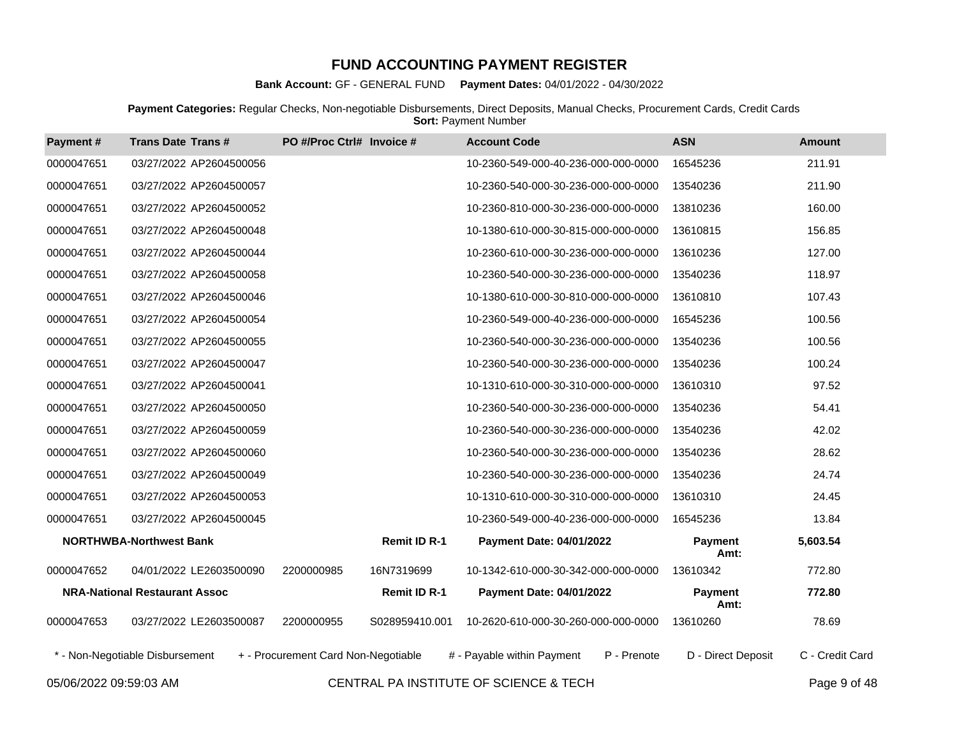**Bank Account:** GF - GENERAL FUND **Payment Dates:** 04/01/2022 - 04/30/2022

**Payment Categories:** Regular Checks, Non-negotiable Disbursements, Direct Deposits, Manual Checks, Procurement Cards, Credit Cards **Sort: Payment Number** 

| Payment #              | <b>Trans Date Trans#</b>             | PO #/Proc Ctrl# Invoice #           |                     | <b>Account Code</b>                    |             | <b>ASN</b>             | <b>Amount</b>   |
|------------------------|--------------------------------------|-------------------------------------|---------------------|----------------------------------------|-------------|------------------------|-----------------|
| 0000047651             | 03/27/2022 AP2604500056              |                                     |                     | 10-2360-549-000-40-236-000-000-0000    |             | 16545236               | 211.91          |
| 0000047651             | 03/27/2022 AP2604500057              |                                     |                     | 10-2360-540-000-30-236-000-000-0000    |             | 13540236               | 211.90          |
| 0000047651             | 03/27/2022 AP2604500052              |                                     |                     | 10-2360-810-000-30-236-000-000-0000    |             | 13810236               | 160.00          |
| 0000047651             | 03/27/2022 AP2604500048              |                                     |                     | 10-1380-610-000-30-815-000-000-0000    |             | 13610815               | 156.85          |
| 0000047651             | 03/27/2022 AP2604500044              |                                     |                     | 10-2360-610-000-30-236-000-000-0000    |             | 13610236               | 127.00          |
| 0000047651             | 03/27/2022 AP2604500058              |                                     |                     | 10-2360-540-000-30-236-000-000-0000    |             | 13540236               | 118.97          |
| 0000047651             | 03/27/2022 AP2604500046              |                                     |                     | 10-1380-610-000-30-810-000-000-0000    |             | 13610810               | 107.43          |
| 0000047651             | 03/27/2022 AP2604500054              |                                     |                     | 10-2360-549-000-40-236-000-000-0000    |             | 16545236               | 100.56          |
| 0000047651             | 03/27/2022 AP2604500055              |                                     |                     | 10-2360-540-000-30-236-000-000-0000    |             | 13540236               | 100.56          |
| 0000047651             | 03/27/2022 AP2604500047              |                                     |                     | 10-2360-540-000-30-236-000-000-0000    |             | 13540236               | 100.24          |
| 0000047651             | 03/27/2022 AP2604500041              |                                     |                     | 10-1310-610-000-30-310-000-000-0000    |             | 13610310               | 97.52           |
| 0000047651             | 03/27/2022 AP2604500050              |                                     |                     | 10-2360-540-000-30-236-000-000-0000    |             | 13540236               | 54.41           |
| 0000047651             | 03/27/2022 AP2604500059              |                                     |                     | 10-2360-540-000-30-236-000-000-0000    |             | 13540236               | 42.02           |
| 0000047651             | 03/27/2022 AP2604500060              |                                     |                     | 10-2360-540-000-30-236-000-000-0000    |             | 13540236               | 28.62           |
| 0000047651             | 03/27/2022 AP2604500049              |                                     |                     | 10-2360-540-000-30-236-000-000-0000    |             | 13540236               | 24.74           |
| 0000047651             | 03/27/2022 AP2604500053              |                                     |                     | 10-1310-610-000-30-310-000-000-0000    |             | 13610310               | 24.45           |
| 0000047651             | 03/27/2022 AP2604500045              |                                     |                     | 10-2360-549-000-40-236-000-000-0000    |             | 16545236               | 13.84           |
|                        | <b>NORTHWBA-Northwest Bank</b>       |                                     | <b>Remit ID R-1</b> | Payment Date: 04/01/2022               |             | <b>Payment</b><br>Amt: | 5,603.54        |
| 0000047652             | 04/01/2022 LE2603500090              | 2200000985                          | 16N7319699          | 10-1342-610-000-30-342-000-000-0000    |             | 13610342               | 772.80          |
|                        | <b>NRA-National Restaurant Assoc</b> |                                     | Remit ID R-1        | Payment Date: 04/01/2022               |             | Payment<br>Amt:        | 772.80          |
| 0000047653             | 03/27/2022 LE2603500087              | 2200000955                          | S028959410.001      | 10-2620-610-000-30-260-000-000-0000    |             | 13610260               | 78.69           |
|                        | * - Non-Negotiable Disbursement      | + - Procurement Card Non-Negotiable |                     | # - Payable within Payment             | P - Prenote | D - Direct Deposit     | C - Credit Card |
| 05/06/2022 09:59:03 AM |                                      |                                     |                     | CENTRAL PA INSTITUTE OF SCIENCE & TECH |             |                        | Page 9 of 48    |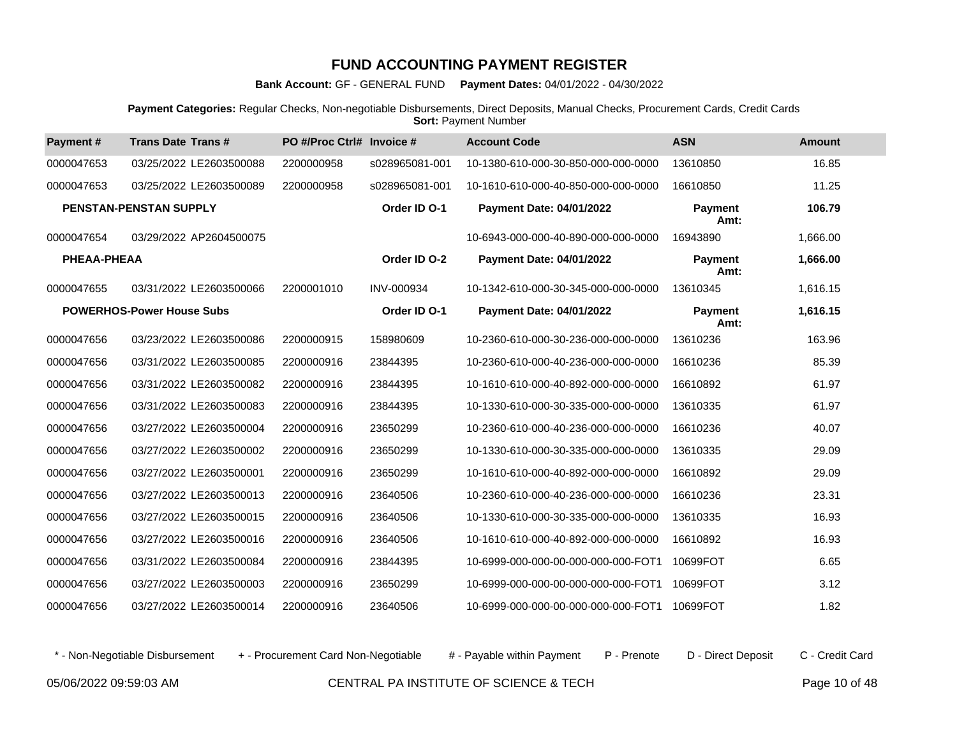**Bank Account:** GF - GENERAL FUND **Payment Dates:** 04/01/2022 - 04/30/2022

**Payment Categories:** Regular Checks, Non-negotiable Disbursements, Direct Deposits, Manual Checks, Procurement Cards, Credit Cards **Sort: Payment Number** 

| Payment#    | <b>Trans Date Trans#</b>         | PO #/Proc Ctrl# Invoice # |                | <b>Account Code</b>                 | <b>ASN</b>             | <b>Amount</b> |
|-------------|----------------------------------|---------------------------|----------------|-------------------------------------|------------------------|---------------|
| 0000047653  | 03/25/2022 LE2603500088          | 2200000958                | s028965081-001 | 10-1380-610-000-30-850-000-000-0000 | 13610850               | 16.85         |
| 0000047653  | 03/25/2022 LE2603500089          | 2200000958                | s028965081-001 | 10-1610-610-000-40-850-000-000-0000 | 16610850               | 11.25         |
|             | <b>PENSTAN-PENSTAN SUPPLY</b>    |                           | Order ID O-1   | Payment Date: 04/01/2022            | Payment<br>Amt:        | 106.79        |
| 0000047654  | 03/29/2022 AP2604500075          |                           |                | 10-6943-000-000-40-890-000-000-0000 | 16943890               | 1,666.00      |
| PHEAA-PHEAA |                                  |                           | Order ID O-2   | Payment Date: 04/01/2022            | Payment<br>Amt:        | 1,666.00      |
| 0000047655  | 03/31/2022 LE2603500066          | 2200001010                | INV-000934     | 10-1342-610-000-30-345-000-000-0000 | 13610345               | 1.616.15      |
|             | <b>POWERHOS-Power House Subs</b> |                           | Order ID O-1   | <b>Payment Date: 04/01/2022</b>     | <b>Payment</b><br>Amt: | 1,616.15      |
| 0000047656  | 03/23/2022 LE2603500086          | 2200000915                | 158980609      | 10-2360-610-000-30-236-000-000-0000 | 13610236               | 163.96        |
| 0000047656  | 03/31/2022 LE2603500085          | 2200000916                | 23844395       | 10-2360-610-000-40-236-000-000-0000 | 16610236               | 85.39         |
| 0000047656  | 03/31/2022 LE2603500082          | 2200000916                | 23844395       | 10-1610-610-000-40-892-000-000-0000 | 16610892               | 61.97         |
| 0000047656  | 03/31/2022 LE2603500083          | 2200000916                | 23844395       | 10-1330-610-000-30-335-000-000-0000 | 13610335               | 61.97         |
| 0000047656  | 03/27/2022 LE2603500004          | 2200000916                | 23650299       | 10-2360-610-000-40-236-000-000-0000 | 16610236               | 40.07         |
| 0000047656  | 03/27/2022 LE2603500002          | 2200000916                | 23650299       | 10-1330-610-000-30-335-000-000-0000 | 13610335               | 29.09         |
| 0000047656  | 03/27/2022 LE2603500001          | 2200000916                | 23650299       | 10-1610-610-000-40-892-000-000-0000 | 16610892               | 29.09         |
| 0000047656  | 03/27/2022 LE2603500013          | 2200000916                | 23640506       | 10-2360-610-000-40-236-000-000-0000 | 16610236               | 23.31         |
| 0000047656  | 03/27/2022 LE2603500015          | 2200000916                | 23640506       | 10-1330-610-000-30-335-000-000-0000 | 13610335               | 16.93         |
| 0000047656  | 03/27/2022 LE2603500016          | 2200000916                | 23640506       | 10-1610-610-000-40-892-000-000-0000 | 16610892               | 16.93         |
| 0000047656  | 03/31/2022 LE2603500084          | 2200000916                | 23844395       | 10-6999-000-000-00-000-000-000-FOT1 | 10699FOT               | 6.65          |
| 0000047656  | 03/27/2022 LE2603500003          | 2200000916                | 23650299       | 10-6999-000-000-00-000-000-000-FOT1 | 10699FOT               | 3.12          |
| 0000047656  | 03/27/2022 LE2603500014          | 2200000916                | 23640506       | 10-6999-000-000-00-000-000-000-FOT1 | 10699FOT               | 1.82          |

\* - Non-Negotiable Disbursement + - Procurement Card Non-Negotiable # - Payable within Payment P - Prenote D - Direct Deposit C - Credit Card

05/06/2022 09:59:03 AM CENTRAL PA INSTITUTE OF SCIENCE & TECH Page 10 of 48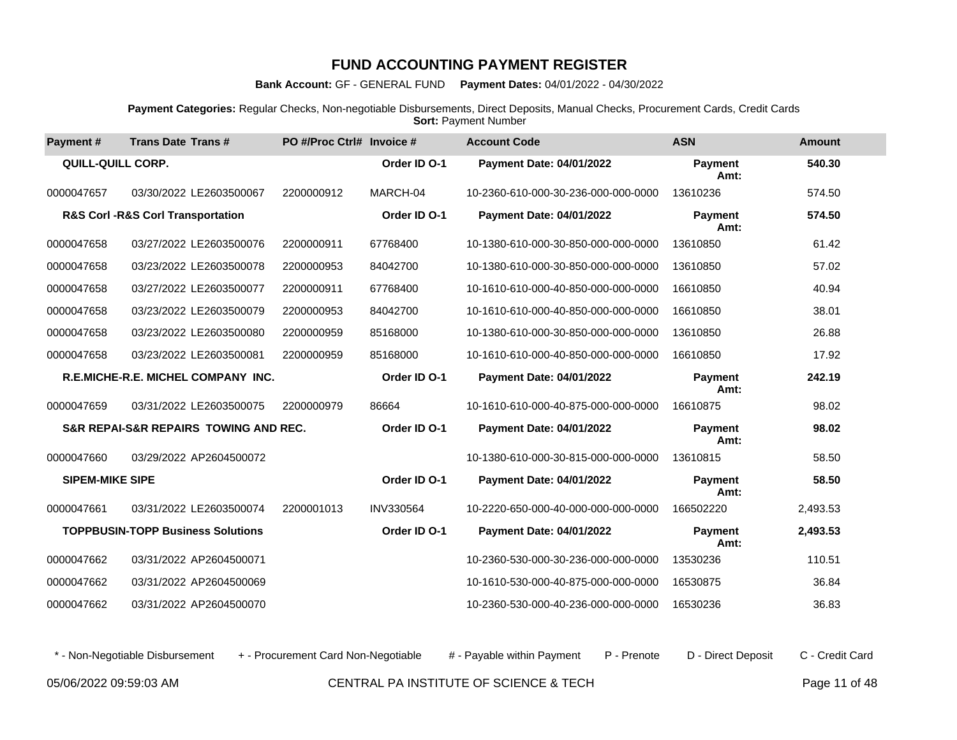**Bank Account:** GF - GENERAL FUND **Payment Dates:** 04/01/2022 - 04/30/2022

**Payment Categories:** Regular Checks, Non-negotiable Disbursements, Direct Deposits, Manual Checks, Procurement Cards, Credit Cards **Sort: Payment Number** 

| Payment#                 | <b>Trans Date Trans#</b>                             | PO #/Proc Ctrl# Invoice # |              | <b>Account Code</b>                 | <b>ASN</b>             | <b>Amount</b> |
|--------------------------|------------------------------------------------------|---------------------------|--------------|-------------------------------------|------------------------|---------------|
| <b>QUILL-QUILL CORP.</b> |                                                      |                           | Order ID O-1 | <b>Payment Date: 04/01/2022</b>     | <b>Payment</b><br>Amt: | 540.30        |
| 0000047657               | 03/30/2022 LE2603500067                              | 2200000912                | MARCH-04     | 10-2360-610-000-30-236-000-000-0000 | 13610236               | 574.50        |
|                          | <b>R&amp;S Corl-R&amp;S Corl Transportation</b>      |                           | Order ID O-1 | <b>Payment Date: 04/01/2022</b>     | <b>Payment</b><br>Amt: | 574.50        |
| 0000047658               | 03/27/2022 LE2603500076                              | 2200000911                | 67768400     | 10-1380-610-000-30-850-000-000-0000 | 13610850               | 61.42         |
| 0000047658               | 03/23/2022 LE2603500078                              | 2200000953                | 84042700     | 10-1380-610-000-30-850-000-000-0000 | 13610850               | 57.02         |
| 0000047658               | 03/27/2022 LE2603500077                              | 2200000911                | 67768400     | 10-1610-610-000-40-850-000-000-0000 | 16610850               | 40.94         |
| 0000047658               | 03/23/2022 LE2603500079                              | 2200000953                | 84042700     | 10-1610-610-000-40-850-000-000-0000 | 16610850               | 38.01         |
| 0000047658               | 03/23/2022 LE2603500080                              | 2200000959                | 85168000     | 10-1380-610-000-30-850-000-000-0000 | 13610850               | 26.88         |
| 0000047658               | 03/23/2022 LE2603500081                              | 2200000959                | 85168000     | 10-1610-610-000-40-850-000-000-0000 | 16610850               | 17.92         |
|                          | <b>R.E.MICHE-R.E. MICHEL COMPANY INC.</b>            |                           | Order ID O-1 | <b>Payment Date: 04/01/2022</b>     | <b>Payment</b><br>Amt: | 242.19        |
| 0000047659               | 03/31/2022 LE2603500075                              | 2200000979                | 86664        | 10-1610-610-000-40-875-000-000-0000 | 16610875               | 98.02         |
|                          | <b>S&amp;R REPAI-S&amp;R REPAIRS TOWING AND REC.</b> |                           | Order ID O-1 | <b>Payment Date: 04/01/2022</b>     | <b>Payment</b><br>Amt: | 98.02         |
| 0000047660               | 03/29/2022 AP2604500072                              |                           |              | 10-1380-610-000-30-815-000-000-0000 | 13610815               | 58.50         |
| <b>SIPEM-MIKE SIPE</b>   |                                                      |                           | Order ID O-1 | <b>Payment Date: 04/01/2022</b>     | <b>Payment</b><br>Amt: | 58.50         |
| 0000047661               | 03/31/2022 LE2603500074                              | 2200001013                | INV330564    | 10-2220-650-000-40-000-000-000-0000 | 166502220              | 2,493.53      |
|                          | <b>TOPPBUSIN-TOPP Business Solutions</b>             |                           | Order ID O-1 | <b>Payment Date: 04/01/2022</b>     | <b>Payment</b><br>Amt: | 2,493.53      |
| 0000047662               | 03/31/2022 AP2604500071                              |                           |              | 10-2360-530-000-30-236-000-000-0000 | 13530236               | 110.51        |
| 0000047662               | 03/31/2022 AP2604500069                              |                           |              | 10-1610-530-000-40-875-000-000-0000 | 16530875               | 36.84         |
| 0000047662               | 03/31/2022 AP2604500070                              |                           |              | 10-2360-530-000-40-236-000-000-0000 | 16530236               | 36.83         |

\* - Non-Negotiable Disbursement + - Procurement Card Non-Negotiable # - Payable within Payment P - Prenote D - Direct Deposit C - Credit Card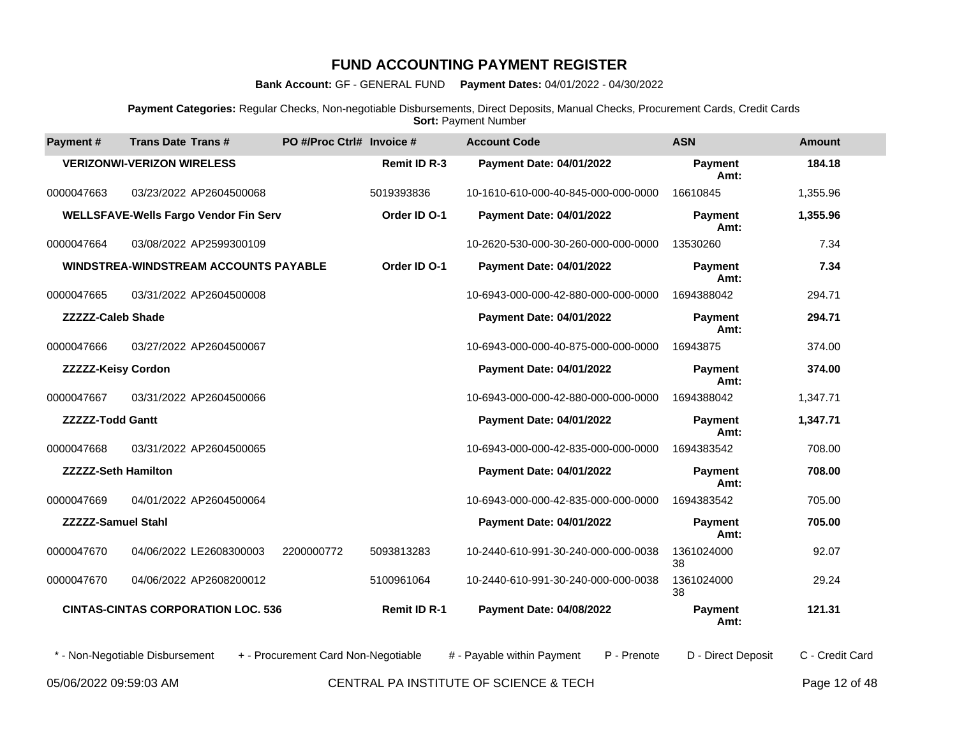**Bank Account:** GF - GENERAL FUND **Payment Dates:** 04/01/2022 - 04/30/2022

**Payment Categories:** Regular Checks, Non-negotiable Disbursements, Direct Deposits, Manual Checks, Procurement Cards, Credit Cards **Sort: Payment Number** 

| Payment #                  | <b>Trans Date Trans#</b>                     | PO #/Proc Ctrl# Invoice #           |                     | <b>Account Code</b>                    |             | <b>ASN</b>             | <b>Amount</b>   |
|----------------------------|----------------------------------------------|-------------------------------------|---------------------|----------------------------------------|-------------|------------------------|-----------------|
|                            | <b>VERIZONWI-VERIZON WIRELESS</b>            |                                     | <b>Remit ID R-3</b> | <b>Payment Date: 04/01/2022</b>        |             | <b>Payment</b><br>Amt: | 184.18          |
| 0000047663                 | 03/23/2022 AP2604500068                      |                                     | 5019393836          | 10-1610-610-000-40-845-000-000-0000    |             | 16610845               | 1,355.96        |
|                            | <b>WELLSFAVE-Wells Fargo Vendor Fin Serv</b> |                                     | Order ID O-1        | Payment Date: 04/01/2022               |             | <b>Payment</b><br>Amt: | 1,355.96        |
| 0000047664                 | 03/08/2022 AP2599300109                      |                                     |                     | 10-2620-530-000-30-260-000-000-0000    |             | 13530260               | 7.34            |
|                            | <b>WINDSTREA-WINDSTREAM ACCOUNTS PAYABLE</b> |                                     | Order ID O-1        | Payment Date: 04/01/2022               |             | <b>Payment</b><br>Amt: | 7.34            |
| 0000047665                 | 03/31/2022 AP2604500008                      |                                     |                     | 10-6943-000-000-42-880-000-000-0000    |             | 1694388042             | 294.71          |
| <b>ZZZZZ-Caleb Shade</b>   |                                              |                                     |                     | Payment Date: 04/01/2022               |             | <b>Payment</b><br>Amt: | 294.71          |
| 0000047666                 | 03/27/2022 AP2604500067                      |                                     |                     | 10-6943-000-000-40-875-000-000-0000    |             | 16943875               | 374.00          |
| <b>ZZZZZ-Keisy Cordon</b>  |                                              |                                     |                     | Payment Date: 04/01/2022               |             | Payment<br>Amt:        | 374.00          |
| 0000047667                 | 03/31/2022 AP2604500066                      |                                     |                     | 10-6943-000-000-42-880-000-000-0000    |             | 1694388042             | 1,347.71        |
| <b>ZZZZZ-Todd Gantt</b>    |                                              |                                     |                     | Payment Date: 04/01/2022               |             | <b>Payment</b><br>Amt: | 1,347.71        |
| 0000047668                 | 03/31/2022 AP2604500065                      |                                     |                     | 10-6943-000-000-42-835-000-000-0000    |             | 1694383542             | 708.00          |
| <b>ZZZZZ-Seth Hamilton</b> |                                              |                                     |                     | Payment Date: 04/01/2022               |             | <b>Payment</b><br>Amt: | 708.00          |
| 0000047669                 | 04/01/2022 AP2604500064                      |                                     |                     | 10-6943-000-000-42-835-000-000-0000    |             | 1694383542             | 705.00          |
| <b>ZZZZZ-Samuel Stahl</b>  |                                              |                                     |                     | Payment Date: 04/01/2022               |             | <b>Payment</b><br>Amt: | 705.00          |
| 0000047670                 | 04/06/2022 LE2608300003                      | 2200000772                          | 5093813283          | 10-2440-610-991-30-240-000-000-0038    |             | 1361024000<br>38       | 92.07           |
| 0000047670                 | 04/06/2022 AP2608200012                      |                                     | 5100961064          | 10-2440-610-991-30-240-000-000-0038    |             | 1361024000<br>38       | 29.24           |
|                            | <b>CINTAS-CINTAS CORPORATION LOC. 536</b>    |                                     | <b>Remit ID R-1</b> | <b>Payment Date: 04/08/2022</b>        |             | Payment<br>Amt:        | 121.31          |
|                            | * - Non-Negotiable Disbursement              | + - Procurement Card Non-Negotiable |                     | # - Payable within Payment             | P - Prenote | D - Direct Deposit     | C - Credit Card |
| 05/06/2022 09:59:03 AM     |                                              |                                     |                     | CENTRAL PA INSTITUTE OF SCIENCE & TECH |             |                        | Page 12 of 48   |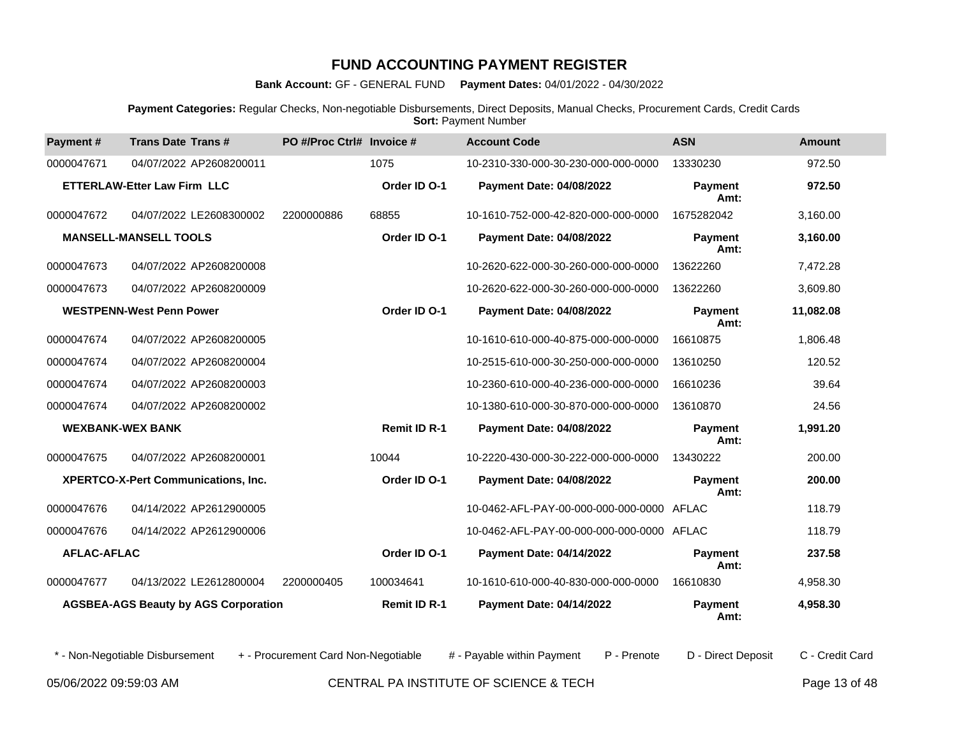**Bank Account:** GF - GENERAL FUND **Payment Dates:** 04/01/2022 - 04/30/2022

**Payment Categories:** Regular Checks, Non-negotiable Disbursements, Direct Deposits, Manual Checks, Procurement Cards, Credit Cards **Sort: Payment Number** 

| Payment#                | <b>Trans Date Trans#</b>                    | PO #/Proc Ctrl# Invoice # |                     | <b>Account Code</b>                       | <b>ASN</b>             | <b>Amount</b> |
|-------------------------|---------------------------------------------|---------------------------|---------------------|-------------------------------------------|------------------------|---------------|
| 0000047671              | 04/07/2022 AP2608200011                     |                           | 1075                | 10-2310-330-000-30-230-000-000-0000       | 13330230               | 972.50        |
|                         | <b>ETTERLAW-Etter Law Firm LLC</b>          |                           | Order ID O-1        | <b>Payment Date: 04/08/2022</b>           | Payment<br>Amt:        | 972.50        |
| 0000047672              | 04/07/2022 LE2608300002                     | 2200000886                | 68855               | 10-1610-752-000-42-820-000-000-0000       | 1675282042             | 3,160.00      |
|                         | <b>MANSELL-MANSELL TOOLS</b>                |                           | Order ID O-1        | <b>Payment Date: 04/08/2022</b>           | Payment<br>Amt:        | 3,160.00      |
| 0000047673              | 04/07/2022 AP2608200008                     |                           |                     | 10-2620-622-000-30-260-000-000-0000       | 13622260               | 7,472.28      |
| 0000047673              | 04/07/2022 AP2608200009                     |                           |                     | 10-2620-622-000-30-260-000-000-0000       | 13622260               | 3,609.80      |
|                         | <b>WESTPENN-West Penn Power</b>             |                           | Order ID O-1        | <b>Payment Date: 04/08/2022</b>           | Payment<br>Amt:        | 11,082.08     |
| 0000047674              | 04/07/2022 AP2608200005                     |                           |                     | 10-1610-610-000-40-875-000-000-0000       | 16610875               | 1,806.48      |
| 0000047674              | 04/07/2022 AP2608200004                     |                           |                     | 10-2515-610-000-30-250-000-000-0000       | 13610250               | 120.52        |
| 0000047674              | 04/07/2022 AP2608200003                     |                           |                     | 10-2360-610-000-40-236-000-000-0000       | 16610236               | 39.64         |
| 0000047674              | 04/07/2022 AP2608200002                     |                           |                     | 10-1380-610-000-30-870-000-000-0000       | 13610870               | 24.56         |
| <b>WEXBANK-WEX BANK</b> |                                             |                           | <b>Remit ID R-1</b> | <b>Payment Date: 04/08/2022</b>           | <b>Payment</b><br>Amt: | 1,991.20      |
| 0000047675              | 04/07/2022 AP2608200001                     |                           | 10044               | 10-2220-430-000-30-222-000-000-0000       | 13430222               | 200.00        |
|                         | XPERTCO-X-Pert Communications, Inc.         |                           | Order ID O-1        | <b>Payment Date: 04/08/2022</b>           | <b>Payment</b><br>Amt: | 200.00        |
| 0000047676              | 04/14/2022 AP2612900005                     |                           |                     | 10-0462-AFL-PAY-00-000-000-000-0000 AFLAC |                        | 118.79        |
| 0000047676              | 04/14/2022 AP2612900006                     |                           |                     | 10-0462-AFL-PAY-00-000-000-000-0000 AFLAC |                        | 118.79        |
| <b>AFLAC-AFLAC</b>      |                                             |                           | Order ID O-1        | Payment Date: 04/14/2022                  | <b>Payment</b><br>Amt: | 237.58        |
| 0000047677              | 04/13/2022 LE2612800004                     | 2200000405                | 100034641           | 10-1610-610-000-40-830-000-000-0000       | 16610830               | 4,958.30      |
|                         | <b>AGSBEA-AGS Beauty by AGS Corporation</b> |                           | <b>Remit ID R-1</b> | Payment Date: 04/14/2022                  | <b>Payment</b><br>Amt: | 4,958.30      |

\* - Non-Negotiable Disbursement + - Procurement Card Non-Negotiable # - Payable within Payment P - Prenote D - Direct Deposit C - Credit Card

05/06/2022 09:59:03 AM CENTRAL PA INSTITUTE OF SCIENCE & TECH Page 13 of 48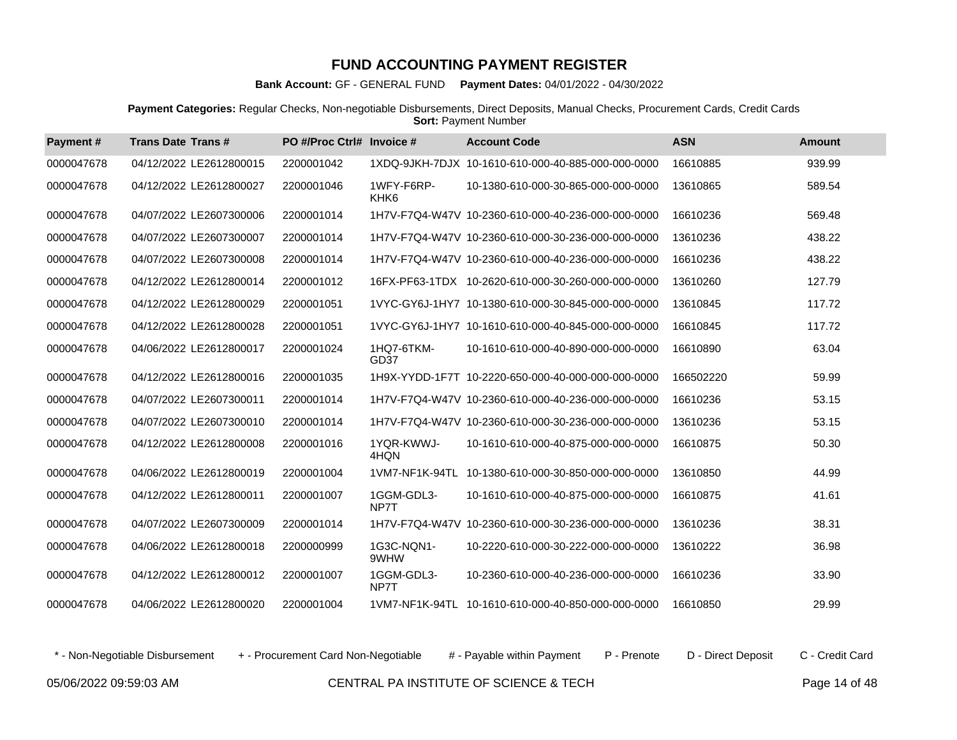**Bank Account:** GF - GENERAL FUND **Payment Dates:** 04/01/2022 - 04/30/2022

**Payment Categories:** Regular Checks, Non-negotiable Disbursements, Direct Deposits, Manual Checks, Procurement Cards, Credit Cards **Sort: Payment Number** 

| Payment#   | <b>Trans Date Trans#</b> | PO #/Proc Ctrl# Invoice # |                                | <b>Account Code</b>                                 | <b>ASN</b> | <b>Amount</b> |
|------------|--------------------------|---------------------------|--------------------------------|-----------------------------------------------------|------------|---------------|
| 0000047678 | 04/12/2022 LE2612800015  | 2200001042                |                                | 1XDQ-9JKH-7DJX 10-1610-610-000-40-885-000-000-0000  | 16610885   | 939.99        |
| 0000047678 | 04/12/2022 LE2612800027  | 2200001046                | 1WFY-F6RP-<br>KHK <sub>6</sub> | 10-1380-610-000-30-865-000-000-0000                 | 13610865   | 589.54        |
| 0000047678 | 04/07/2022 LE2607300006  | 2200001014                |                                | 1H7V-F7Q4-W47V 10-2360-610-000-40-236-000-000-0000  | 16610236   | 569.48        |
| 0000047678 | 04/07/2022 LE2607300007  | 2200001014                |                                | 1H7V-F7Q4-W47V 10-2360-610-000-30-236-000-000-0000  | 13610236   | 438.22        |
| 0000047678 | 04/07/2022 LE2607300008  | 2200001014                |                                | 1H7V-F7Q4-W47V 10-2360-610-000-40-236-000-000-0000  | 16610236   | 438.22        |
| 0000047678 | 04/12/2022 LE2612800014  | 2200001012                |                                | 16FX-PF63-1TDX 10-2620-610-000-30-260-000-000-0000  | 13610260   | 127.79        |
| 0000047678 | 04/12/2022 LE2612800029  | 2200001051                |                                | 1VYC-GY6J-1HY7 10-1380-610-000-30-845-000-000-0000  | 13610845   | 117.72        |
| 0000047678 | 04/12/2022 LE2612800028  | 2200001051                |                                | 1VYC-GY6J-1HY7 10-1610-610-000-40-845-000-000-0000  | 16610845   | 117.72        |
| 0000047678 | 04/06/2022 LE2612800017  | 2200001024                | 1HQ7-6TKM-<br>GD <sub>37</sub> | 10-1610-610-000-40-890-000-000-0000                 | 16610890   | 63.04         |
| 0000047678 | 04/12/2022 LE2612800016  | 2200001035                |                                | 1H9X-YYDD-1F7T 10-2220-650-000-40-000-000-000-0000  | 166502220  | 59.99         |
| 0000047678 | 04/07/2022 LE2607300011  | 2200001014                |                                | 1H7V-F7Q4-W47V 10-2360-610-000-40-236-000-000-0000  | 16610236   | 53.15         |
| 0000047678 | 04/07/2022 LE2607300010  | 2200001014                |                                | 1H7V-F7Q4-W47V 10-2360-610-000-30-236-000-000-0000  | 13610236   | 53.15         |
| 0000047678 | 04/12/2022 LE2612800008  | 2200001016                | 1YQR-KWWJ-<br>4HQN             | 10-1610-610-000-40-875-000-000-0000                 | 16610875   | 50.30         |
| 0000047678 | 04/06/2022 LE2612800019  | 2200001004                | 1VM7-NF1K-94TL                 | 10-1380-610-000-30-850-000-000-0000                 | 13610850   | 44.99         |
| 0000047678 | 04/12/2022 LE2612800011  | 2200001007                | 1GGM-GDL3-<br>NP7T             | 10-1610-610-000-40-875-000-000-0000                 | 16610875   | 41.61         |
| 0000047678 | 04/07/2022 LE2607300009  | 2200001014                |                                | 1H7V-F7Q4-W47V 10-2360-610-000-30-236-000-000-0000  | 13610236   | 38.31         |
| 0000047678 | 04/06/2022 LE2612800018  | 2200000999                | 1G3C-NQN1-<br>9WHW             | 10-2220-610-000-30-222-000-000-0000                 | 13610222   | 36.98         |
| 0000047678 | 04/12/2022 LE2612800012  | 2200001007                | 1GGM-GDL3-<br>NP7T             | 10-2360-610-000-40-236-000-000-0000                 | 16610236   | 33.90         |
| 0000047678 | 04/06/2022 LE2612800020  | 2200001004                |                                | 1VM7-NF1K-94TL  10-1610-610-000-40-850-000-000-0000 | 16610850   | 29.99         |

\* - Non-Negotiable Disbursement + - Procurement Card Non-Negotiable # - Payable within Payment P - Prenote D - Direct Deposit C - Credit Card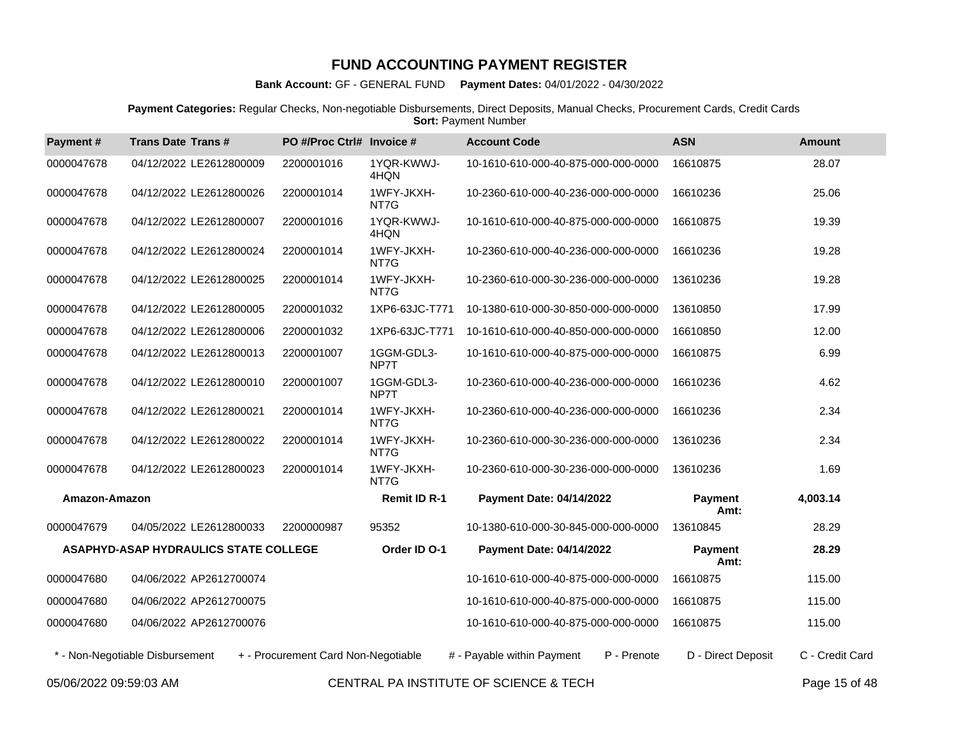**Bank Account:** GF - GENERAL FUND **Payment Dates:** 04/01/2022 - 04/30/2022

**Payment Categories:** Regular Checks, Non-negotiable Disbursements, Direct Deposits, Manual Checks, Procurement Cards, Credit Cards **Sort: Payment Number** 

| Payment#      | <b>Trans Date Trans#</b>                     | PO #/Proc Ctrl# Invoice #           |                     | <b>Account Code</b>                       | <b>ASN</b>             | Amount          |
|---------------|----------------------------------------------|-------------------------------------|---------------------|-------------------------------------------|------------------------|-----------------|
| 0000047678    | 04/12/2022 LE2612800009                      | 2200001016                          | 1YQR-KWWJ-<br>4HQN  | 10-1610-610-000-40-875-000-000-0000       | 16610875               | 28.07           |
| 0000047678    | 04/12/2022 LE2612800026                      | 2200001014                          | 1WFY-JKXH-<br>NT7G  | 10-2360-610-000-40-236-000-000-0000       | 16610236               | 25.06           |
| 0000047678    | 04/12/2022 LE2612800007                      | 2200001016                          | 1YQR-KWWJ-<br>4HQN  | 10-1610-610-000-40-875-000-000-0000       | 16610875               | 19.39           |
| 0000047678    | 04/12/2022 LE2612800024                      | 2200001014                          | 1WFY-JKXH-<br>NT7G  | 10-2360-610-000-40-236-000-000-0000       | 16610236               | 19.28           |
| 0000047678    | 04/12/2022 LE2612800025                      | 2200001014                          | 1WFY-JKXH-<br>NT7G  | 10-2360-610-000-30-236-000-000-0000       | 13610236               | 19.28           |
| 0000047678    | 04/12/2022 LE2612800005                      | 2200001032                          | 1XP6-63JC-T771      | 10-1380-610-000-30-850-000-000-0000       | 13610850               | 17.99           |
| 0000047678    | 04/12/2022 LE2612800006                      | 2200001032                          | 1XP6-63JC-T771      | 10-1610-610-000-40-850-000-000-0000       | 16610850               | 12.00           |
| 0000047678    | 04/12/2022 LE2612800013                      | 2200001007                          | 1GGM-GDL3-<br>NP7T  | 10-1610-610-000-40-875-000-000-0000       | 16610875               | 6.99            |
| 0000047678    | 04/12/2022 LE2612800010                      | 2200001007                          | 1GGM-GDL3-<br>NP7T  | 10-2360-610-000-40-236-000-000-0000       | 16610236               | 4.62            |
| 0000047678    | 04/12/2022 LE2612800021                      | 2200001014                          | 1WFY-JKXH-<br>NT7G  | 10-2360-610-000-40-236-000-000-0000       | 16610236               | 2.34            |
| 0000047678    | 04/12/2022 LE2612800022                      | 2200001014                          | 1WFY-JKXH-<br>NT7G  | 10-2360-610-000-30-236-000-000-0000       | 13610236               | 2.34            |
| 0000047678    | 04/12/2022 LE2612800023                      | 2200001014                          | 1WFY-JKXH-<br>NT7G  | 10-2360-610-000-30-236-000-000-0000       | 13610236               | 1.69            |
| Amazon-Amazon |                                              |                                     | <b>Remit ID R-1</b> | <b>Payment Date: 04/14/2022</b>           | <b>Payment</b><br>Amt: | 4,003.14        |
| 0000047679    | 04/05/2022 LE2612800033                      | 2200000987                          | 95352               | 10-1380-610-000-30-845-000-000-0000       | 13610845               | 28.29           |
|               | <b>ASAPHYD-ASAP HYDRAULICS STATE COLLEGE</b> |                                     | Order ID O-1        | <b>Payment Date: 04/14/2022</b>           | <b>Payment</b><br>Amt: | 28.29           |
| 0000047680    | 04/06/2022 AP2612700074                      |                                     |                     | 10-1610-610-000-40-875-000-000-0000       | 16610875               | 115.00          |
| 0000047680    | 04/06/2022 AP2612700075                      |                                     |                     | 10-1610-610-000-40-875-000-000-0000       | 16610875               | 115.00          |
| 0000047680    | 04/06/2022 AP2612700076                      |                                     |                     | 10-1610-610-000-40-875-000-000-0000       | 16610875               | 115.00          |
|               | * - Non-Negotiable Disbursement              | + - Procurement Card Non-Negotiable |                     | # - Payable within Payment<br>P - Prenote | D - Direct Deposit     | C - Credit Card |

05/06/2022 09:59:03 AM CENTRAL PA INSTITUTE OF SCIENCE & TECH Page 15 of 48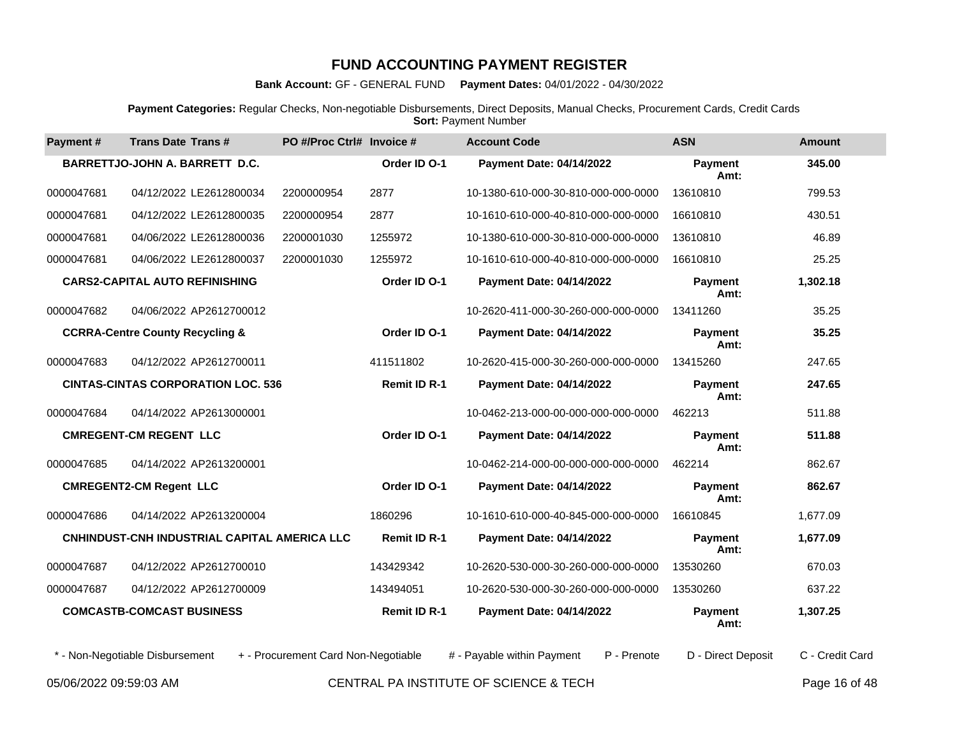**Bank Account:** GF - GENERAL FUND **Payment Dates:** 04/01/2022 - 04/30/2022

**Payment Categories:** Regular Checks, Non-negotiable Disbursements, Direct Deposits, Manual Checks, Procurement Cards, Credit Cards **Sort: Payment Number** 

| Payment#   | <b>Trans Date Trans#</b>                     | PO #/Proc Ctrl# Invoice #           |                     | <b>Account Code</b>                       | <b>ASN</b>             | <b>Amount</b>   |
|------------|----------------------------------------------|-------------------------------------|---------------------|-------------------------------------------|------------------------|-----------------|
|            | BARRETTJO-JOHN A. BARRETT D.C.               |                                     | Order ID O-1        | <b>Payment Date: 04/14/2022</b>           | <b>Payment</b><br>Amt: | 345.00          |
| 0000047681 | 04/12/2022 LE2612800034                      | 2200000954                          | 2877                | 10-1380-610-000-30-810-000-000-0000       | 13610810               | 799.53          |
| 0000047681 | 04/12/2022 LE2612800035                      | 2200000954                          | 2877                | 10-1610-610-000-40-810-000-000-0000       | 16610810               | 430.51          |
| 0000047681 | 04/06/2022 LE2612800036                      | 2200001030                          | 1255972             | 10-1380-610-000-30-810-000-000-0000       | 13610810               | 46.89           |
| 0000047681 | 04/06/2022 LE2612800037                      | 2200001030                          | 1255972             | 10-1610-610-000-40-810-000-000-0000       | 16610810               | 25.25           |
|            | <b>CARS2-CAPITAL AUTO REFINISHING</b>        |                                     | Order ID O-1        | Payment Date: 04/14/2022                  | <b>Payment</b><br>Amt: | 1,302.18        |
| 0000047682 | 04/06/2022 AP2612700012                      |                                     |                     | 10-2620-411-000-30-260-000-000-0000       | 13411260               | 35.25           |
|            | <b>CCRRA-Centre County Recycling &amp;</b>   |                                     | Order ID O-1        | Payment Date: 04/14/2022                  | <b>Payment</b><br>Amt: | 35.25           |
| 0000047683 | 04/12/2022 AP2612700011                      |                                     | 411511802           | 10-2620-415-000-30-260-000-000-0000       | 13415260               | 247.65          |
|            | <b>CINTAS-CINTAS CORPORATION LOC. 536</b>    |                                     | <b>Remit ID R-1</b> | Payment Date: 04/14/2022                  | Payment<br>Amt:        | 247.65          |
| 0000047684 | 04/14/2022 AP2613000001                      |                                     |                     | 10-0462-213-000-00-000-000-000-0000       | 462213                 | 511.88          |
|            | <b>CMREGENT-CM REGENT LLC</b>                |                                     | Order ID O-1        | Payment Date: 04/14/2022                  | <b>Payment</b><br>Amt: | 511.88          |
| 0000047685 | 04/14/2022 AP2613200001                      |                                     |                     | 10-0462-214-000-00-000-000-000-0000       | 462214                 | 862.67          |
|            | <b>CMREGENT2-CM Regent LLC</b>               |                                     | Order ID O-1        | <b>Payment Date: 04/14/2022</b>           | <b>Payment</b><br>Amt: | 862.67          |
| 0000047686 | 04/14/2022 AP2613200004                      |                                     | 1860296             | 10-1610-610-000-40-845-000-000-0000       | 16610845               | 1,677.09        |
|            | CNHINDUST-CNH INDUSTRIAL CAPITAL AMERICA LLC |                                     | <b>Remit ID R-1</b> | Payment Date: 04/14/2022                  | <b>Payment</b><br>Amt: | 1,677.09        |
| 0000047687 | 04/12/2022 AP2612700010                      |                                     | 143429342           | 10-2620-530-000-30-260-000-000-0000       | 13530260               | 670.03          |
| 0000047687 | 04/12/2022 AP2612700009                      |                                     | 143494051           | 10-2620-530-000-30-260-000-000-0000       | 13530260               | 637.22          |
|            | <b>COMCASTB-COMCAST BUSINESS</b>             |                                     | <b>Remit ID R-1</b> | Payment Date: 04/14/2022                  | <b>Payment</b><br>Amt: | 1,307.25        |
|            | * - Non-Negotiable Disbursement              | + - Procurement Card Non-Negotiable |                     | # - Payable within Payment<br>P - Prenote | D - Direct Deposit     | C - Credit Card |

05/06/2022 09:59:03 AM CENTRAL PA INSTITUTE OF SCIENCE & TECH Page 16 of 48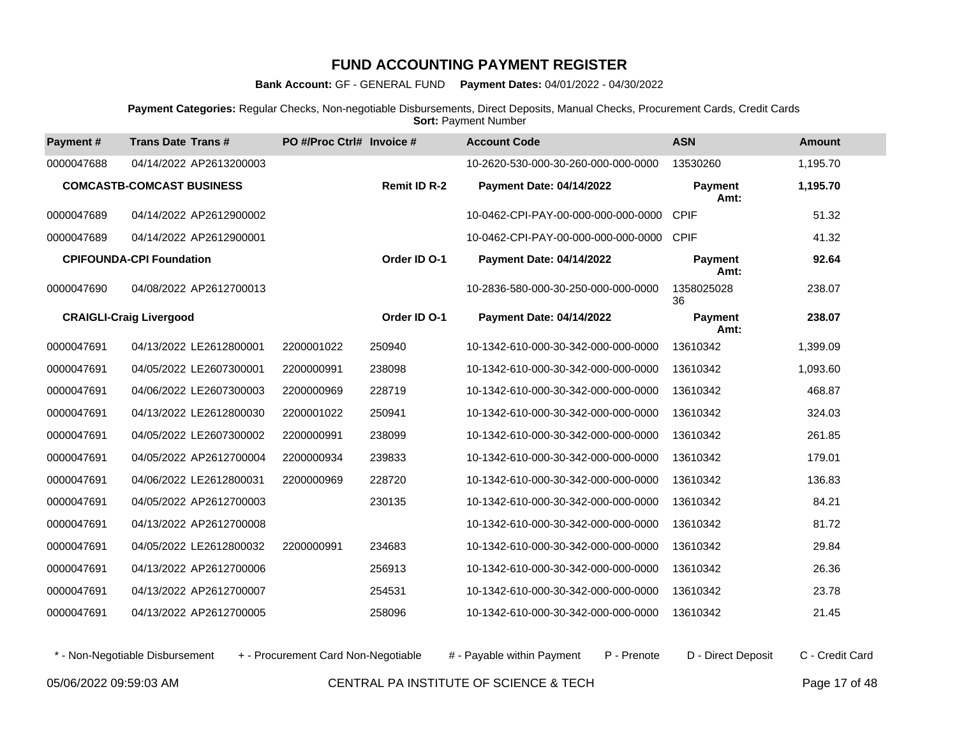**Bank Account:** GF - GENERAL FUND **Payment Dates:** 04/01/2022 - 04/30/2022

**Payment Categories:** Regular Checks, Non-negotiable Disbursements, Direct Deposits, Manual Checks, Procurement Cards, Credit Cards **Sort: Payment Number** 

| Payment#   | <b>Trans Date Trans#</b>         | PO #/Proc Ctrl# Invoice # |                     | <b>Account Code</b>                 | <b>ASN</b>             | <b>Amount</b> |
|------------|----------------------------------|---------------------------|---------------------|-------------------------------------|------------------------|---------------|
| 0000047688 | 04/14/2022 AP2613200003          |                           |                     | 10-2620-530-000-30-260-000-000-0000 | 13530260               | 1,195.70      |
|            | <b>COMCASTB-COMCAST BUSINESS</b> |                           | <b>Remit ID R-2</b> | <b>Payment Date: 04/14/2022</b>     | <b>Payment</b><br>Amt: | 1,195.70      |
| 0000047689 | 04/14/2022 AP2612900002          |                           |                     | 10-0462-CPI-PAY-00-000-000-000-0000 | <b>CPIF</b>            | 51.32         |
| 0000047689 | 04/14/2022 AP2612900001          |                           |                     | 10-0462-CPI-PAY-00-000-000-000-0000 | <b>CPIF</b>            | 41.32         |
|            | <b>CPIFOUNDA-CPI Foundation</b>  |                           | Order ID O-1        | <b>Payment Date: 04/14/2022</b>     | Payment<br>Amt:        | 92.64         |
| 0000047690 | 04/08/2022 AP2612700013          |                           |                     | 10-2836-580-000-30-250-000-000-0000 | 1358025028<br>36       | 238.07        |
|            | <b>CRAIGLI-Craig Livergood</b>   |                           | Order ID O-1        | <b>Payment Date: 04/14/2022</b>     | Payment<br>Amt:        | 238.07        |
| 0000047691 | 04/13/2022 LE2612800001          | 2200001022                | 250940              | 10-1342-610-000-30-342-000-000-0000 | 13610342               | 1,399.09      |
| 0000047691 | 04/05/2022 LE2607300001          | 2200000991                | 238098              | 10-1342-610-000-30-342-000-000-0000 | 13610342               | 1,093.60      |
| 0000047691 | 04/06/2022 LE2607300003          | 2200000969                | 228719              | 10-1342-610-000-30-342-000-000-0000 | 13610342               | 468.87        |
| 0000047691 | 04/13/2022 LE2612800030          | 2200001022                | 250941              | 10-1342-610-000-30-342-000-000-0000 | 13610342               | 324.03        |
| 0000047691 | 04/05/2022 LE2607300002          | 2200000991                | 238099              | 10-1342-610-000-30-342-000-000-0000 | 13610342               | 261.85        |
| 0000047691 | 04/05/2022 AP2612700004          | 2200000934                | 239833              | 10-1342-610-000-30-342-000-000-0000 | 13610342               | 179.01        |
| 0000047691 | 04/06/2022 LE2612800031          | 2200000969                | 228720              | 10-1342-610-000-30-342-000-000-0000 | 13610342               | 136.83        |
| 0000047691 | 04/05/2022 AP2612700003          |                           | 230135              | 10-1342-610-000-30-342-000-000-0000 | 13610342               | 84.21         |
| 0000047691 | 04/13/2022 AP2612700008          |                           |                     | 10-1342-610-000-30-342-000-000-0000 | 13610342               | 81.72         |
| 0000047691 | 04/05/2022 LE2612800032          | 2200000991                | 234683              | 10-1342-610-000-30-342-000-000-0000 | 13610342               | 29.84         |
| 0000047691 | 04/13/2022 AP2612700006          |                           | 256913              | 10-1342-610-000-30-342-000-000-0000 | 13610342               | 26.36         |
| 0000047691 | 04/13/2022 AP2612700007          |                           | 254531              | 10-1342-610-000-30-342-000-000-0000 | 13610342               | 23.78         |
| 0000047691 | 04/13/2022 AP2612700005          |                           | 258096              | 10-1342-610-000-30-342-000-000-0000 | 13610342               | 21.45         |

\* - Non-Negotiable Disbursement + - Procurement Card Non-Negotiable # - Payable within Payment P - Prenote D - Direct Deposit C - Credit Card

05/06/2022 09:59:03 AM CENTRAL PA INSTITUTE OF SCIENCE & TECH Page 17 of 48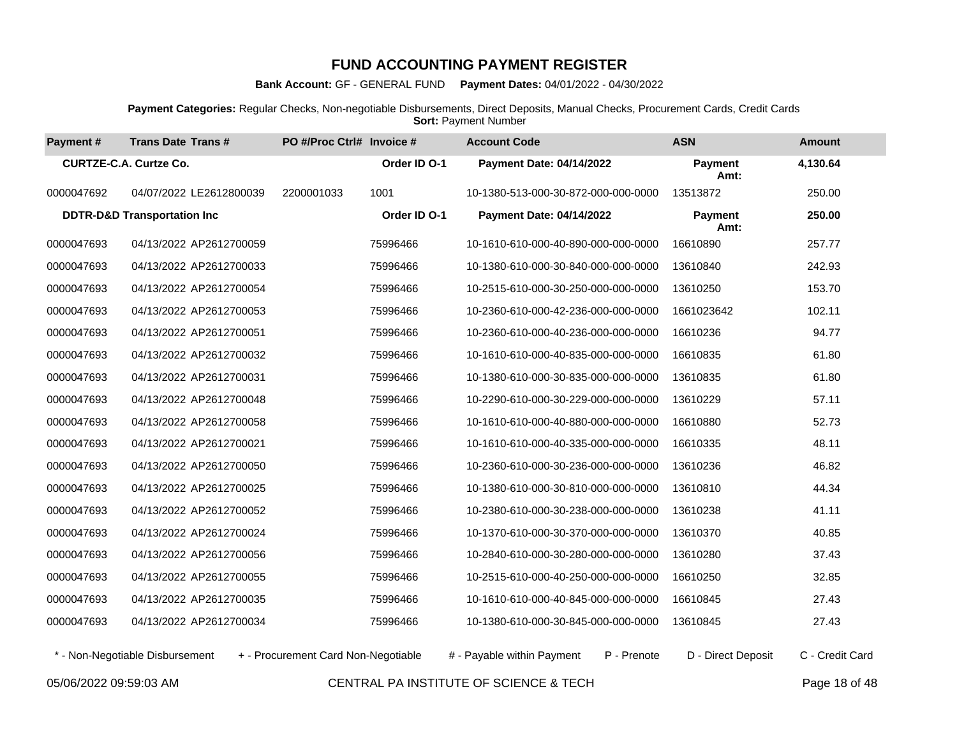**Bank Account:** GF - GENERAL FUND **Payment Dates:** 04/01/2022 - 04/30/2022

**Payment Categories:** Regular Checks, Non-negotiable Disbursements, Direct Deposits, Manual Checks, Procurement Cards, Credit Cards **Sort: Payment Number** 

| Payment#   | <b>Trans Date Trans#</b>               | PO #/Proc Ctrl# Invoice #           |              | <b>Account Code</b>                       | <b>ASN</b>             | <b>Amount</b>   |
|------------|----------------------------------------|-------------------------------------|--------------|-------------------------------------------|------------------------|-----------------|
|            | <b>CURTZE-C.A. Curtze Co.</b>          |                                     | Order ID O-1 | <b>Payment Date: 04/14/2022</b>           | <b>Payment</b><br>Amt: | 4,130.64        |
| 0000047692 | 04/07/2022 LE2612800039                | 2200001033                          | 1001         | 10-1380-513-000-30-872-000-000-0000       | 13513872               | 250.00          |
|            | <b>DDTR-D&amp;D Transportation Inc</b> |                                     | Order ID O-1 | Payment Date: 04/14/2022                  | <b>Payment</b><br>Amt: | 250.00          |
| 0000047693 | 04/13/2022 AP2612700059                |                                     | 75996466     | 10-1610-610-000-40-890-000-000-0000       | 16610890               | 257.77          |
| 0000047693 | 04/13/2022 AP2612700033                |                                     | 75996466     | 10-1380-610-000-30-840-000-000-0000       | 13610840               | 242.93          |
| 0000047693 | 04/13/2022 AP2612700054                |                                     | 75996466     | 10-2515-610-000-30-250-000-000-0000       | 13610250               | 153.70          |
| 0000047693 | 04/13/2022 AP2612700053                |                                     | 75996466     | 10-2360-610-000-42-236-000-000-0000       | 1661023642             | 102.11          |
| 0000047693 | 04/13/2022 AP2612700051                |                                     | 75996466     | 10-2360-610-000-40-236-000-000-0000       | 16610236               | 94.77           |
| 0000047693 | 04/13/2022 AP2612700032                |                                     | 75996466     | 10-1610-610-000-40-835-000-000-0000       | 16610835               | 61.80           |
| 0000047693 | 04/13/2022 AP2612700031                |                                     | 75996466     | 10-1380-610-000-30-835-000-000-0000       | 13610835               | 61.80           |
| 0000047693 | 04/13/2022 AP2612700048                |                                     | 75996466     | 10-2290-610-000-30-229-000-000-0000       | 13610229               | 57.11           |
| 0000047693 | 04/13/2022 AP2612700058                |                                     | 75996466     | 10-1610-610-000-40-880-000-000-0000       | 16610880               | 52.73           |
| 0000047693 | 04/13/2022 AP2612700021                |                                     | 75996466     | 10-1610-610-000-40-335-000-000-0000       | 16610335               | 48.11           |
| 0000047693 | 04/13/2022 AP2612700050                |                                     | 75996466     | 10-2360-610-000-30-236-000-000-0000       | 13610236               | 46.82           |
| 0000047693 | 04/13/2022 AP2612700025                |                                     | 75996466     | 10-1380-610-000-30-810-000-000-0000       | 13610810               | 44.34           |
| 0000047693 | 04/13/2022 AP2612700052                |                                     | 75996466     | 10-2380-610-000-30-238-000-000-0000       | 13610238               | 41.11           |
| 0000047693 | 04/13/2022 AP2612700024                |                                     | 75996466     | 10-1370-610-000-30-370-000-000-0000       | 13610370               | 40.85           |
| 0000047693 | 04/13/2022 AP2612700056                |                                     | 75996466     | 10-2840-610-000-30-280-000-000-0000       | 13610280               | 37.43           |
| 0000047693 | 04/13/2022 AP2612700055                |                                     | 75996466     | 10-2515-610-000-40-250-000-000-0000       | 16610250               | 32.85           |
| 0000047693 | 04/13/2022 AP2612700035                |                                     | 75996466     | 10-1610-610-000-40-845-000-000-0000       | 16610845               | 27.43           |
| 0000047693 | 04/13/2022 AP2612700034                |                                     | 75996466     | 10-1380-610-000-30-845-000-000-0000       | 13610845               | 27.43           |
|            | * - Non-Negotiable Disbursement        | + - Procurement Card Non-Negotiable |              | # - Payable within Payment<br>P - Prenote | D - Direct Deposit     | C - Credit Card |

05/06/2022 09:59:03 AM CENTRAL PA INSTITUTE OF SCIENCE & TECH Page 18 of 48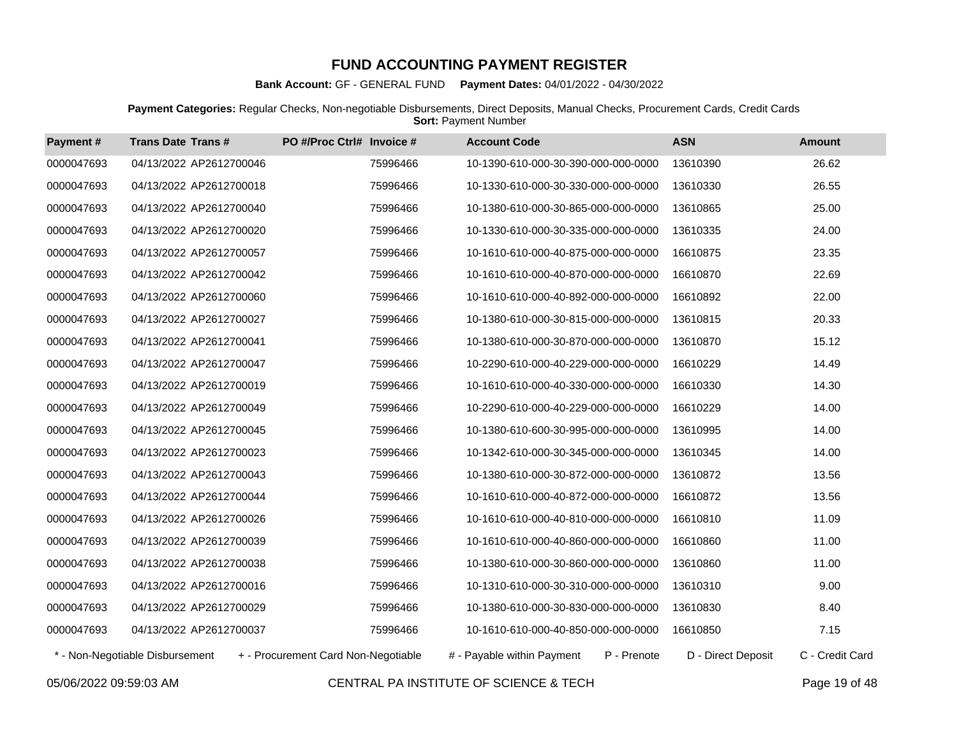**Bank Account:** GF - GENERAL FUND **Payment Dates:** 04/01/2022 - 04/30/2022

**Payment Categories:** Regular Checks, Non-negotiable Disbursements, Direct Deposits, Manual Checks, Procurement Cards, Credit Cards **Sort: Payment Number** 

| Payment #  | <b>Trans Date Trans#</b>        | PO #/Proc Ctrl# Invoice #           | <b>Account Code</b>                       | <b>ASN</b>         | <b>Amount</b>   |
|------------|---------------------------------|-------------------------------------|-------------------------------------------|--------------------|-----------------|
| 0000047693 | 04/13/2022 AP2612700046         | 75996466                            | 10-1390-610-000-30-390-000-000-0000       | 13610390           | 26.62           |
| 0000047693 | 04/13/2022 AP2612700018         | 75996466                            | 10-1330-610-000-30-330-000-000-0000       | 13610330           | 26.55           |
| 0000047693 | 04/13/2022 AP2612700040         | 75996466                            | 10-1380-610-000-30-865-000-000-0000       | 13610865           | 25.00           |
| 0000047693 | 04/13/2022 AP2612700020         | 75996466                            | 10-1330-610-000-30-335-000-000-0000       | 13610335           | 24.00           |
| 0000047693 | 04/13/2022 AP2612700057         | 75996466                            | 10-1610-610-000-40-875-000-000-0000       | 16610875           | 23.35           |
| 0000047693 | 04/13/2022 AP2612700042         | 75996466                            | 10-1610-610-000-40-870-000-000-0000       | 16610870           | 22.69           |
| 0000047693 | 04/13/2022 AP2612700060         | 75996466                            | 10-1610-610-000-40-892-000-000-0000       | 16610892           | 22.00           |
| 0000047693 | 04/13/2022 AP2612700027         | 75996466                            | 10-1380-610-000-30-815-000-000-0000       | 13610815           | 20.33           |
| 0000047693 | 04/13/2022 AP2612700041         | 75996466                            | 10-1380-610-000-30-870-000-000-0000       | 13610870           | 15.12           |
| 0000047693 | 04/13/2022 AP2612700047         | 75996466                            | 10-2290-610-000-40-229-000-000-0000       | 16610229           | 14.49           |
| 0000047693 | 04/13/2022 AP2612700019         | 75996466                            | 10-1610-610-000-40-330-000-000-0000       | 16610330           | 14.30           |
| 0000047693 | 04/13/2022 AP2612700049         | 75996466                            | 10-2290-610-000-40-229-000-000-0000       | 16610229           | 14.00           |
| 0000047693 | 04/13/2022 AP2612700045         | 75996466                            | 10-1380-610-600-30-995-000-000-0000       | 13610995           | 14.00           |
| 0000047693 | 04/13/2022 AP2612700023         | 75996466                            | 10-1342-610-000-30-345-000-000-0000       | 13610345           | 14.00           |
| 0000047693 | 04/13/2022 AP2612700043         | 75996466                            | 10-1380-610-000-30-872-000-000-0000       | 13610872           | 13.56           |
| 0000047693 | 04/13/2022 AP2612700044         | 75996466                            | 10-1610-610-000-40-872-000-000-0000       | 16610872           | 13.56           |
| 0000047693 | 04/13/2022 AP2612700026         | 75996466                            | 10-1610-610-000-40-810-000-000-0000       | 16610810           | 11.09           |
| 0000047693 | 04/13/2022 AP2612700039         | 75996466                            | 10-1610-610-000-40-860-000-000-0000       | 16610860           | 11.00           |
| 0000047693 | 04/13/2022 AP2612700038         | 75996466                            | 10-1380-610-000-30-860-000-000-0000       | 13610860           | 11.00           |
| 0000047693 | 04/13/2022 AP2612700016         | 75996466                            | 10-1310-610-000-30-310-000-000-0000       | 13610310           | 9.00            |
| 0000047693 | 04/13/2022 AP2612700029         | 75996466                            | 10-1380-610-000-30-830-000-000-0000       | 13610830           | 8.40            |
| 0000047693 | 04/13/2022 AP2612700037         | 75996466                            | 10-1610-610-000-40-850-000-000-0000       | 16610850           | 7.15            |
|            | * - Non-Negotiable Disbursement | + - Procurement Card Non-Negotiable | P - Prenote<br># - Payable within Payment | D - Direct Deposit | C - Credit Card |

05/06/2022 09:59:03 AM CENTRAL PA INSTITUTE OF SCIENCE & TECH Page 19 of 48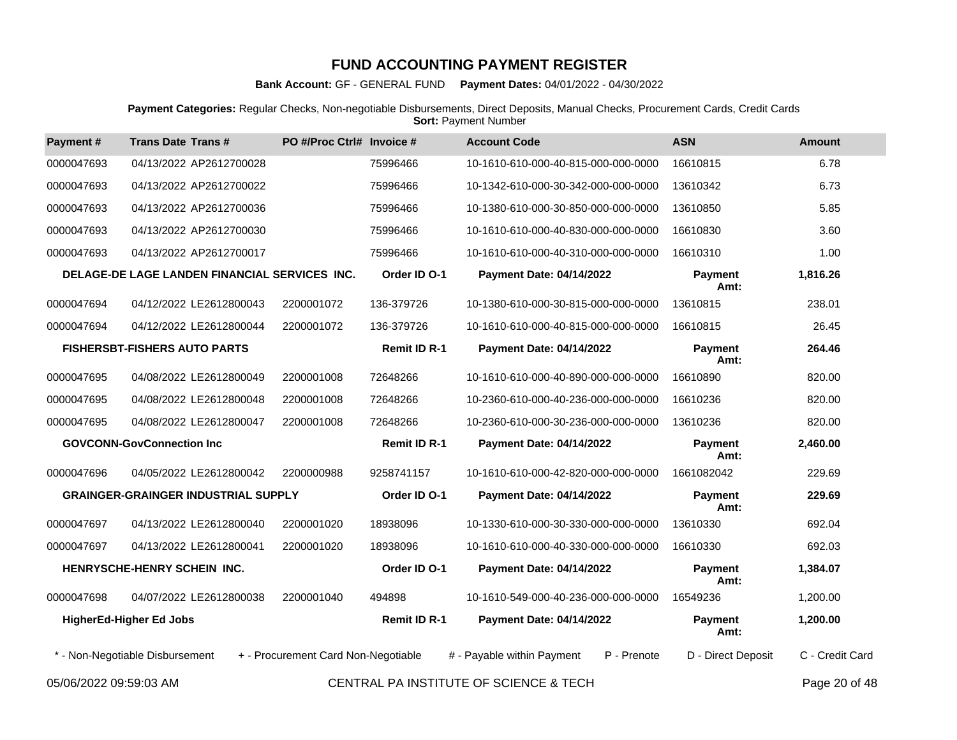**Bank Account:** GF - GENERAL FUND **Payment Dates:** 04/01/2022 - 04/30/2022

**Payment Categories:** Regular Checks, Non-negotiable Disbursements, Direct Deposits, Manual Checks, Procurement Cards, Credit Cards **Sort: Payment Number** 

| Payment#   | <b>Trans Date Trans#</b>                      | PO #/Proc Ctrl# Invoice #           |                     | <b>Account Code</b>                        | <b>ASN</b>             | <b>Amount</b>    |
|------------|-----------------------------------------------|-------------------------------------|---------------------|--------------------------------------------|------------------------|------------------|
| 0000047693 | 04/13/2022 AP2612700028                       |                                     | 75996466            | 10-1610-610-000-40-815-000-000-0000        | 16610815               | 6.78             |
| 0000047693 | 04/13/2022 AP2612700022                       |                                     | 75996466            | 10-1342-610-000-30-342-000-000-0000        | 13610342               | 6.73             |
| 0000047693 | 04/13/2022 AP2612700036                       |                                     | 75996466            | 10-1380-610-000-30-850-000-000-0000        | 13610850               | 5.85             |
| 0000047693 | 04/13/2022 AP2612700030                       |                                     | 75996466            | 10-1610-610-000-40-830-000-000-0000        | 16610830               | 3.60             |
| 0000047693 | 04/13/2022 AP2612700017                       |                                     | 75996466            | 10-1610-610-000-40-310-000-000-0000        | 16610310               | 1.00             |
|            | DELAGE-DE LAGE LANDEN FINANCIAL SERVICES INC. |                                     | Order ID O-1        | Payment Date: 04/14/2022                   | <b>Payment</b><br>Amt: | 1,816.26         |
| 0000047694 | 04/12/2022 LE2612800043                       | 2200001072                          | 136-379726          | 10-1380-610-000-30-815-000-000-0000        | 13610815               | 238.01           |
| 0000047694 | 04/12/2022 LE2612800044                       | 2200001072                          | 136-379726          | 10-1610-610-000-40-815-000-000-0000        | 16610815               | 26.45            |
|            | <b>FISHERSBT-FISHERS AUTO PARTS</b>           |                                     | <b>Remit ID R-1</b> | <b>Payment Date: 04/14/2022</b>            | <b>Payment</b><br>Amt: | 264.46           |
| 0000047695 | 04/08/2022 LE2612800049                       | 2200001008                          | 72648266            | 10-1610-610-000-40-890-000-000-0000        | 16610890               | 820.00           |
| 0000047695 | 04/08/2022 LE2612800048                       | 2200001008                          | 72648266            | 10-2360-610-000-40-236-000-000-0000        | 16610236               | 820.00           |
| 0000047695 | 04/08/2022 LE2612800047                       | 2200001008                          | 72648266            | 10-2360-610-000-30-236-000-000-0000        | 13610236               | 820.00           |
|            | <b>GOVCONN-GovConnection Inc</b>              |                                     | <b>Remit ID R-1</b> | Payment Date: 04/14/2022                   | <b>Payment</b><br>Amt: | 2,460.00         |
| 0000047696 | 04/05/2022 LE2612800042                       | 2200000988                          | 9258741157          | 10-1610-610-000-42-820-000-000-0000        | 1661082042             | 229.69           |
|            | <b>GRAINGER-GRAINGER INDUSTRIAL SUPPLY</b>    |                                     | Order ID O-1        | Payment Date: 04/14/2022                   | <b>Payment</b><br>Amt: | 229.69           |
| 0000047697 | 04/13/2022 LE2612800040                       | 2200001020                          | 18938096            | 10-1330-610-000-30-330-000-000-0000        | 13610330               | 692.04           |
| 0000047697 | 04/13/2022 LE2612800041                       | 2200001020                          | 18938096            | 10-1610-610-000-40-330-000-000-0000        | 16610330               | 692.03           |
|            | HENRYSCHE-HENRY SCHEIN INC.                   |                                     | Order ID O-1        | Payment Date: 04/14/2022                   | <b>Payment</b><br>Amt: | 1,384.07         |
| 0000047698 | 04/07/2022 LE2612800038                       | 2200001040                          | 494898              | 10-1610-549-000-40-236-000-000-0000        | 16549236               | 1,200.00         |
|            | <b>HigherEd-Higher Ed Jobs</b>                |                                     | <b>Remit ID R-1</b> | <b>Payment Date: 04/14/2022</b>            | <b>Payment</b><br>Amt: | 1,200.00         |
|            | * - Non-Negotiable Disbursement               | + - Procurement Card Non-Negotiable |                     | P - Prenote<br># - Payable within Payment  | D - Direct Deposit     | C - Credit Card  |
|            |                                               |                                     |                     | OF UTD ALL DALIMOTITUTE OF OCIEMOE A TEQUE |                        | $D = 0.00000000$ |

05/06/2022 09:59:03 AM CENTRAL PA INSTITUTE OF SCIENCE & TECH Page 20 of 48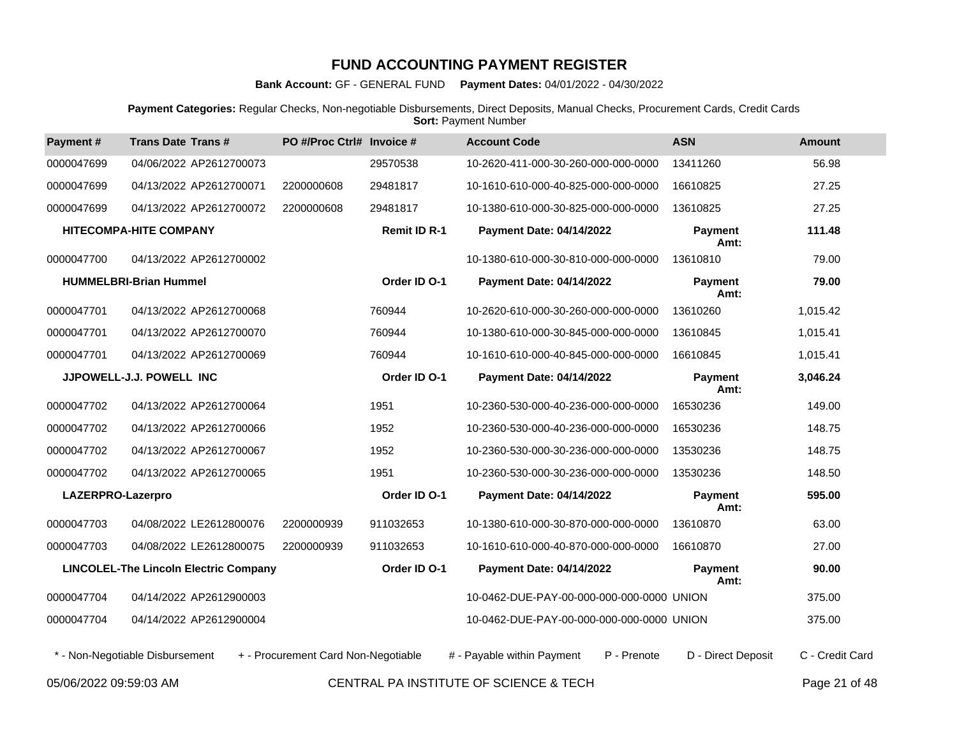**Bank Account:** GF - GENERAL FUND **Payment Dates:** 04/01/2022 - 04/30/2022

**Payment Categories:** Regular Checks, Non-negotiable Disbursements, Direct Deposits, Manual Checks, Procurement Cards, Credit Cards **Sort: Payment Number** 

| Payment#          | <b>Trans Date Trans#</b>                     | PO #/Proc Ctrl# Invoice #           |                     | <b>Account Code</b>                       | <b>ASN</b>             | <b>Amount</b>   |
|-------------------|----------------------------------------------|-------------------------------------|---------------------|-------------------------------------------|------------------------|-----------------|
| 0000047699        | 04/06/2022 AP2612700073                      |                                     | 29570538            | 10-2620-411-000-30-260-000-000-0000       | 13411260               | 56.98           |
| 0000047699        | 04/13/2022 AP2612700071                      | 2200000608                          | 29481817            | 10-1610-610-000-40-825-000-000-0000       | 16610825               | 27.25           |
| 0000047699        | 04/13/2022 AP2612700072                      | 2200000608                          | 29481817            | 10-1380-610-000-30-825-000-000-0000       | 13610825               | 27.25           |
|                   | <b>HITECOMPA-HITE COMPANY</b>                |                                     | <b>Remit ID R-1</b> | <b>Payment Date: 04/14/2022</b>           | Payment<br>Amt:        | 111.48          |
| 0000047700        | 04/13/2022 AP2612700002                      |                                     |                     | 10-1380-610-000-30-810-000-000-0000       | 13610810               | 79.00           |
|                   | <b>HUMMELBRI-Brian Hummel</b>                |                                     | Order ID O-1        | <b>Payment Date: 04/14/2022</b>           | Payment<br>Amt:        | 79.00           |
| 0000047701        | 04/13/2022 AP2612700068                      |                                     | 760944              | 10-2620-610-000-30-260-000-000-0000       | 13610260               | 1,015.42        |
| 0000047701        | 04/13/2022 AP2612700070                      |                                     | 760944              | 10-1380-610-000-30-845-000-000-0000       | 13610845               | 1,015.41        |
| 0000047701        | 04/13/2022 AP2612700069                      |                                     | 760944              | 10-1610-610-000-40-845-000-000-0000       | 16610845               | 1,015.41        |
|                   | JJPOWELL-J.J. POWELL INC                     |                                     | Order ID O-1        | <b>Payment Date: 04/14/2022</b>           | <b>Payment</b><br>Amt: | 3,046.24        |
| 0000047702        | 04/13/2022 AP2612700064                      |                                     | 1951                | 10-2360-530-000-40-236-000-000-0000       | 16530236               | 149.00          |
| 0000047702        | 04/13/2022 AP2612700066                      |                                     | 1952                | 10-2360-530-000-40-236-000-000-0000       | 16530236               | 148.75          |
| 0000047702        | 04/13/2022 AP2612700067                      |                                     | 1952                | 10-2360-530-000-30-236-000-000-0000       | 13530236               | 148.75          |
| 0000047702        | 04/13/2022 AP2612700065                      |                                     | 1951                | 10-2360-530-000-30-236-000-000-0000       | 13530236               | 148.50          |
| LAZERPRO-Lazerpro |                                              |                                     | Order ID O-1        | <b>Payment Date: 04/14/2022</b>           | <b>Payment</b><br>Amt: | 595.00          |
| 0000047703        | 04/08/2022 LE2612800076                      | 2200000939                          | 911032653           | 10-1380-610-000-30-870-000-000-0000       | 13610870               | 63.00           |
| 0000047703        | 04/08/2022 LE2612800075                      | 2200000939                          | 911032653           | 10-1610-610-000-40-870-000-000-0000       | 16610870               | 27.00           |
|                   | <b>LINCOLEL-The Lincoln Electric Company</b> |                                     | Order ID O-1        | Payment Date: 04/14/2022                  | Payment<br>Amt:        | 90.00           |
| 0000047704        | 04/14/2022 AP2612900003                      |                                     |                     | 10-0462-DUE-PAY-00-000-000-000-0000 UNION |                        | 375.00          |
| 0000047704        | 04/14/2022 AP2612900004                      |                                     |                     | 10-0462-DUE-PAY-00-000-000-000-0000 UNION |                        | 375.00          |
|                   | * - Non-Negotiable Disbursement              | + - Procurement Card Non-Negotiable |                     | # - Payable within Payment<br>P - Prenote | D - Direct Deposit     | C - Credit Card |

05/06/2022 09:59:03 AM CENTRAL PA INSTITUTE OF SCIENCE & TECH Page 21 of 48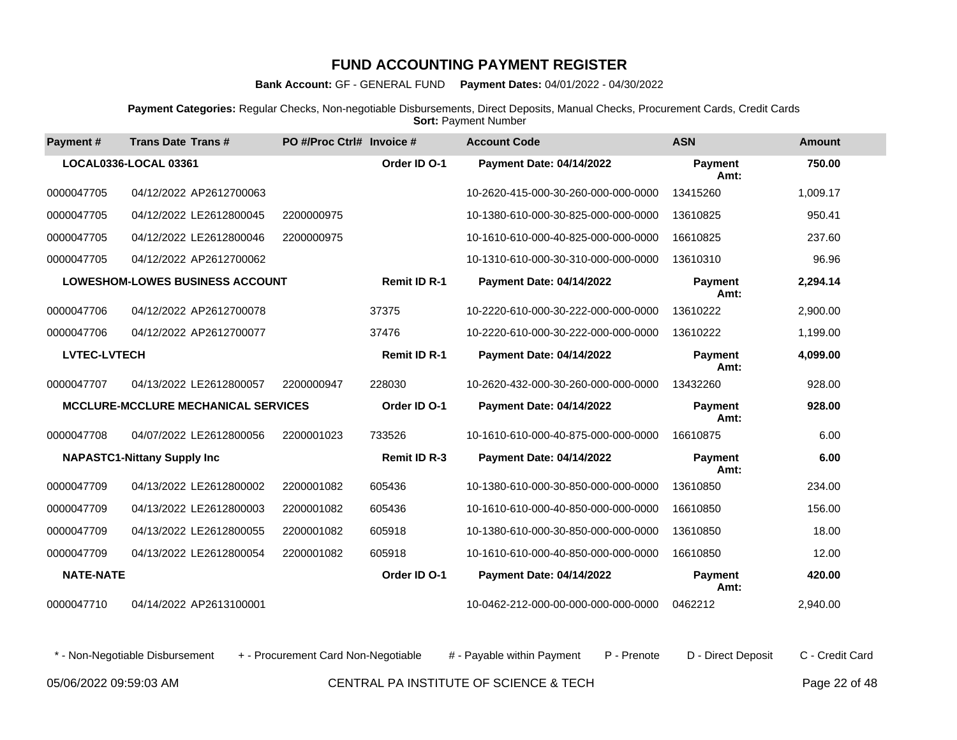**Bank Account:** GF - GENERAL FUND **Payment Dates:** 04/01/2022 - 04/30/2022

**Payment Categories:** Regular Checks, Non-negotiable Disbursements, Direct Deposits, Manual Checks, Procurement Cards, Credit Cards **Sort: Payment Number** 

| Payment#            | <b>Trans Date Trans#</b>                   | PO #/Proc Ctrl# Invoice # |                     | <b>Account Code</b>                 | <b>ASN</b>             | <b>Amount</b> |
|---------------------|--------------------------------------------|---------------------------|---------------------|-------------------------------------|------------------------|---------------|
|                     | LOCAL0336-LOCAL 03361                      |                           | Order ID O-1        | <b>Payment Date: 04/14/2022</b>     | <b>Payment</b><br>Amt: | 750.00        |
| 0000047705          | 04/12/2022 AP2612700063                    |                           |                     | 10-2620-415-000-30-260-000-000-0000 | 13415260               | 1,009.17      |
| 0000047705          | 04/12/2022 LE2612800045                    | 2200000975                |                     | 10-1380-610-000-30-825-000-000-0000 | 13610825               | 950.41        |
| 0000047705          | 04/12/2022 LE2612800046                    | 2200000975                |                     | 10-1610-610-000-40-825-000-000-0000 | 16610825               | 237.60        |
| 0000047705          | 04/12/2022 AP2612700062                    |                           |                     | 10-1310-610-000-30-310-000-000-0000 | 13610310               | 96.96         |
|                     | <b>LOWESHOM-LOWES BUSINESS ACCOUNT</b>     |                           | <b>Remit ID R-1</b> | <b>Payment Date: 04/14/2022</b>     | <b>Payment</b><br>Amt: | 2,294.14      |
| 0000047706          | 04/12/2022 AP2612700078                    |                           | 37375               | 10-2220-610-000-30-222-000-000-0000 | 13610222               | 2,900.00      |
| 0000047706          | 04/12/2022 AP2612700077                    |                           | 37476               | 10-2220-610-000-30-222-000-000-0000 | 13610222               | 1,199.00      |
| <b>LVTEC-LVTECH</b> |                                            |                           | <b>Remit ID R-1</b> | <b>Payment Date: 04/14/2022</b>     | <b>Payment</b><br>Amt: | 4,099.00      |
| 0000047707          | 04/13/2022 LE2612800057                    | 2200000947                | 228030              | 10-2620-432-000-30-260-000-000-0000 | 13432260               | 928.00        |
|                     | <b>MCCLURE-MCCLURE MECHANICAL SERVICES</b> |                           | Order ID O-1        | <b>Payment Date: 04/14/2022</b>     | <b>Payment</b><br>Amt: | 928.00        |
| 0000047708          | 04/07/2022 LE2612800056                    | 2200001023                | 733526              | 10-1610-610-000-40-875-000-000-0000 | 16610875               | 6.00          |
|                     | <b>NAPASTC1-Nittany Supply Inc</b>         |                           | <b>Remit ID R-3</b> | <b>Payment Date: 04/14/2022</b>     | <b>Pavment</b><br>Amt: | 6.00          |
| 0000047709          | 04/13/2022 LE2612800002                    | 2200001082                | 605436              | 10-1380-610-000-30-850-000-000-0000 | 13610850               | 234.00        |
| 0000047709          | 04/13/2022 LE2612800003                    | 2200001082                | 605436              | 10-1610-610-000-40-850-000-000-0000 | 16610850               | 156.00        |
| 0000047709          | 04/13/2022 LE2612800055                    | 2200001082                | 605918              | 10-1380-610-000-30-850-000-000-0000 | 13610850               | 18.00         |
| 0000047709          | 04/13/2022 LE2612800054                    | 2200001082                | 605918              | 10-1610-610-000-40-850-000-000-0000 | 16610850               | 12.00         |
| <b>NATE-NATE</b>    |                                            |                           | Order ID O-1        | <b>Payment Date: 04/14/2022</b>     | <b>Payment</b><br>Amt: | 420.00        |
| 0000047710          | 04/14/2022 AP2613100001                    |                           |                     | 10-0462-212-000-00-000-000-000-0000 | 0462212                | 2,940.00      |

\* - Non-Negotiable Disbursement + - Procurement Card Non-Negotiable # - Payable within Payment P - Prenote D - Direct Deposit C - Credit Card

05/06/2022 09:59:03 AM CENTRAL PA INSTITUTE OF SCIENCE & TECH Page 22 of 48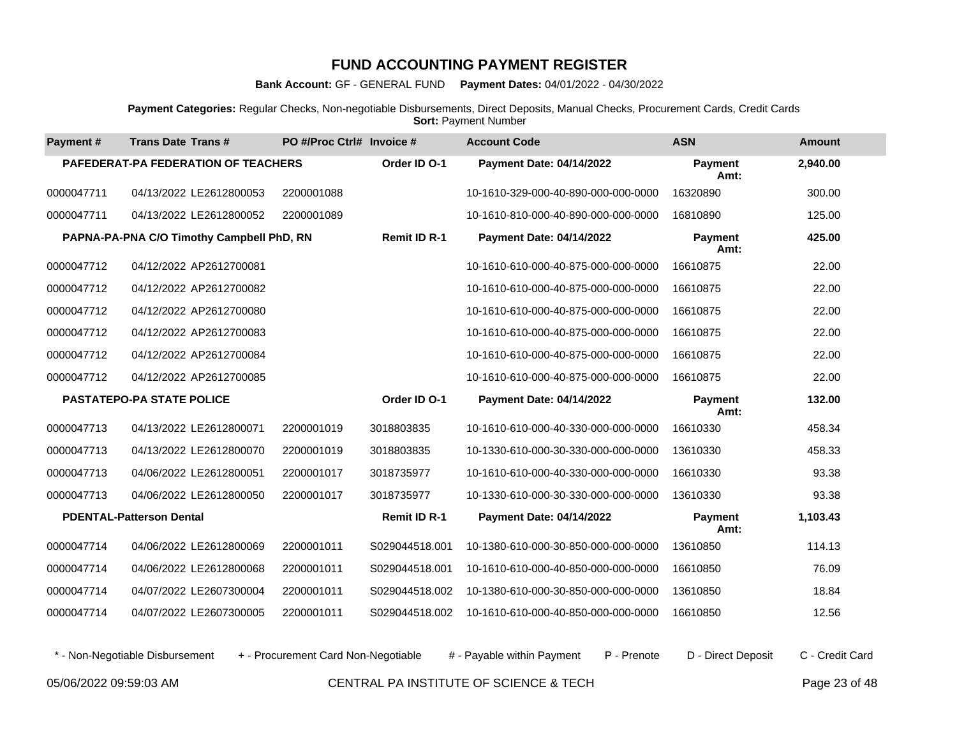**Bank Account:** GF - GENERAL FUND **Payment Dates:** 04/01/2022 - 04/30/2022

**Payment Categories:** Regular Checks, Non-negotiable Disbursements, Direct Deposits, Manual Checks, Procurement Cards, Credit Cards **Sort: Payment Number** 

| Payment#   | <b>Trans Date Trans#</b>                   | PO #/Proc Ctrl# Invoice # |                     | <b>Account Code</b>                 | <b>ASN</b>      | <b>Amount</b> |
|------------|--------------------------------------------|---------------------------|---------------------|-------------------------------------|-----------------|---------------|
|            | <b>PAFEDERAT-PA FEDERATION OF TEACHERS</b> |                           | Order ID O-1        | <b>Payment Date: 04/14/2022</b>     | Payment<br>Amt: | 2,940.00      |
| 0000047711 | 04/13/2022 LE2612800053                    | 2200001088                |                     | 10-1610-329-000-40-890-000-000-0000 | 16320890        | 300.00        |
| 0000047711 | 04/13/2022 LE2612800052                    | 2200001089                |                     | 10-1610-810-000-40-890-000-000-0000 | 16810890        | 125.00        |
|            | PAPNA-PA-PNA C/O Timothy Campbell PhD, RN  |                           | <b>Remit ID R-1</b> | <b>Payment Date: 04/14/2022</b>     | Payment<br>Amt: | 425.00        |
| 0000047712 | 04/12/2022 AP2612700081                    |                           |                     | 10-1610-610-000-40-875-000-000-0000 | 16610875        | 22.00         |
| 0000047712 | 04/12/2022 AP2612700082                    |                           |                     | 10-1610-610-000-40-875-000-000-0000 | 16610875        | 22.00         |
| 0000047712 | 04/12/2022 AP2612700080                    |                           |                     | 10-1610-610-000-40-875-000-000-0000 | 16610875        | 22.00         |
| 0000047712 | 04/12/2022 AP2612700083                    |                           |                     | 10-1610-610-000-40-875-000-000-0000 | 16610875        | 22.00         |
| 0000047712 | 04/12/2022 AP2612700084                    |                           |                     | 10-1610-610-000-40-875-000-000-0000 | 16610875        | 22.00         |
| 0000047712 | 04/12/2022 AP2612700085                    |                           |                     | 10-1610-610-000-40-875-000-000-0000 | 16610875        | 22.00         |
|            | <b>PASTATEPO-PA STATE POLICE</b>           |                           | Order ID O-1        | <b>Payment Date: 04/14/2022</b>     | Payment<br>Amt: | 132.00        |
| 0000047713 | 04/13/2022 LE2612800071                    | 2200001019                | 3018803835          | 10-1610-610-000-40-330-000-000-0000 | 16610330        | 458.34        |
| 0000047713 | 04/13/2022 LE2612800070                    | 2200001019                | 3018803835          | 10-1330-610-000-30-330-000-000-0000 | 13610330        | 458.33        |
| 0000047713 | 04/06/2022 LE2612800051                    | 2200001017                | 3018735977          | 10-1610-610-000-40-330-000-000-0000 | 16610330        | 93.38         |
| 0000047713 | 04/06/2022 LE2612800050                    | 2200001017                | 3018735977          | 10-1330-610-000-30-330-000-000-0000 | 13610330        | 93.38         |
|            | <b>PDENTAL-Patterson Dental</b>            |                           | <b>Remit ID R-1</b> | <b>Payment Date: 04/14/2022</b>     | Payment<br>Amt: | 1,103.43      |
| 0000047714 | 04/06/2022 LE2612800069                    | 2200001011                | S029044518.001      | 10-1380-610-000-30-850-000-000-0000 | 13610850        | 114.13        |
| 0000047714 | 04/06/2022 LE2612800068                    | 2200001011                | S029044518.001      | 10-1610-610-000-40-850-000-000-0000 | 16610850        | 76.09         |
| 0000047714 | 04/07/2022 LE2607300004                    | 2200001011                | S029044518.002      | 10-1380-610-000-30-850-000-000-0000 | 13610850        | 18.84         |
| 0000047714 | 04/07/2022 LE2607300005                    | 2200001011                | S029044518.002      | 10-1610-610-000-40-850-000-000-0000 | 16610850        | 12.56         |

\* - Non-Negotiable Disbursement + - Procurement Card Non-Negotiable # - Payable within Payment P - Prenote D - Direct Deposit C - Credit Card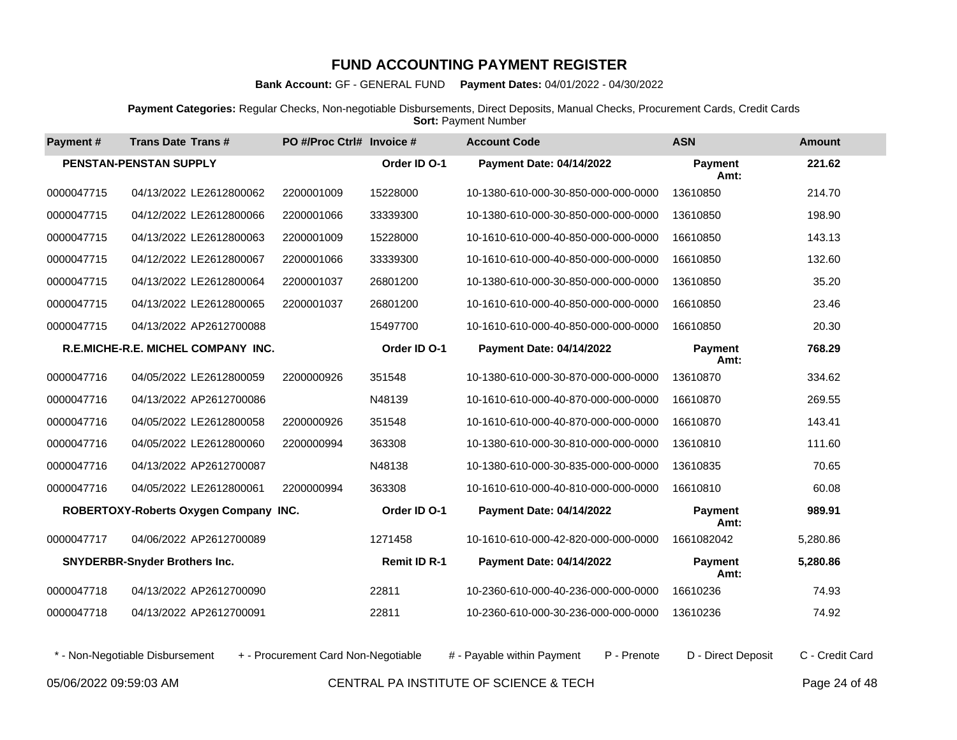**Bank Account:** GF - GENERAL FUND **Payment Dates:** 04/01/2022 - 04/30/2022

**Payment Categories:** Regular Checks, Non-negotiable Disbursements, Direct Deposits, Manual Checks, Procurement Cards, Credit Cards **Sort: Payment Number** 

| Payment#   | <b>Trans Date Trans#</b>                  | PO #/Proc Ctrl# Invoice # |                     | <b>Account Code</b>                 | <b>ASN</b>             | <b>Amount</b> |
|------------|-------------------------------------------|---------------------------|---------------------|-------------------------------------|------------------------|---------------|
|            | PENSTAN-PENSTAN SUPPLY                    |                           | Order ID O-1        | <b>Payment Date: 04/14/2022</b>     | <b>Payment</b><br>Amt: | 221.62        |
| 0000047715 | 04/13/2022 LE2612800062                   | 2200001009                | 15228000            | 10-1380-610-000-30-850-000-000-0000 | 13610850               | 214.70        |
| 0000047715 | 04/12/2022 LE2612800066                   | 2200001066                | 33339300            | 10-1380-610-000-30-850-000-000-0000 | 13610850               | 198.90        |
| 0000047715 | 04/13/2022 LE2612800063                   | 2200001009                | 15228000            | 10-1610-610-000-40-850-000-000-0000 | 16610850               | 143.13        |
| 0000047715 | 04/12/2022 LE2612800067                   | 2200001066                | 33339300            | 10-1610-610-000-40-850-000-000-0000 | 16610850               | 132.60        |
| 0000047715 | 04/13/2022 LE2612800064                   | 2200001037                | 26801200            | 10-1380-610-000-30-850-000-000-0000 | 13610850               | 35.20         |
| 0000047715 | 04/13/2022 LE2612800065                   | 2200001037                | 26801200            | 10-1610-610-000-40-850-000-000-0000 | 16610850               | 23.46         |
| 0000047715 | 04/13/2022 AP2612700088                   |                           | 15497700            | 10-1610-610-000-40-850-000-000-0000 | 16610850               | 20.30         |
|            | <b>R.E.MICHE-R.E. MICHEL COMPANY INC.</b> |                           | Order ID O-1        | <b>Payment Date: 04/14/2022</b>     | <b>Payment</b><br>Amt: | 768.29        |
| 0000047716 | 04/05/2022 LE2612800059                   | 2200000926                | 351548              | 10-1380-610-000-30-870-000-000-0000 | 13610870               | 334.62        |
| 0000047716 | 04/13/2022 AP2612700086                   |                           | N48139              | 10-1610-610-000-40-870-000-000-0000 | 16610870               | 269.55        |
| 0000047716 | 04/05/2022 LE2612800058                   | 2200000926                | 351548              | 10-1610-610-000-40-870-000-000-0000 | 16610870               | 143.41        |
| 0000047716 | 04/05/2022 LE2612800060                   | 2200000994                | 363308              | 10-1380-610-000-30-810-000-000-0000 | 13610810               | 111.60        |
| 0000047716 | 04/13/2022 AP2612700087                   |                           | N48138              | 10-1380-610-000-30-835-000-000-0000 | 13610835               | 70.65         |
| 0000047716 | 04/05/2022 LE2612800061                   | 2200000994                | 363308              | 10-1610-610-000-40-810-000-000-0000 | 16610810               | 60.08         |
|            | ROBERTOXY-Roberts Oxygen Company INC.     |                           | Order ID O-1        | <b>Payment Date: 04/14/2022</b>     | Payment<br>Amt:        | 989.91        |
| 0000047717 | 04/06/2022 AP2612700089                   |                           | 1271458             | 10-1610-610-000-42-820-000-000-0000 | 1661082042             | 5,280.86      |
|            | <b>SNYDERBR-Snyder Brothers Inc.</b>      |                           | <b>Remit ID R-1</b> | Payment Date: 04/14/2022            | <b>Payment</b><br>Amt: | 5,280.86      |
| 0000047718 | 04/13/2022 AP2612700090                   |                           | 22811               | 10-2360-610-000-40-236-000-000-0000 | 16610236               | 74.93         |
| 0000047718 | 04/13/2022 AP2612700091                   |                           | 22811               | 10-2360-610-000-30-236-000-000-0000 | 13610236               | 74.92         |

\* - Non-Negotiable Disbursement + - Procurement Card Non-Negotiable # - Payable within Payment P - Prenote D - Direct Deposit C - Credit Card

05/06/2022 09:59:03 AM CENTRAL PA INSTITUTE OF SCIENCE & TECH Page 24 of 48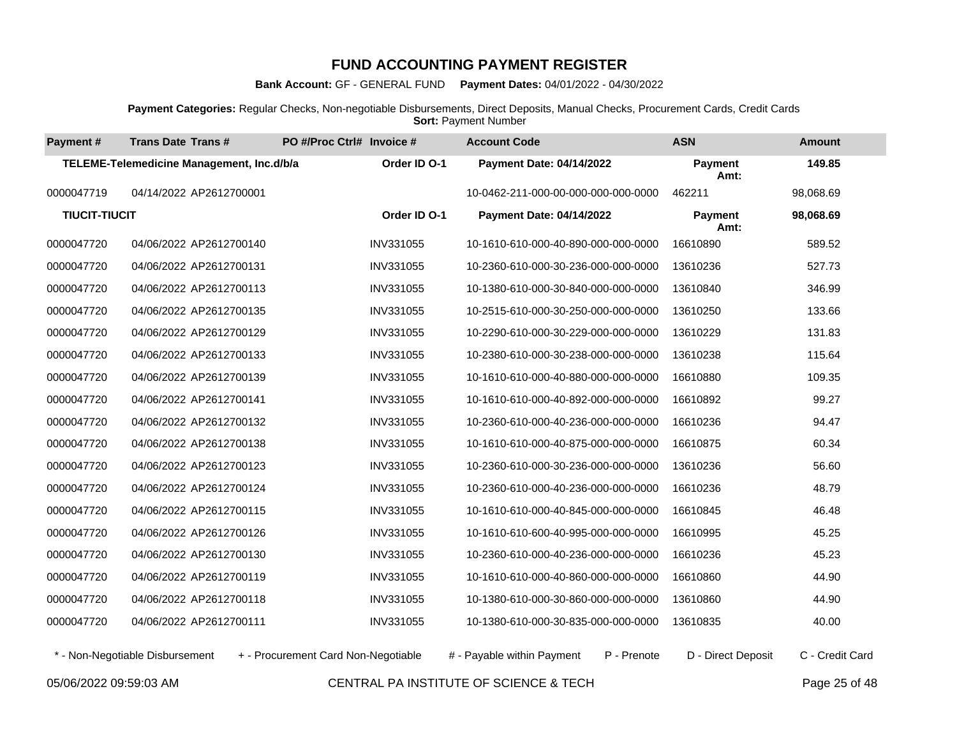**Bank Account:** GF - GENERAL FUND **Payment Dates:** 04/01/2022 - 04/30/2022

**Payment Categories:** Regular Checks, Non-negotiable Disbursements, Direct Deposits, Manual Checks, Procurement Cards, Credit Cards **Sort: Payment Number** 

| Payment#             | <b>Trans Date Trans#</b>                  | PO #/Proc Ctrl# Invoice #           |                  | <b>Account Code</b>                       | <b>ASN</b>             | <b>Amount</b>   |
|----------------------|-------------------------------------------|-------------------------------------|------------------|-------------------------------------------|------------------------|-----------------|
|                      | TELEME-Telemedicine Management, Inc.d/b/a |                                     | Order ID O-1     | <b>Payment Date: 04/14/2022</b>           | Payment<br>Amt:        | 149.85          |
| 0000047719           | 04/14/2022 AP2612700001                   |                                     |                  | 10-0462-211-000-00-000-000-000-0000       | 462211                 | 98,068.69       |
| <b>TIUCIT-TIUCIT</b> |                                           |                                     | Order ID O-1     | <b>Payment Date: 04/14/2022</b>           | <b>Payment</b><br>Amt: | 98,068.69       |
| 0000047720           | 04/06/2022 AP2612700140                   |                                     | INV331055        | 10-1610-610-000-40-890-000-000-0000       | 16610890               | 589.52          |
| 0000047720           | 04/06/2022 AP2612700131                   |                                     | INV331055        | 10-2360-610-000-30-236-000-000-0000       | 13610236               | 527.73          |
| 0000047720           | 04/06/2022 AP2612700113                   |                                     | INV331055        | 10-1380-610-000-30-840-000-000-0000       | 13610840               | 346.99          |
| 0000047720           | 04/06/2022 AP2612700135                   |                                     | INV331055        | 10-2515-610-000-30-250-000-000-0000       | 13610250               | 133.66          |
| 0000047720           | 04/06/2022 AP2612700129                   |                                     | INV331055        | 10-2290-610-000-30-229-000-000-0000       | 13610229               | 131.83          |
| 0000047720           | 04/06/2022 AP2612700133                   |                                     | INV331055        | 10-2380-610-000-30-238-000-000-0000       | 13610238               | 115.64          |
| 0000047720           | 04/06/2022 AP2612700139                   |                                     | INV331055        | 10-1610-610-000-40-880-000-000-0000       | 16610880               | 109.35          |
| 0000047720           | 04/06/2022 AP2612700141                   |                                     | INV331055        | 10-1610-610-000-40-892-000-000-0000       | 16610892               | 99.27           |
| 0000047720           | 04/06/2022 AP2612700132                   |                                     | INV331055        | 10-2360-610-000-40-236-000-000-0000       | 16610236               | 94.47           |
| 0000047720           | 04/06/2022 AP2612700138                   |                                     | INV331055        | 10-1610-610-000-40-875-000-000-0000       | 16610875               | 60.34           |
| 0000047720           | 04/06/2022 AP2612700123                   |                                     | INV331055        | 10-2360-610-000-30-236-000-000-0000       | 13610236               | 56.60           |
| 0000047720           | 04/06/2022 AP2612700124                   |                                     | INV331055        | 10-2360-610-000-40-236-000-000-0000       | 16610236               | 48.79           |
| 0000047720           | 04/06/2022 AP2612700115                   |                                     | INV331055        | 10-1610-610-000-40-845-000-000-0000       | 16610845               | 46.48           |
| 0000047720           | 04/06/2022 AP2612700126                   |                                     | INV331055        | 10-1610-610-600-40-995-000-000-0000       | 16610995               | 45.25           |
| 0000047720           | 04/06/2022 AP2612700130                   |                                     | INV331055        | 10-2360-610-000-40-236-000-000-0000       | 16610236               | 45.23           |
| 0000047720           | 04/06/2022 AP2612700119                   |                                     | <b>INV331055</b> | 10-1610-610-000-40-860-000-000-0000       | 16610860               | 44.90           |
| 0000047720           | 04/06/2022 AP2612700118                   |                                     | INV331055        | 10-1380-610-000-30-860-000-000-0000       | 13610860               | 44.90           |
| 0000047720           | 04/06/2022 AP2612700111                   |                                     | INV331055        | 10-1380-610-000-30-835-000-000-0000       | 13610835               | 40.00           |
|                      | * - Non-Negotiable Disbursement           | + - Procurement Card Non-Negotiable |                  | P - Prenote<br># - Payable within Payment | D - Direct Deposit     | C - Credit Card |

05/06/2022 09:59:03 AM CENTRAL PA INSTITUTE OF SCIENCE & TECH Page 25 of 48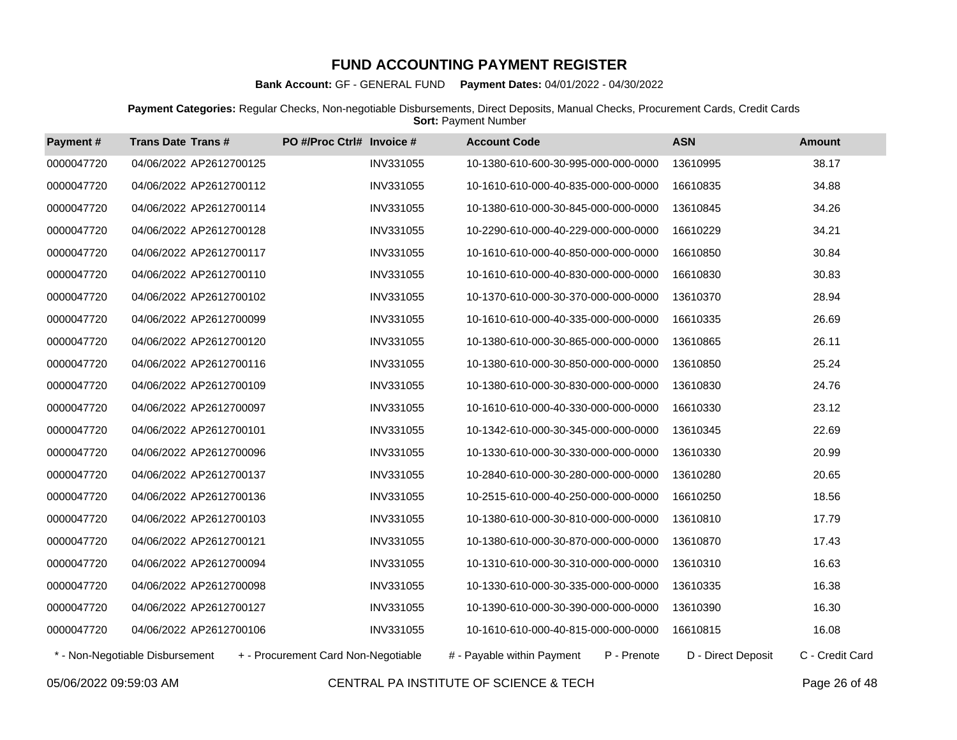**Bank Account:** GF - GENERAL FUND **Payment Dates:** 04/01/2022 - 04/30/2022

**Payment Categories:** Regular Checks, Non-negotiable Disbursements, Direct Deposits, Manual Checks, Procurement Cards, Credit Cards **Sort: Payment Number** 

| Payment#   | <b>Trans Date Trans#</b>        | PO #/Proc Ctrl# Invoice #           |                  | <b>Account Code</b>                 |             | <b>ASN</b>         | <b>Amount</b>   |
|------------|---------------------------------|-------------------------------------|------------------|-------------------------------------|-------------|--------------------|-----------------|
| 0000047720 | 04/06/2022 AP2612700125         |                                     | INV331055        | 10-1380-610-600-30-995-000-000-0000 |             | 13610995           | 38.17           |
| 0000047720 | 04/06/2022 AP2612700112         |                                     | INV331055        | 10-1610-610-000-40-835-000-000-0000 |             | 16610835           | 34.88           |
| 0000047720 | 04/06/2022 AP2612700114         |                                     | <b>INV331055</b> | 10-1380-610-000-30-845-000-000-0000 |             | 13610845           | 34.26           |
| 0000047720 | 04/06/2022 AP2612700128         |                                     | INV331055        | 10-2290-610-000-40-229-000-000-0000 |             | 16610229           | 34.21           |
| 0000047720 | 04/06/2022 AP2612700117         |                                     | INV331055        | 10-1610-610-000-40-850-000-000-0000 |             | 16610850           | 30.84           |
| 0000047720 | 04/06/2022 AP2612700110         |                                     | INV331055        | 10-1610-610-000-40-830-000-000-0000 |             | 16610830           | 30.83           |
| 0000047720 | 04/06/2022 AP2612700102         |                                     | INV331055        | 10-1370-610-000-30-370-000-000-0000 |             | 13610370           | 28.94           |
| 0000047720 | 04/06/2022 AP2612700099         |                                     | INV331055        | 10-1610-610-000-40-335-000-000-0000 |             | 16610335           | 26.69           |
| 0000047720 | 04/06/2022 AP2612700120         |                                     | INV331055        | 10-1380-610-000-30-865-000-000-0000 |             | 13610865           | 26.11           |
| 0000047720 | 04/06/2022 AP2612700116         |                                     | <b>INV331055</b> | 10-1380-610-000-30-850-000-000-0000 |             | 13610850           | 25.24           |
| 0000047720 | 04/06/2022 AP2612700109         |                                     | INV331055        | 10-1380-610-000-30-830-000-000-0000 |             | 13610830           | 24.76           |
| 0000047720 | 04/06/2022 AP2612700097         |                                     | INV331055        | 10-1610-610-000-40-330-000-000-0000 |             | 16610330           | 23.12           |
| 0000047720 | 04/06/2022 AP2612700101         |                                     | INV331055        | 10-1342-610-000-30-345-000-000-0000 |             | 13610345           | 22.69           |
| 0000047720 | 04/06/2022 AP2612700096         |                                     | INV331055        | 10-1330-610-000-30-330-000-000-0000 |             | 13610330           | 20.99           |
| 0000047720 | 04/06/2022 AP2612700137         |                                     | INV331055        | 10-2840-610-000-30-280-000-000-0000 |             | 13610280           | 20.65           |
| 0000047720 | 04/06/2022 AP2612700136         |                                     | INV331055        | 10-2515-610-000-40-250-000-000-0000 |             | 16610250           | 18.56           |
| 0000047720 | 04/06/2022 AP2612700103         |                                     | INV331055        | 10-1380-610-000-30-810-000-000-0000 |             | 13610810           | 17.79           |
| 0000047720 | 04/06/2022 AP2612700121         |                                     | <b>INV331055</b> | 10-1380-610-000-30-870-000-000-0000 |             | 13610870           | 17.43           |
| 0000047720 | 04/06/2022 AP2612700094         |                                     | INV331055        | 10-1310-610-000-30-310-000-000-0000 |             | 13610310           | 16.63           |
| 0000047720 | 04/06/2022 AP2612700098         |                                     | INV331055        | 10-1330-610-000-30-335-000-000-0000 |             | 13610335           | 16.38           |
| 0000047720 | 04/06/2022 AP2612700127         |                                     | INV331055        | 10-1390-610-000-30-390-000-000-0000 |             | 13610390           | 16.30           |
| 0000047720 | 04/06/2022 AP2612700106         |                                     | INV331055        | 10-1610-610-000-40-815-000-000-0000 |             | 16610815           | 16.08           |
|            | * - Non-Negotiable Disbursement | + - Procurement Card Non-Negotiable |                  | # - Payable within Payment          | P - Prenote | D - Direct Deposit | C - Credit Card |

05/06/2022 09:59:03 AM CENTRAL PA INSTITUTE OF SCIENCE & TECH Page 26 of 48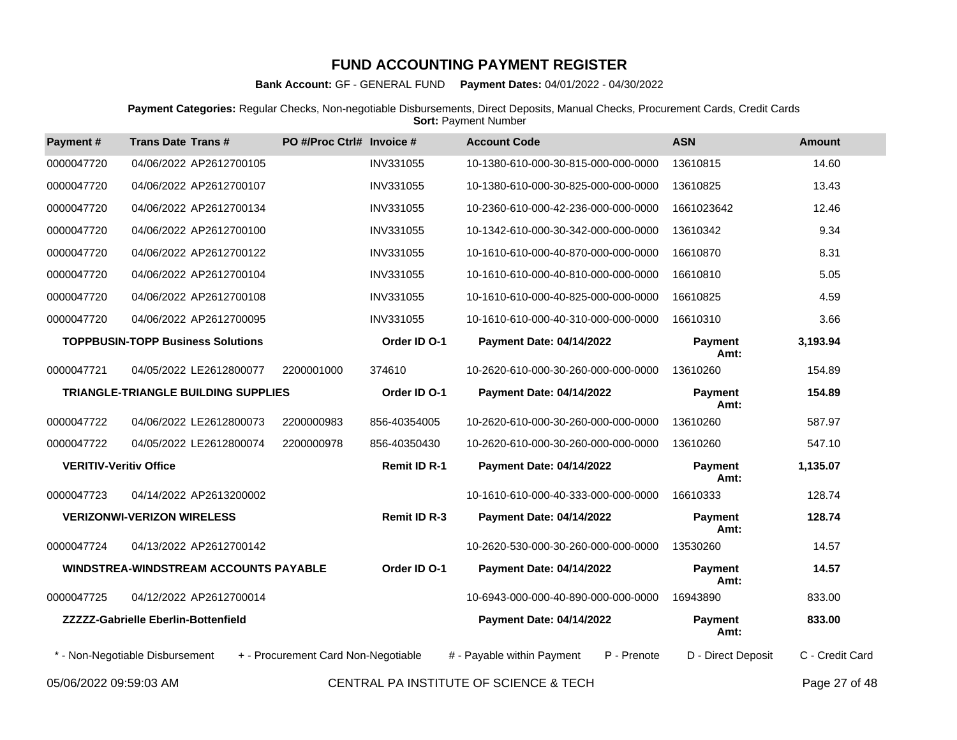**Bank Account:** GF - GENERAL FUND **Payment Dates:** 04/01/2022 - 04/30/2022

**Payment Categories:** Regular Checks, Non-negotiable Disbursements, Direct Deposits, Manual Checks, Procurement Cards, Credit Cards **Sort: Payment Number** 

| Payment#                      | <b>Trans Date Trans#</b>                     | PO #/Proc Ctrl# Invoice #           |                     | <b>Account Code</b>                       | <b>ASN</b>             | <b>Amount</b>   |
|-------------------------------|----------------------------------------------|-------------------------------------|---------------------|-------------------------------------------|------------------------|-----------------|
| 0000047720                    | 04/06/2022 AP2612700105                      |                                     | INV331055           | 10-1380-610-000-30-815-000-000-0000       | 13610815               | 14.60           |
| 0000047720                    | 04/06/2022 AP2612700107                      |                                     | <b>INV331055</b>    | 10-1380-610-000-30-825-000-000-0000       | 13610825               | 13.43           |
| 0000047720                    | 04/06/2022 AP2612700134                      |                                     | <b>INV331055</b>    | 10-2360-610-000-42-236-000-000-0000       | 1661023642             | 12.46           |
| 0000047720                    | 04/06/2022 AP2612700100                      |                                     | <b>INV331055</b>    | 10-1342-610-000-30-342-000-000-0000       | 13610342               | 9.34            |
| 0000047720                    | 04/06/2022 AP2612700122                      |                                     | INV331055           | 10-1610-610-000-40-870-000-000-0000       | 16610870               | 8.31            |
| 0000047720                    | 04/06/2022 AP2612700104                      |                                     | INV331055           | 10-1610-610-000-40-810-000-000-0000       | 16610810               | 5.05            |
| 0000047720                    | 04/06/2022 AP2612700108                      |                                     | <b>INV331055</b>    | 10-1610-610-000-40-825-000-000-0000       | 16610825               | 4.59            |
| 0000047720                    | 04/06/2022 AP2612700095                      |                                     | INV331055           | 10-1610-610-000-40-310-000-000-0000       | 16610310               | 3.66            |
|                               | <b>TOPPBUSIN-TOPP Business Solutions</b>     |                                     | Order ID O-1        | Payment Date: 04/14/2022                  | Payment<br>Amt:        | 3,193.94        |
| 0000047721                    | 04/05/2022 LE2612800077                      | 2200001000                          | 374610              | 10-2620-610-000-30-260-000-000-0000       | 13610260               | 154.89          |
|                               | TRIANGLE-TRIANGLE BUILDING SUPPLIES          |                                     | Order ID O-1        | <b>Payment Date: 04/14/2022</b>           | <b>Payment</b><br>Amt: | 154.89          |
| 0000047722                    | 04/06/2022 LE2612800073                      | 2200000983                          | 856-40354005        | 10-2620-610-000-30-260-000-000-0000       | 13610260               | 587.97          |
| 0000047722                    | 04/05/2022 LE2612800074                      | 2200000978                          | 856-40350430        | 10-2620-610-000-30-260-000-000-0000       | 13610260               | 547.10          |
| <b>VERITIV-Veritiv Office</b> |                                              |                                     | <b>Remit ID R-1</b> | <b>Payment Date: 04/14/2022</b>           | <b>Payment</b><br>Amt: | 1,135.07        |
| 0000047723                    | 04/14/2022 AP2613200002                      |                                     |                     | 10-1610-610-000-40-333-000-000-0000       | 16610333               | 128.74          |
|                               | <b>VERIZONWI-VERIZON WIRELESS</b>            |                                     | <b>Remit ID R-3</b> | <b>Payment Date: 04/14/2022</b>           | <b>Payment</b><br>Amt: | 128.74          |
| 0000047724                    | 04/13/2022 AP2612700142                      |                                     |                     | 10-2620-530-000-30-260-000-000-0000       | 13530260               | 14.57           |
|                               | <b>WINDSTREA-WINDSTREAM ACCOUNTS PAYABLE</b> |                                     | Order ID O-1        | <b>Payment Date: 04/14/2022</b>           | <b>Payment</b><br>Amt: | 14.57           |
| 0000047725                    | 04/12/2022 AP2612700014                      |                                     |                     | 10-6943-000-000-40-890-000-000-0000       | 16943890               | 833.00          |
|                               | <b>ZZZZZ-Gabrielle Eberlin-Bottenfield</b>   |                                     |                     | Payment Date: 04/14/2022                  | Payment<br>Amt:        | 833.00          |
|                               | * - Non-Negotiable Disbursement              | + - Procurement Card Non-Negotiable |                     | # - Payable within Payment<br>P - Prenote | D - Direct Deposit     | C - Credit Card |
| 05/06/2022 09:59:03 AM        |                                              |                                     |                     | CENTRAL PA INSTITUTE OF SCIENCE & TECH    |                        | Page 27 of 48   |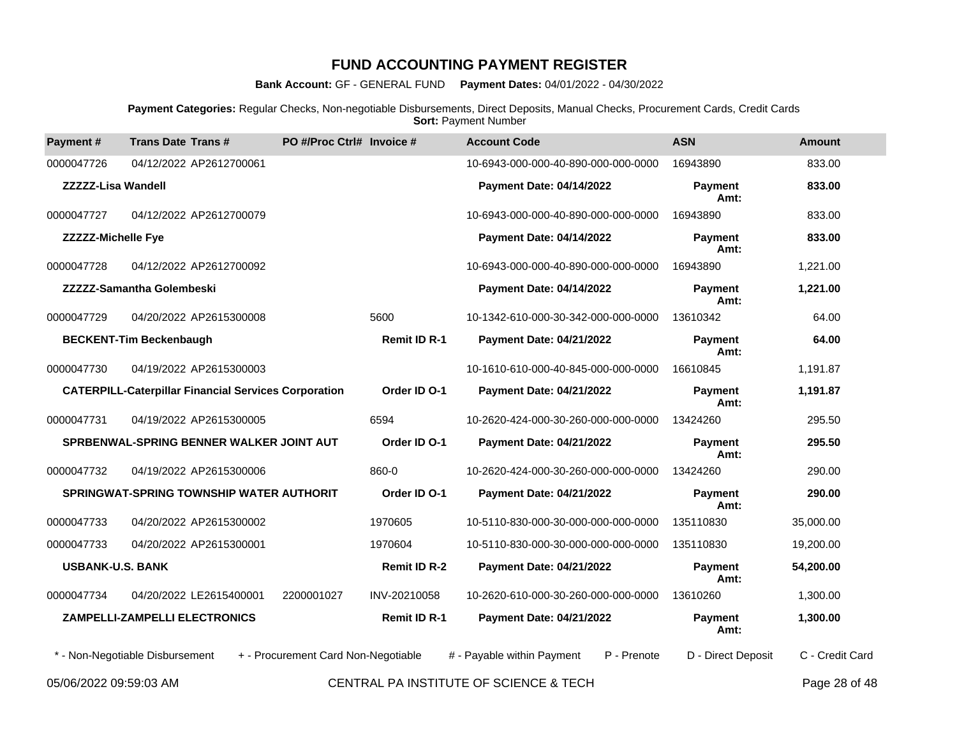**Bank Account:** GF - GENERAL FUND **Payment Dates:** 04/01/2022 - 04/30/2022

**Payment Categories:** Regular Checks, Non-negotiable Disbursements, Direct Deposits, Manual Checks, Procurement Cards, Credit Cards **Sort: Payment Number** 

| Payment#                  | <b>Trans Date Trans#</b>                                    | PO #/Proc Ctrl# Invoice #           |                     | <b>Account Code</b>                       | <b>ASN</b>             | <b>Amount</b>   |
|---------------------------|-------------------------------------------------------------|-------------------------------------|---------------------|-------------------------------------------|------------------------|-----------------|
| 0000047726                | 04/12/2022 AP2612700061                                     |                                     |                     | 10-6943-000-000-40-890-000-000-0000       | 16943890               | 833.00          |
| <b>ZZZZZ-Lisa Wandell</b> |                                                             |                                     |                     | Payment Date: 04/14/2022                  | <b>Payment</b><br>Amt: | 833.00          |
| 0000047727                | 04/12/2022 AP2612700079                                     |                                     |                     | 10-6943-000-000-40-890-000-000-0000       | 16943890               | 833.00          |
| <b>ZZZZZ-Michelle Fye</b> |                                                             |                                     |                     | <b>Payment Date: 04/14/2022</b>           | Payment<br>Amt:        | 833.00          |
| 0000047728                | 04/12/2022 AP2612700092                                     |                                     |                     | 10-6943-000-000-40-890-000-000-0000       | 16943890               | 1,221.00        |
|                           | ZZZZZ-Samantha Golembeski                                   |                                     |                     | Payment Date: 04/14/2022                  | Payment<br>Amt:        | 1,221.00        |
| 0000047729                | 04/20/2022 AP2615300008                                     |                                     | 5600                | 10-1342-610-000-30-342-000-000-0000       | 13610342               | 64.00           |
|                           | <b>BECKENT-Tim Beckenbaugh</b>                              |                                     | <b>Remit ID R-1</b> | <b>Payment Date: 04/21/2022</b>           | <b>Payment</b><br>Amt: | 64.00           |
| 0000047730                | 04/19/2022 AP2615300003                                     |                                     |                     | 10-1610-610-000-40-845-000-000-0000       | 16610845               | 1,191.87        |
|                           | <b>CATERPILL-Caterpillar Financial Services Corporation</b> |                                     | Order ID O-1        | Payment Date: 04/21/2022                  | Payment<br>Amt:        | 1,191.87        |
| 0000047731                | 04/19/2022 AP2615300005                                     |                                     | 6594                | 10-2620-424-000-30-260-000-000-0000       | 13424260               | 295.50          |
|                           | SPRBENWAL-SPRING BENNER WALKER JOINT AUT                    |                                     | Order ID O-1        | Payment Date: 04/21/2022                  | <b>Payment</b><br>Amt: | 295.50          |
| 0000047732                | 04/19/2022 AP2615300006                                     |                                     | 860-0               | 10-2620-424-000-30-260-000-000-0000       | 13424260               | 290.00          |
|                           | <b>SPRINGWAT-SPRING TOWNSHIP WATER AUTHORIT</b>             |                                     | Order ID O-1        | Payment Date: 04/21/2022                  | <b>Payment</b><br>Amt: | 290.00          |
| 0000047733                | 04/20/2022 AP2615300002                                     |                                     | 1970605             | 10-5110-830-000-30-000-000-000-0000       | 135110830              | 35,000.00       |
| 0000047733                | 04/20/2022 AP2615300001                                     |                                     | 1970604             | 10-5110-830-000-30-000-000-000-0000       | 135110830              | 19,200.00       |
| <b>USBANK-U.S. BANK</b>   |                                                             |                                     | <b>Remit ID R-2</b> | Payment Date: 04/21/2022                  | <b>Payment</b><br>Amt: | 54,200.00       |
| 0000047734                | 04/20/2022 LE2615400001                                     | 2200001027                          | INV-20210058        | 10-2620-610-000-30-260-000-000-0000       | 13610260               | 1,300.00        |
|                           | ZAMPELLI-ZAMPELLI ELECTRONICS                               |                                     | Remit ID R-1        | Payment Date: 04/21/2022                  | Payment<br>Amt:        | 1,300.00        |
|                           | * - Non-Negotiable Disbursement                             | + - Procurement Card Non-Negotiable |                     | # - Payable within Payment<br>P - Prenote | D - Direct Deposit     | C - Credit Card |
|                           |                                                             |                                     |                     |                                           |                        | -- - - -        |

05/06/2022 09:59:03 AM CENTRAL PA INSTITUTE OF SCIENCE & TECH Page 28 of 48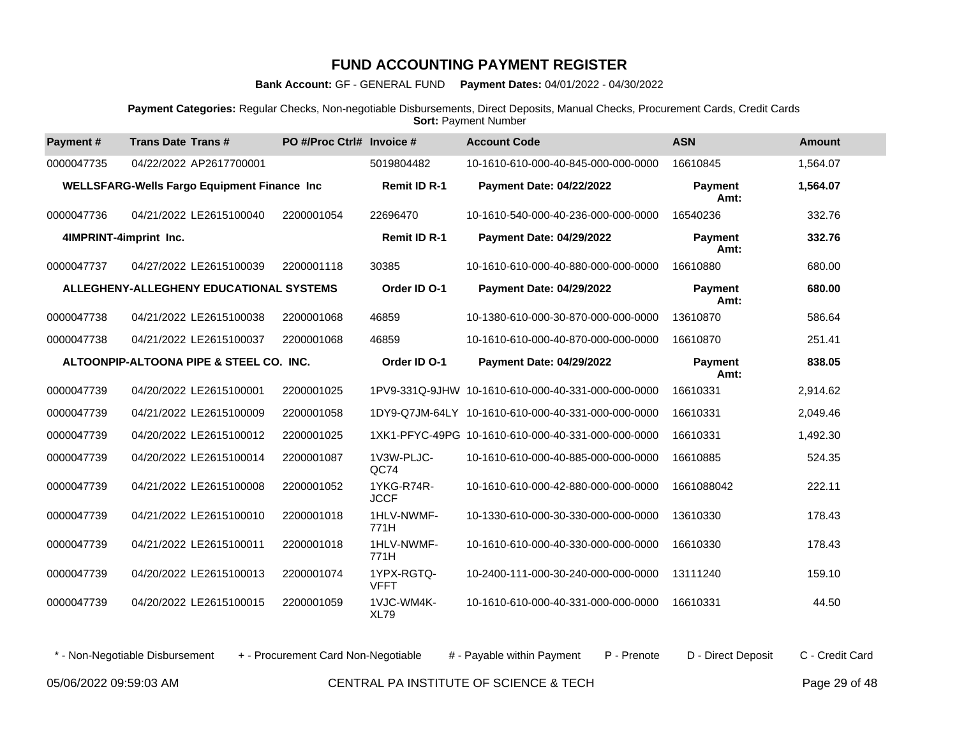**Bank Account:** GF - GENERAL FUND **Payment Dates:** 04/01/2022 - 04/30/2022

**Payment Categories:** Regular Checks, Non-negotiable Disbursements, Direct Deposits, Manual Checks, Procurement Cards, Credit Cards **Sort: Payment Number** 

| Payment#               | <b>Trans Date Trans#</b>                           | PO #/Proc Ctrl# Invoice # |                           | <b>Account Code</b>                                | <b>ASN</b>             | <b>Amount</b> |
|------------------------|----------------------------------------------------|---------------------------|---------------------------|----------------------------------------------------|------------------------|---------------|
| 0000047735             | 04/22/2022 AP2617700001                            |                           | 5019804482                | 10-1610-610-000-40-845-000-000-0000                | 16610845               | 1.564.07      |
|                        | <b>WELLSFARG-Wells Fargo Equipment Finance Inc</b> |                           | <b>Remit ID R-1</b>       | Payment Date: 04/22/2022                           | Payment<br>Amt:        | 1,564.07      |
| 0000047736             | 04/21/2022 LE2615100040                            | 2200001054                | 22696470                  | 10-1610-540-000-40-236-000-000-0000                | 16540236               | 332.76        |
| 4IMPRINT-4imprint Inc. |                                                    |                           | <b>Remit ID R-1</b>       | <b>Payment Date: 04/29/2022</b>                    | <b>Payment</b><br>Amt: | 332.76        |
| 0000047737             | 04/27/2022 LE2615100039                            | 2200001118                | 30385                     | 10-1610-610-000-40-880-000-000-0000                | 16610880               | 680.00        |
|                        | ALLEGHENY-ALLEGHENY EDUCATIONAL SYSTEMS            |                           | Order ID O-1              | Payment Date: 04/29/2022                           | <b>Payment</b><br>Amt: | 680.00        |
| 0000047738             | 04/21/2022 LE2615100038                            | 2200001068                | 46859                     | 10-1380-610-000-30-870-000-000-0000                | 13610870               | 586.64        |
| 0000047738             | 04/21/2022 LE2615100037                            | 2200001068                | 46859                     | 10-1610-610-000-40-870-000-000-0000                | 16610870               | 251.41        |
|                        | ALTOONPIP-ALTOONA PIPE & STEEL CO. INC.            |                           | Order ID O-1              | Payment Date: 04/29/2022                           | <b>Payment</b><br>Amt: | 838.05        |
| 0000047739             | 04/20/2022 LE2615100001                            | 2200001025                |                           | 1PV9-331Q-9JHW 10-1610-610-000-40-331-000-000-0000 | 16610331               | 2,914.62      |
| 0000047739             | 04/21/2022 LE2615100009                            | 2200001058                |                           | 1DY9-Q7JM-64LY 10-1610-610-000-40-331-000-000-0000 | 16610331               | 2,049.46      |
| 0000047739             | 04/20/2022 LE2615100012                            | 2200001025                |                           | 1XK1-PFYC-49PG 10-1610-610-000-40-331-000-000-0000 | 16610331               | 1,492.30      |
| 0000047739             | 04/20/2022 LE2615100014                            | 2200001087                | 1V3W-PLJC-<br>QC74        | 10-1610-610-000-40-885-000-000-0000                | 16610885               | 524.35        |
| 0000047739             | 04/21/2022 LE2615100008                            | 2200001052                | 1YKG-R74R-<br><b>JCCF</b> | 10-1610-610-000-42-880-000-000-0000                | 1661088042             | 222.11        |
| 0000047739             | 04/21/2022 LE2615100010                            | 2200001018                | 1HLV-NWMF-<br>771H        | 10-1330-610-000-30-330-000-000-0000                | 13610330               | 178.43        |
| 0000047739             | 04/21/2022 LE2615100011                            | 2200001018                | 1HLV-NWMF-<br>771H        | 10-1610-610-000-40-330-000-000-0000                | 16610330               | 178.43        |
| 0000047739             | 04/20/2022 LE2615100013                            | 2200001074                | 1YPX-RGTQ-<br><b>VFFT</b> | 10-2400-111-000-30-240-000-000-0000                | 13111240               | 159.10        |
| 0000047739             | 04/20/2022 LE2615100015                            | 2200001059                | 1VJC-WM4K-<br><b>XL79</b> | 10-1610-610-000-40-331-000-000-0000                | 16610331               | 44.50         |

\* - Non-Negotiable Disbursement + - Procurement Card Non-Negotiable # - Payable within Payment P - Prenote D - Direct Deposit C - Credit Card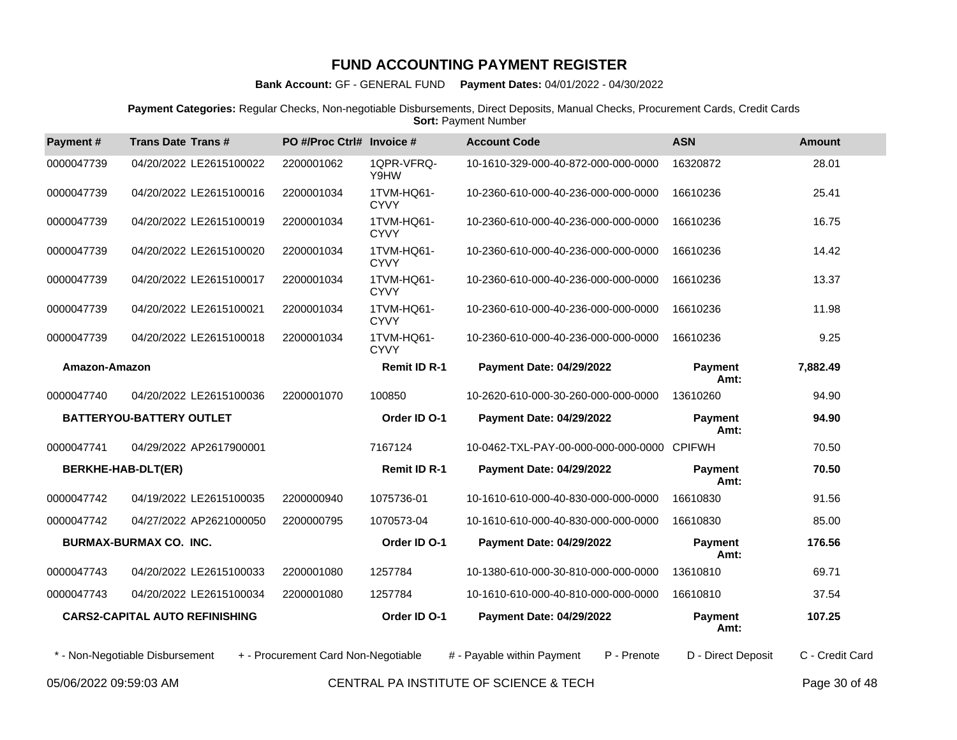**Bank Account:** GF - GENERAL FUND **Payment Dates:** 04/01/2022 - 04/30/2022

**Payment Categories:** Regular Checks, Non-negotiable Disbursements, Direct Deposits, Manual Checks, Procurement Cards, Credit Cards **Sort: Payment Number** 

| Payment#                  | <b>Trans Date Trans#</b>              | PO #/Proc Ctrl# Invoice #           |                           | <b>Account Code</b>                       | <b>ASN</b>             | <b>Amount</b>   |
|---------------------------|---------------------------------------|-------------------------------------|---------------------------|-------------------------------------------|------------------------|-----------------|
| 0000047739                | 04/20/2022 LE2615100022               | 2200001062                          | 1QPR-VFRQ-<br>Y9HW        | 10-1610-329-000-40-872-000-000-0000       | 16320872               | 28.01           |
| 0000047739                | 04/20/2022 LE2615100016               | 2200001034                          | 1TVM-HQ61-<br><b>CYVY</b> | 10-2360-610-000-40-236-000-000-0000       | 16610236               | 25.41           |
| 0000047739                | 04/20/2022 LE2615100019               | 2200001034                          | 1TVM-HQ61-<br><b>CYVY</b> | 10-2360-610-000-40-236-000-000-0000       | 16610236               | 16.75           |
| 0000047739                | 04/20/2022 LE2615100020               | 2200001034                          | 1TVM-HQ61-<br><b>CYVY</b> | 10-2360-610-000-40-236-000-000-0000       | 16610236               | 14.42           |
| 0000047739                | 04/20/2022 LE2615100017               | 2200001034                          | 1TVM-HQ61-<br><b>CYVY</b> | 10-2360-610-000-40-236-000-000-0000       | 16610236               | 13.37           |
| 0000047739                | 04/20/2022 LE2615100021               | 2200001034                          | 1TVM-HQ61-<br><b>CYVY</b> | 10-2360-610-000-40-236-000-000-0000       | 16610236               | 11.98           |
| 0000047739                | 04/20/2022 LE2615100018               | 2200001034                          | 1TVM-HQ61-<br><b>CYVY</b> | 10-2360-610-000-40-236-000-000-0000       | 16610236               | 9.25            |
| Amazon-Amazon             |                                       |                                     | <b>Remit ID R-1</b>       | <b>Payment Date: 04/29/2022</b>           | <b>Payment</b><br>Amt: | 7,882.49        |
| 0000047740                | 04/20/2022 LE2615100036               | 2200001070                          | 100850                    | 10-2620-610-000-30-260-000-000-0000       | 13610260               | 94.90           |
|                           | BATTERYOU-BATTERY OUTLET              |                                     | Order ID O-1              | <b>Payment Date: 04/29/2022</b>           | <b>Payment</b><br>Amt: | 94.90           |
| 0000047741                | 04/29/2022 AP2617900001               |                                     | 7167124                   | 10-0462-TXL-PAY-00-000-000-000-0000       | <b>CPIFWH</b>          | 70.50           |
| <b>BERKHE-HAB-DLT(ER)</b> |                                       |                                     | <b>Remit ID R-1</b>       | <b>Payment Date: 04/29/2022</b>           | <b>Payment</b><br>Amt: | 70.50           |
| 0000047742                | 04/19/2022 LE2615100035               | 2200000940                          | 1075736-01                | 10-1610-610-000-40-830-000-000-0000       | 16610830               | 91.56           |
| 0000047742                | 04/27/2022 AP2621000050               | 2200000795                          | 1070573-04                | 10-1610-610-000-40-830-000-000-0000       | 16610830               | 85.00           |
|                           | <b>BURMAX-BURMAX CO. INC.</b>         |                                     | Order ID O-1              | <b>Payment Date: 04/29/2022</b>           | <b>Payment</b><br>Amt: | 176.56          |
| 0000047743                | 04/20/2022 LE2615100033               | 2200001080                          | 1257784                   | 10-1380-610-000-30-810-000-000-0000       | 13610810               | 69.71           |
| 0000047743                | 04/20/2022 LE2615100034               | 2200001080                          | 1257784                   | 10-1610-610-000-40-810-000-000-0000       | 16610810               | 37.54           |
|                           | <b>CARS2-CAPITAL AUTO REFINISHING</b> |                                     | Order ID O-1              | <b>Payment Date: 04/29/2022</b>           | <b>Payment</b><br>Amt: | 107.25          |
|                           | * - Non-Negotiable Disbursement       | + - Procurement Card Non-Negotiable |                           | # - Payable within Payment<br>P - Prenote | D - Direct Deposit     | C - Credit Card |
|                           |                                       |                                     |                           |                                           |                        |                 |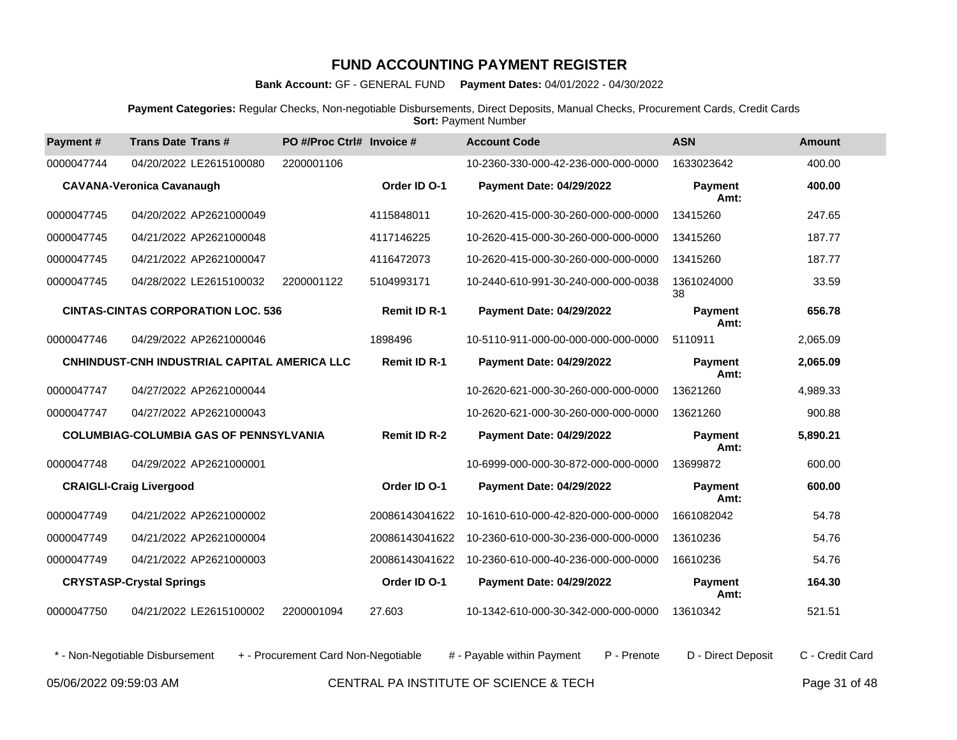**Bank Account:** GF - GENERAL FUND **Payment Dates:** 04/01/2022 - 04/30/2022

**Payment Categories:** Regular Checks, Non-negotiable Disbursements, Direct Deposits, Manual Checks, Procurement Cards, Credit Cards **Sort: Payment Number** 

| Payment#   | <b>Trans Date Trans#</b>                      | PO #/Proc Ctrl# Invoice # |                     | <b>Account Code</b>                 | <b>ASN</b>             | <b>Amount</b> |
|------------|-----------------------------------------------|---------------------------|---------------------|-------------------------------------|------------------------|---------------|
| 0000047744 | 04/20/2022 LE2615100080                       | 2200001106                |                     | 10-2360-330-000-42-236-000-000-0000 | 1633023642             | 400.00        |
|            | <b>CAVANA-Veronica Cavanaugh</b>              |                           | Order ID O-1        | Payment Date: 04/29/2022            | <b>Payment</b><br>Amt: | 400.00        |
| 0000047745 | 04/20/2022 AP2621000049                       |                           | 4115848011          | 10-2620-415-000-30-260-000-000-0000 | 13415260               | 247.65        |
| 0000047745 | 04/21/2022 AP2621000048                       |                           | 4117146225          | 10-2620-415-000-30-260-000-000-0000 | 13415260               | 187.77        |
| 0000047745 | 04/21/2022 AP2621000047                       |                           | 4116472073          | 10-2620-415-000-30-260-000-000-0000 | 13415260               | 187.77        |
| 0000047745 | 04/28/2022 LE2615100032                       | 2200001122                | 5104993171          | 10-2440-610-991-30-240-000-000-0038 | 1361024000<br>38       | 33.59         |
|            | <b>CINTAS-CINTAS CORPORATION LOC. 536</b>     |                           | <b>Remit ID R-1</b> | <b>Payment Date: 04/29/2022</b>     | <b>Payment</b><br>Amt: | 656.78        |
| 0000047746 | 04/29/2022 AP2621000046                       |                           | 1898496             | 10-5110-911-000-00-000-000-000-0000 | 5110911                | 2,065.09      |
|            | CNHINDUST-CNH INDUSTRIAL CAPITAL AMERICA LLC  |                           | <b>Remit ID R-1</b> | <b>Payment Date: 04/29/2022</b>     | Payment<br>Amt:        | 2,065.09      |
| 0000047747 | 04/27/2022 AP2621000044                       |                           |                     | 10-2620-621-000-30-260-000-000-0000 | 13621260               | 4,989.33      |
| 0000047747 | 04/27/2022 AP2621000043                       |                           |                     | 10-2620-621-000-30-260-000-000-0000 | 13621260               | 900.88        |
|            | <b>COLUMBIAG-COLUMBIA GAS OF PENNSYLVANIA</b> |                           | <b>Remit ID R-2</b> | <b>Payment Date: 04/29/2022</b>     | <b>Payment</b><br>Amt: | 5,890.21      |
| 0000047748 | 04/29/2022 AP2621000001                       |                           |                     | 10-6999-000-000-30-872-000-000-0000 | 13699872               | 600.00        |
|            | <b>CRAIGLI-Craig Livergood</b>                |                           | Order ID O-1        | <b>Payment Date: 04/29/2022</b>     | <b>Payment</b><br>Amt: | 600.00        |
| 0000047749 | 04/21/2022 AP2621000002                       |                           | 20086143041622      | 10-1610-610-000-42-820-000-000-0000 | 1661082042             | 54.78         |
| 0000047749 | 04/21/2022 AP2621000004                       |                           | 20086143041622      | 10-2360-610-000-30-236-000-000-0000 | 13610236               | 54.76         |
| 0000047749 | 04/21/2022 AP2621000003                       |                           | 20086143041622      | 10-2360-610-000-40-236-000-000-0000 | 16610236               | 54.76         |
|            | <b>CRYSTASP-Crystal Springs</b>               |                           | Order ID O-1        | <b>Payment Date: 04/29/2022</b>     | <b>Payment</b><br>Amt: | 164.30        |
| 0000047750 | 04/21/2022 LE2615100002                       | 2200001094                | 27.603              | 10-1342-610-000-30-342-000-000-0000 | 13610342               | 521.51        |

\* - Non-Negotiable Disbursement + - Procurement Card Non-Negotiable # - Payable within Payment P - Prenote D - Direct Deposit C - Credit Card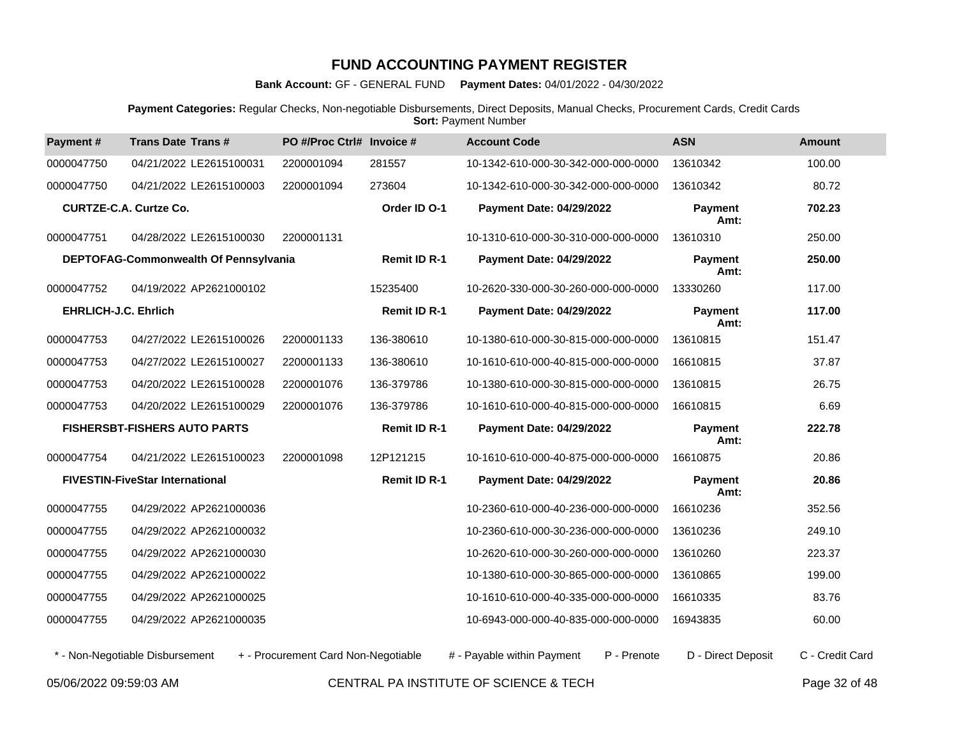**Bank Account:** GF - GENERAL FUND **Payment Dates:** 04/01/2022 - 04/30/2022

**Payment Categories:** Regular Checks, Non-negotiable Disbursements, Direct Deposits, Manual Checks, Procurement Cards, Credit Cards  **Sort:** Payment Number

| Payment#                      | <b>Trans Date Trans#</b>               | PO #/Proc Ctrl# Invoice #           |                     | <b>Account Code</b>                       | <b>ASN</b>             | <b>Amount</b>   |
|-------------------------------|----------------------------------------|-------------------------------------|---------------------|-------------------------------------------|------------------------|-----------------|
| 0000047750                    | 04/21/2022 LE2615100031                | 2200001094                          | 281557              | 10-1342-610-000-30-342-000-000-0000       | 13610342               | 100.00          |
| 0000047750                    | 04/21/2022 LE2615100003                | 2200001094                          | 273604              | 10-1342-610-000-30-342-000-000-0000       | 13610342               | 80.72           |
| <b>CURTZE-C.A. Curtze Co.</b> |                                        |                                     | Order ID O-1        | <b>Payment Date: 04/29/2022</b>           | Payment<br>Amt:        | 702.23          |
| 0000047751                    | 04/28/2022 LE2615100030                | 2200001131                          |                     | 10-1310-610-000-30-310-000-000-0000       | 13610310               | 250.00          |
|                               | DEPTOFAG-Commonwealth Of Pennsylvania  |                                     | <b>Remit ID R-1</b> | <b>Payment Date: 04/29/2022</b>           | Payment<br>Amt:        | 250.00          |
| 0000047752                    | 04/19/2022 AP2621000102                |                                     | 15235400            | 10-2620-330-000-30-260-000-000-0000       | 13330260               | 117.00          |
| <b>EHRLICH-J.C. Ehrlich</b>   |                                        |                                     | <b>Remit ID R-1</b> | <b>Payment Date: 04/29/2022</b>           | <b>Payment</b><br>Amt: | 117.00          |
| 0000047753                    | 04/27/2022 LE2615100026                | 2200001133                          | 136-380610          | 10-1380-610-000-30-815-000-000-0000       | 13610815               | 151.47          |
| 0000047753                    | 04/27/2022 LE2615100027                | 2200001133                          | 136-380610          | 10-1610-610-000-40-815-000-000-0000       | 16610815               | 37.87           |
| 0000047753                    | 04/20/2022 LE2615100028                | 2200001076                          | 136-379786          | 10-1380-610-000-30-815-000-000-0000       | 13610815               | 26.75           |
| 0000047753                    | 04/20/2022 LE2615100029                | 2200001076                          | 136-379786          | 10-1610-610-000-40-815-000-000-0000       | 16610815               | 6.69            |
|                               | <b>FISHERSBT-FISHERS AUTO PARTS</b>    |                                     | <b>Remit ID R-1</b> | <b>Payment Date: 04/29/2022</b>           | <b>Payment</b><br>Amt: | 222.78          |
| 0000047754                    | 04/21/2022 LE2615100023                | 2200001098                          | 12P121215           | 10-1610-610-000-40-875-000-000-0000       | 16610875               | 20.86           |
|                               | <b>FIVESTIN-FiveStar International</b> |                                     | <b>Remit ID R-1</b> | <b>Payment Date: 04/29/2022</b>           | <b>Payment</b><br>Amt: | 20.86           |
| 0000047755                    | 04/29/2022 AP2621000036                |                                     |                     | 10-2360-610-000-40-236-000-000-0000       | 16610236               | 352.56          |
| 0000047755                    | 04/29/2022 AP2621000032                |                                     |                     | 10-2360-610-000-30-236-000-000-0000       | 13610236               | 249.10          |
| 0000047755                    | 04/29/2022 AP2621000030                |                                     |                     | 10-2620-610-000-30-260-000-000-0000       | 13610260               | 223.37          |
| 0000047755                    | 04/29/2022 AP2621000022                |                                     |                     | 10-1380-610-000-30-865-000-000-0000       | 13610865               | 199.00          |
| 0000047755                    | 04/29/2022 AP2621000025                |                                     |                     | 10-1610-610-000-40-335-000-000-0000       | 16610335               | 83.76           |
| 0000047755                    | 04/29/2022 AP2621000035                |                                     |                     | 10-6943-000-000-40-835-000-000-0000       | 16943835               | 60.00           |
|                               | * - Non-Negotiable Disbursement        | + - Procurement Card Non-Negotiable |                     | # - Payable within Payment<br>P - Prenote | D - Direct Deposit     | C - Credit Card |

05/06/2022 09:59:03 AM CENTRAL PA INSTITUTE OF SCIENCE & TECH Page 32 of 48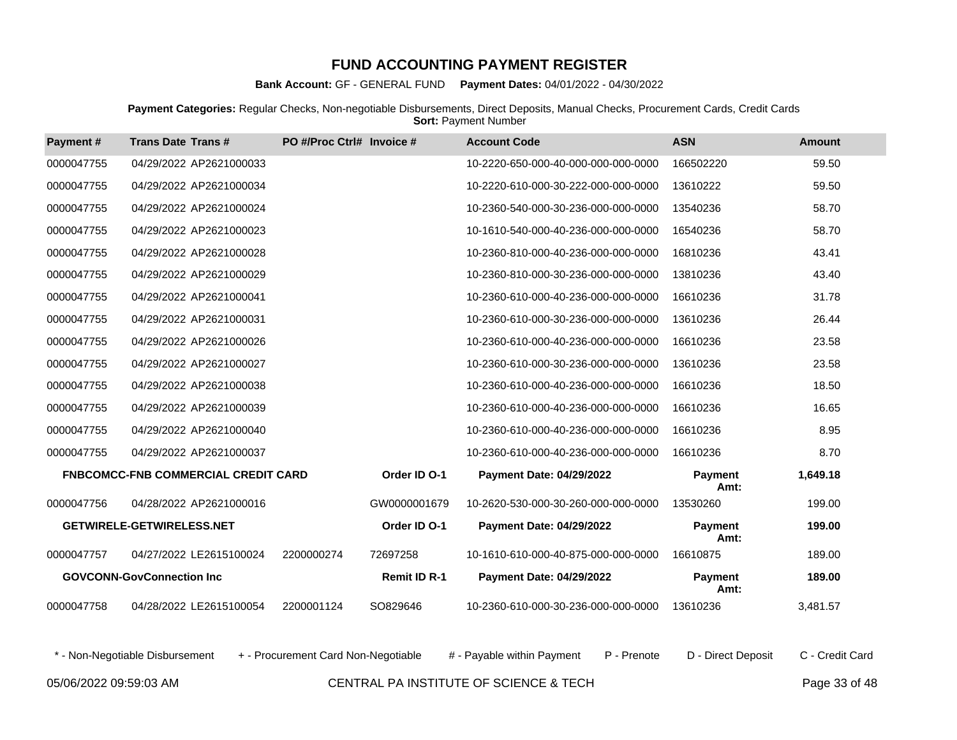**Bank Account:** GF - GENERAL FUND **Payment Dates:** 04/01/2022 - 04/30/2022

**Payment Categories:** Regular Checks, Non-negotiable Disbursements, Direct Deposits, Manual Checks, Procurement Cards, Credit Cards **Sort: Payment Number** 

| Payment#   | <b>Trans Date Trans#</b>                   | PO #/Proc Ctrl# Invoice # |                     | <b>Account Code</b>                 | <b>ASN</b>             | <b>Amount</b> |
|------------|--------------------------------------------|---------------------------|---------------------|-------------------------------------|------------------------|---------------|
| 0000047755 | 04/29/2022 AP2621000033                    |                           |                     | 10-2220-650-000-40-000-000-000-0000 | 166502220              | 59.50         |
| 0000047755 | 04/29/2022 AP2621000034                    |                           |                     | 10-2220-610-000-30-222-000-000-0000 | 13610222               | 59.50         |
| 0000047755 | 04/29/2022 AP2621000024                    |                           |                     | 10-2360-540-000-30-236-000-000-0000 | 13540236               | 58.70         |
| 0000047755 | 04/29/2022 AP2621000023                    |                           |                     | 10-1610-540-000-40-236-000-000-0000 | 16540236               | 58.70         |
| 0000047755 | 04/29/2022 AP2621000028                    |                           |                     | 10-2360-810-000-40-236-000-000-0000 | 16810236               | 43.41         |
| 0000047755 | 04/29/2022 AP2621000029                    |                           |                     | 10-2360-810-000-30-236-000-000-0000 | 13810236               | 43.40         |
| 0000047755 | 04/29/2022 AP2621000041                    |                           |                     | 10-2360-610-000-40-236-000-000-0000 | 16610236               | 31.78         |
| 0000047755 | 04/29/2022 AP2621000031                    |                           |                     | 10-2360-610-000-30-236-000-000-0000 | 13610236               | 26.44         |
| 0000047755 | 04/29/2022 AP2621000026                    |                           |                     | 10-2360-610-000-40-236-000-000-0000 | 16610236               | 23.58         |
| 0000047755 | 04/29/2022 AP2621000027                    |                           |                     | 10-2360-610-000-30-236-000-000-0000 | 13610236               | 23.58         |
| 0000047755 | 04/29/2022 AP2621000038                    |                           |                     | 10-2360-610-000-40-236-000-000-0000 | 16610236               | 18.50         |
| 0000047755 | 04/29/2022 AP2621000039                    |                           |                     | 10-2360-610-000-40-236-000-000-0000 | 16610236               | 16.65         |
| 0000047755 | 04/29/2022 AP2621000040                    |                           |                     | 10-2360-610-000-40-236-000-000-0000 | 16610236               | 8.95          |
| 0000047755 | 04/29/2022 AP2621000037                    |                           |                     | 10-2360-610-000-40-236-000-000-0000 | 16610236               | 8.70          |
|            | <b>FNBCOMCC-FNB COMMERCIAL CREDIT CARD</b> |                           | Order ID O-1        | <b>Payment Date: 04/29/2022</b>     | <b>Payment</b><br>Amt: | 1,649.18      |
| 0000047756 | 04/28/2022 AP2621000016                    |                           | GW0000001679        | 10-2620-530-000-30-260-000-000-0000 | 13530260               | 199.00        |
|            | <b>GETWIRELE-GETWIRELESS.NET</b>           |                           | Order ID O-1        | Payment Date: 04/29/2022            | <b>Payment</b><br>Amt: | 199.00        |
| 0000047757 | 04/27/2022 LE2615100024                    | 2200000274                | 72697258            | 10-1610-610-000-40-875-000-000-0000 | 16610875               | 189.00        |
|            | <b>GOVCONN-GovConnection Inc.</b>          |                           | <b>Remit ID R-1</b> | <b>Payment Date: 04/29/2022</b>     | <b>Payment</b><br>Amt: | 189.00        |
| 0000047758 | 04/28/2022 LE2615100054                    | 2200001124                | SO829646            | 10-2360-610-000-30-236-000-000-0000 | 13610236               | 3,481.57      |

\* - Non-Negotiable Disbursement + - Procurement Card Non-Negotiable # - Payable within Payment P - Prenote D - Direct Deposit C - Credit Card

05/06/2022 09:59:03 AM CENTRAL PA INSTITUTE OF SCIENCE & TECH Page 33 of 48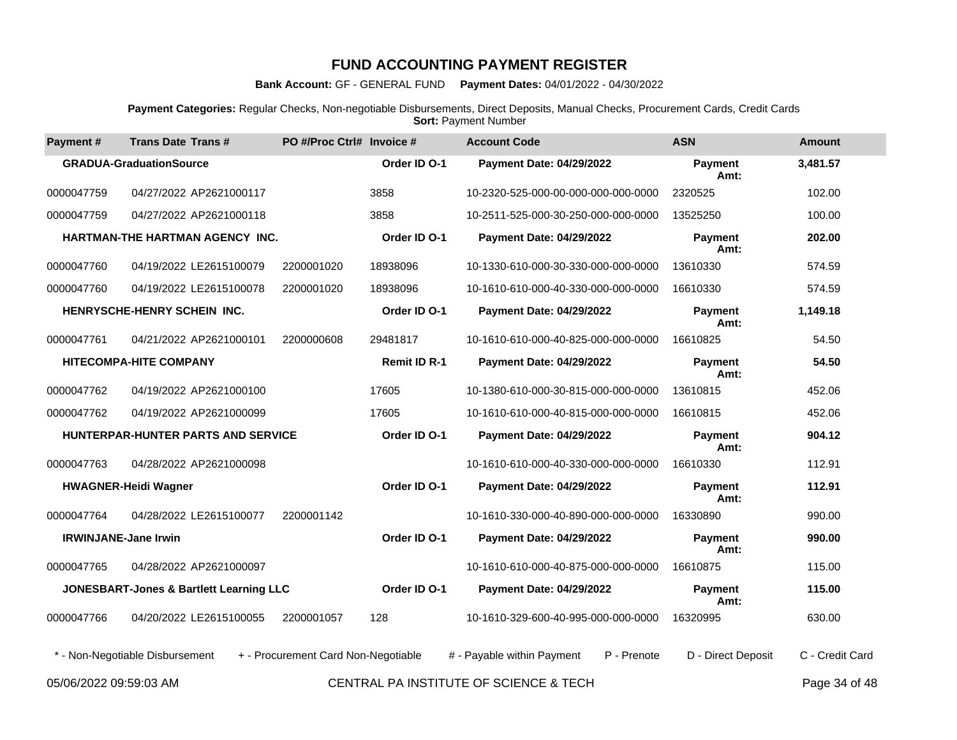**Bank Account:** GF - GENERAL FUND **Payment Dates:** 04/01/2022 - 04/30/2022

**Payment Categories:** Regular Checks, Non-negotiable Disbursements, Direct Deposits, Manual Checks, Procurement Cards, Credit Cards **Sort: Payment Number** 

| Payment#                    | <b>Trans Date Trans#</b>                | PO #/Proc Ctrl# Invoice #           |                     | <b>Account Code</b>                       | <b>ASN</b>             | Amount          |
|-----------------------------|-----------------------------------------|-------------------------------------|---------------------|-------------------------------------------|------------------------|-----------------|
|                             | <b>GRADUA-GraduationSource</b>          |                                     | Order ID O-1        | <b>Payment Date: 04/29/2022</b>           | <b>Payment</b><br>Amt: | 3,481.57        |
| 0000047759                  | 04/27/2022 AP2621000117                 |                                     | 3858                | 10-2320-525-000-00-000-000-000-0000       | 2320525                | 102.00          |
| 0000047759                  | 04/27/2022 AP2621000118                 |                                     | 3858                | 10-2511-525-000-30-250-000-000-0000       | 13525250               | 100.00          |
|                             | HARTMAN-THE HARTMAN AGENCY INC.         |                                     | Order ID O-1        | <b>Payment Date: 04/29/2022</b>           | <b>Payment</b><br>Amt: | 202.00          |
| 0000047760                  | 04/19/2022 LE2615100079                 | 2200001020                          | 18938096            | 10-1330-610-000-30-330-000-000-0000       | 13610330               | 574.59          |
| 0000047760                  | 04/19/2022 LE2615100078                 | 2200001020                          | 18938096            | 10-1610-610-000-40-330-000-000-0000       | 16610330               | 574.59          |
|                             | HENRYSCHE-HENRY SCHEIN INC.             |                                     | Order ID O-1        | Payment Date: 04/29/2022                  | <b>Payment</b><br>Amt: | 1,149.18        |
| 0000047761                  | 04/21/2022 AP2621000101                 | 2200000608                          | 29481817            | 10-1610-610-000-40-825-000-000-0000       | 16610825               | 54.50           |
|                             | <b>HITECOMPA-HITE COMPANY</b>           |                                     | <b>Remit ID R-1</b> | <b>Payment Date: 04/29/2022</b>           | <b>Payment</b><br>Amt: | 54.50           |
| 0000047762                  | 04/19/2022 AP2621000100                 |                                     | 17605               | 10-1380-610-000-30-815-000-000-0000       | 13610815               | 452.06          |
| 0000047762                  | 04/19/2022 AP2621000099                 |                                     | 17605               | 10-1610-610-000-40-815-000-000-0000       | 16610815               | 452.06          |
|                             | HUNTERPAR-HUNTER PARTS AND SERVICE      |                                     | Order ID O-1        | <b>Payment Date: 04/29/2022</b>           | <b>Payment</b><br>Amt: | 904.12          |
| 0000047763                  | 04/28/2022 AP2621000098                 |                                     |                     | 10-1610-610-000-40-330-000-000-0000       | 16610330               | 112.91          |
|                             | <b>HWAGNER-Heidi Wagner</b>             |                                     | Order ID O-1        | <b>Payment Date: 04/29/2022</b>           | <b>Payment</b><br>Amt: | 112.91          |
| 0000047764                  | 04/28/2022 LE2615100077                 | 2200001142                          |                     | 10-1610-330-000-40-890-000-000-0000       | 16330890               | 990.00          |
| <b>IRWINJANE-Jane Irwin</b> |                                         |                                     | Order ID O-1        | <b>Payment Date: 04/29/2022</b>           | <b>Payment</b><br>Amt: | 990.00          |
| 0000047765                  | 04/28/2022 AP2621000097                 |                                     |                     | 10-1610-610-000-40-875-000-000-0000       | 16610875               | 115.00          |
|                             | JONESBART-Jones & Bartlett Learning LLC |                                     | Order ID O-1        | <b>Payment Date: 04/29/2022</b>           | <b>Payment</b><br>Amt: | 115.00          |
| 0000047766                  | 04/20/2022 LE2615100055                 | 2200001057                          | 128                 | 10-1610-329-600-40-995-000-000-0000       | 16320995               | 630.00          |
|                             | * - Non-Negotiable Disbursement         | + - Procurement Card Non-Negotiable |                     | # - Payable within Payment<br>P - Prenote | D - Direct Deposit     | C - Credit Card |
| 05/06/2022 09:59:03 AM      |                                         |                                     |                     | CENTRAL PA INSTITUTE OF SCIENCE & TECH    |                        | Page 34 of 48   |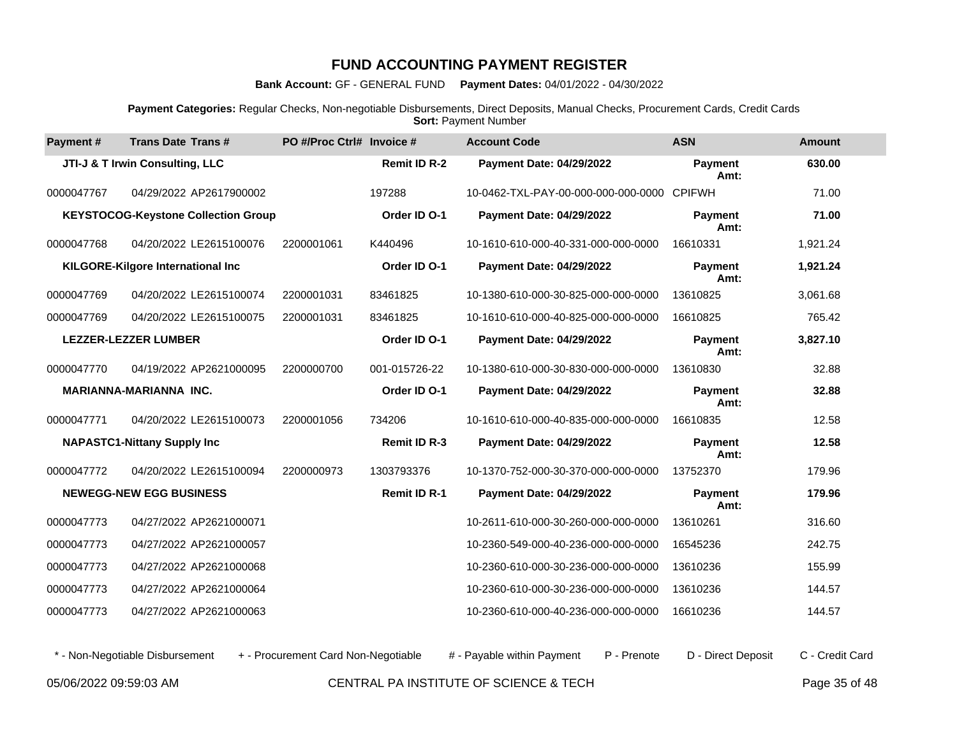**Bank Account:** GF - GENERAL FUND **Payment Dates:** 04/01/2022 - 04/30/2022

**Payment Categories:** Regular Checks, Non-negotiable Disbursements, Direct Deposits, Manual Checks, Procurement Cards, Credit Cards **Sort: Payment Number** 

| Payment#   | <b>Trans Date Trans#</b>                   | PO #/Proc Ctrl# Invoice # |                     | <b>Account Code</b>                        | <b>ASN</b>             | <b>Amount</b> |
|------------|--------------------------------------------|---------------------------|---------------------|--------------------------------------------|------------------------|---------------|
|            | JTI-J & T Irwin Consulting, LLC            |                           | <b>Remit ID R-2</b> | <b>Payment Date: 04/29/2022</b>            | <b>Payment</b><br>Amt: | 630.00        |
| 0000047767 | 04/29/2022 AP2617900002                    |                           | 197288              | 10-0462-TXL-PAY-00-000-000-000-0000 CPIFWH |                        | 71.00         |
|            | <b>KEYSTOCOG-Keystone Collection Group</b> |                           | Order ID O-1        | Payment Date: 04/29/2022                   | <b>Payment</b><br>Amt: | 71.00         |
| 0000047768 | 04/20/2022 LE2615100076                    | 2200001061                | K440496             | 10-1610-610-000-40-331-000-000-0000        | 16610331               | 1,921.24      |
|            | KILGORE-Kilgore International Inc          |                           | Order ID O-1        | Payment Date: 04/29/2022                   | <b>Payment</b><br>Amt: | 1,921.24      |
| 0000047769 | 04/20/2022 LE2615100074                    | 2200001031                | 83461825            | 10-1380-610-000-30-825-000-000-0000        | 13610825               | 3,061.68      |
| 0000047769 | 04/20/2022 LE2615100075                    | 2200001031                | 83461825            | 10-1610-610-000-40-825-000-000-0000        | 16610825               | 765.42        |
|            | <b>LEZZER-LEZZER LUMBER</b>                |                           | Order ID O-1        | <b>Payment Date: 04/29/2022</b>            | Payment<br>Amt:        | 3,827.10      |
| 0000047770 | 04/19/2022 AP2621000095                    | 2200000700                | 001-015726-22       | 10-1380-610-000-30-830-000-000-0000        | 13610830               | 32.88         |
|            | <b>MARIANNA-MARIANNA INC.</b>              |                           | Order ID O-1        | <b>Payment Date: 04/29/2022</b>            | Payment<br>Amt:        | 32.88         |
| 0000047771 | 04/20/2022 LE2615100073                    | 2200001056                | 734206              | 10-1610-610-000-40-835-000-000-0000        | 16610835               | 12.58         |
|            | <b>NAPASTC1-Nittany Supply Inc</b>         |                           | <b>Remit ID R-3</b> | <b>Payment Date: 04/29/2022</b>            | <b>Payment</b><br>Amt: | 12.58         |
| 0000047772 | 04/20/2022 LE2615100094                    | 2200000973                | 1303793376          | 10-1370-752-000-30-370-000-000-0000        | 13752370               | 179.96        |
|            | <b>NEWEGG-NEW EGG BUSINESS</b>             |                           | <b>Remit ID R-1</b> | Payment Date: 04/29/2022                   | <b>Payment</b><br>Amt: | 179.96        |
| 0000047773 | 04/27/2022 AP2621000071                    |                           |                     | 10-2611-610-000-30-260-000-000-0000        | 13610261               | 316.60        |
| 0000047773 | 04/27/2022 AP2621000057                    |                           |                     | 10-2360-549-000-40-236-000-000-0000        | 16545236               | 242.75        |
| 0000047773 | 04/27/2022 AP2621000068                    |                           |                     | 10-2360-610-000-30-236-000-000-0000        | 13610236               | 155.99        |
| 0000047773 | 04/27/2022 AP2621000064                    |                           |                     | 10-2360-610-000-30-236-000-000-0000        | 13610236               | 144.57        |
| 0000047773 | 04/27/2022 AP2621000063                    |                           |                     | 10-2360-610-000-40-236-000-000-0000        | 16610236               | 144.57        |

\* - Non-Negotiable Disbursement + - Procurement Card Non-Negotiable # - Payable within Payment P - Prenote D - Direct Deposit C - Credit Card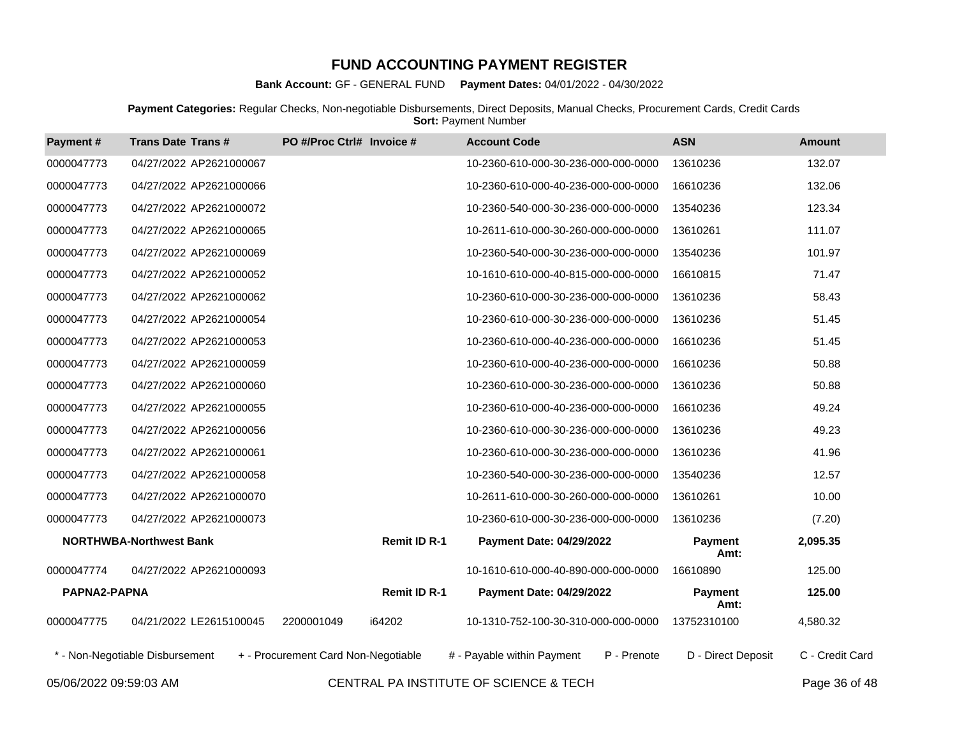**Bank Account:** GF - GENERAL FUND **Payment Dates:** 04/01/2022 - 04/30/2022

**Payment Categories:** Regular Checks, Non-negotiable Disbursements, Direct Deposits, Manual Checks, Procurement Cards, Credit Cards **Sort: Payment Number** 

| Payment#     | <b>Trans Date Trans#</b>        | PO #/Proc Ctrl# Invoice #           | <b>Account Code</b>                       | <b>ASN</b>             | <b>Amount</b>   |
|--------------|---------------------------------|-------------------------------------|-------------------------------------------|------------------------|-----------------|
| 0000047773   | 04/27/2022 AP2621000067         |                                     | 10-2360-610-000-30-236-000-000-0000       | 13610236               | 132.07          |
| 0000047773   | 04/27/2022 AP2621000066         |                                     | 10-2360-610-000-40-236-000-000-0000       | 16610236               | 132.06          |
| 0000047773   | 04/27/2022 AP2621000072         |                                     | 10-2360-540-000-30-236-000-000-0000       | 13540236               | 123.34          |
| 0000047773   | 04/27/2022 AP2621000065         |                                     | 10-2611-610-000-30-260-000-000-0000       | 13610261               | 111.07          |
| 0000047773   | 04/27/2022 AP2621000069         |                                     | 10-2360-540-000-30-236-000-000-0000       | 13540236               | 101.97          |
| 0000047773   | 04/27/2022 AP2621000052         |                                     | 10-1610-610-000-40-815-000-000-0000       | 16610815               | 71.47           |
| 0000047773   | 04/27/2022 AP2621000062         |                                     | 10-2360-610-000-30-236-000-000-0000       | 13610236               | 58.43           |
| 0000047773   | 04/27/2022 AP2621000054         |                                     | 10-2360-610-000-30-236-000-000-0000       | 13610236               | 51.45           |
| 0000047773   | 04/27/2022 AP2621000053         |                                     | 10-2360-610-000-40-236-000-000-0000       | 16610236               | 51.45           |
| 0000047773   | 04/27/2022 AP2621000059         |                                     | 10-2360-610-000-40-236-000-000-0000       | 16610236               | 50.88           |
| 0000047773   | 04/27/2022 AP2621000060         |                                     | 10-2360-610-000-30-236-000-000-0000       | 13610236               | 50.88           |
| 0000047773   | 04/27/2022 AP2621000055         |                                     | 10-2360-610-000-40-236-000-000-0000       | 16610236               | 49.24           |
| 0000047773   | 04/27/2022 AP2621000056         |                                     | 10-2360-610-000-30-236-000-000-0000       | 13610236               | 49.23           |
| 0000047773   | 04/27/2022 AP2621000061         |                                     | 10-2360-610-000-30-236-000-000-0000       | 13610236               | 41.96           |
| 0000047773   | 04/27/2022 AP2621000058         |                                     | 10-2360-540-000-30-236-000-000-0000       | 13540236               | 12.57           |
| 0000047773   | 04/27/2022 AP2621000070         |                                     | 10-2611-610-000-30-260-000-000-0000       | 13610261               | 10.00           |
| 0000047773   | 04/27/2022 AP2621000073         |                                     | 10-2360-610-000-30-236-000-000-0000       | 13610236               | (7.20)          |
|              | <b>NORTHWBA-Northwest Bank</b>  | <b>Remit ID R-1</b>                 | <b>Payment Date: 04/29/2022</b>           | <b>Payment</b><br>Amt: | 2,095.35        |
| 0000047774   | 04/27/2022 AP2621000093         |                                     | 10-1610-610-000-40-890-000-000-0000       | 16610890               | 125.00          |
| PAPNA2-PAPNA |                                 | <b>Remit ID R-1</b>                 | Payment Date: 04/29/2022                  | <b>Payment</b><br>Amt: | 125.00          |
| 0000047775   | 04/21/2022 LE2615100045         | i64202<br>2200001049                | 10-1310-752-100-30-310-000-000-0000       | 13752310100            | 4,580.32        |
|              | * - Non-Negotiable Disbursement | + - Procurement Card Non-Negotiable | P - Prenote<br># - Payable within Payment | D - Direct Deposit     | C - Credit Card |

05/06/2022 09:59:03 AM CENTRAL PA INSTITUTE OF SCIENCE & TECH Page 36 of 48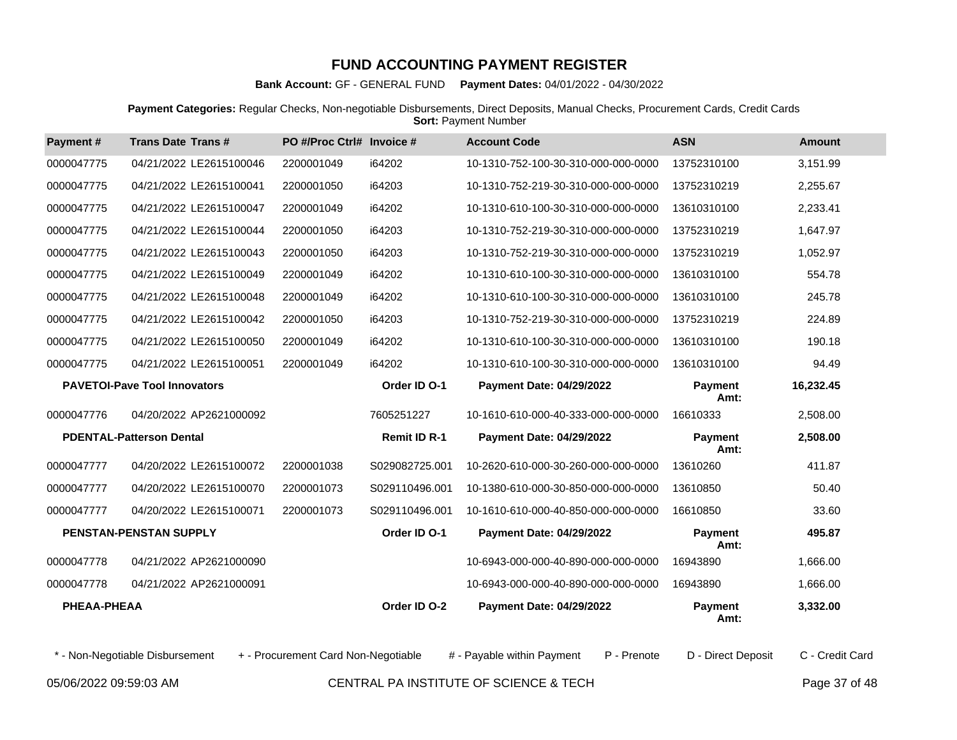**Bank Account:** GF - GENERAL FUND **Payment Dates:** 04/01/2022 - 04/30/2022

**Payment Categories:** Regular Checks, Non-negotiable Disbursements, Direct Deposits, Manual Checks, Procurement Cards, Credit Cards **Sort: Payment Number** 

| Payment#    | <b>Trans Date Trans#</b>            | PO #/Proc Ctrl# Invoice # |                     | <b>Account Code</b>                 | <b>ASN</b>             | <b>Amount</b> |
|-------------|-------------------------------------|---------------------------|---------------------|-------------------------------------|------------------------|---------------|
| 0000047775  | 04/21/2022 LE2615100046             | 2200001049                | i64202              | 10-1310-752-100-30-310-000-000-0000 | 13752310100            | 3,151.99      |
| 0000047775  | 04/21/2022 LE2615100041             | 2200001050                | i64203              | 10-1310-752-219-30-310-000-000-0000 | 13752310219            | 2,255.67      |
| 0000047775  | 04/21/2022 LE2615100047             | 2200001049                | i64202              | 10-1310-610-100-30-310-000-000-0000 | 13610310100            | 2,233.41      |
| 0000047775  | 04/21/2022 LE2615100044             | 2200001050                | i64203              | 10-1310-752-219-30-310-000-000-0000 | 13752310219            | 1.647.97      |
| 0000047775  | 04/21/2022 LE2615100043             | 2200001050                | i64203              | 10-1310-752-219-30-310-000-000-0000 | 13752310219            | 1,052.97      |
| 0000047775  | 04/21/2022 LE2615100049             | 2200001049                | i64202              | 10-1310-610-100-30-310-000-000-0000 | 13610310100            | 554.78        |
| 0000047775  | 04/21/2022 LE2615100048             | 2200001049                | i64202              | 10-1310-610-100-30-310-000-000-0000 | 13610310100            | 245.78        |
| 0000047775  | 04/21/2022 LE2615100042             | 2200001050                | i64203              | 10-1310-752-219-30-310-000-000-0000 | 13752310219            | 224.89        |
| 0000047775  | 04/21/2022 LE2615100050             | 2200001049                | i64202              | 10-1310-610-100-30-310-000-000-0000 | 13610310100            | 190.18        |
| 0000047775  | 04/21/2022 LE2615100051             | 2200001049                | i64202              | 10-1310-610-100-30-310-000-000-0000 | 13610310100            | 94.49         |
|             | <b>PAVETOI-Pave Tool Innovators</b> |                           | Order ID O-1        | <b>Payment Date: 04/29/2022</b>     | <b>Payment</b><br>Amt: | 16,232.45     |
| 0000047776  | 04/20/2022 AP2621000092             |                           | 7605251227          | 10-1610-610-000-40-333-000-000-0000 | 16610333               | 2,508.00      |
|             | <b>PDENTAL-Patterson Dental</b>     |                           | <b>Remit ID R-1</b> | <b>Payment Date: 04/29/2022</b>     | Payment<br>Amt:        | 2,508.00      |
| 0000047777  | 04/20/2022 LE2615100072             | 2200001038                | S029082725.001      | 10-2620-610-000-30-260-000-000-0000 | 13610260               | 411.87        |
| 0000047777  | 04/20/2022 LE2615100070             | 2200001073                | S029110496.001      | 10-1380-610-000-30-850-000-000-0000 | 13610850               | 50.40         |
| 0000047777  | 04/20/2022 LE2615100071             | 2200001073                | S029110496.001      | 10-1610-610-000-40-850-000-000-0000 | 16610850               | 33.60         |
|             | <b>PENSTAN-PENSTAN SUPPLY</b>       |                           | Order ID O-1        | <b>Payment Date: 04/29/2022</b>     | Payment<br>Amt:        | 495.87        |
| 0000047778  | 04/21/2022 AP2621000090             |                           |                     | 10-6943-000-000-40-890-000-000-0000 | 16943890               | 1,666.00      |
| 0000047778  | 04/21/2022 AP2621000091             |                           |                     | 10-6943-000-000-40-890-000-000-0000 | 16943890               | 1,666.00      |
| PHEAA-PHEAA |                                     |                           | Order ID O-2        | <b>Payment Date: 04/29/2022</b>     | <b>Payment</b><br>Amt: | 3,332.00      |

\* - Non-Negotiable Disbursement + - Procurement Card Non-Negotiable # - Payable within Payment P - Prenote D - Direct Deposit C - Credit Card

05/06/2022 09:59:03 AM CENTRAL PA INSTITUTE OF SCIENCE & TECH Page 37 of 48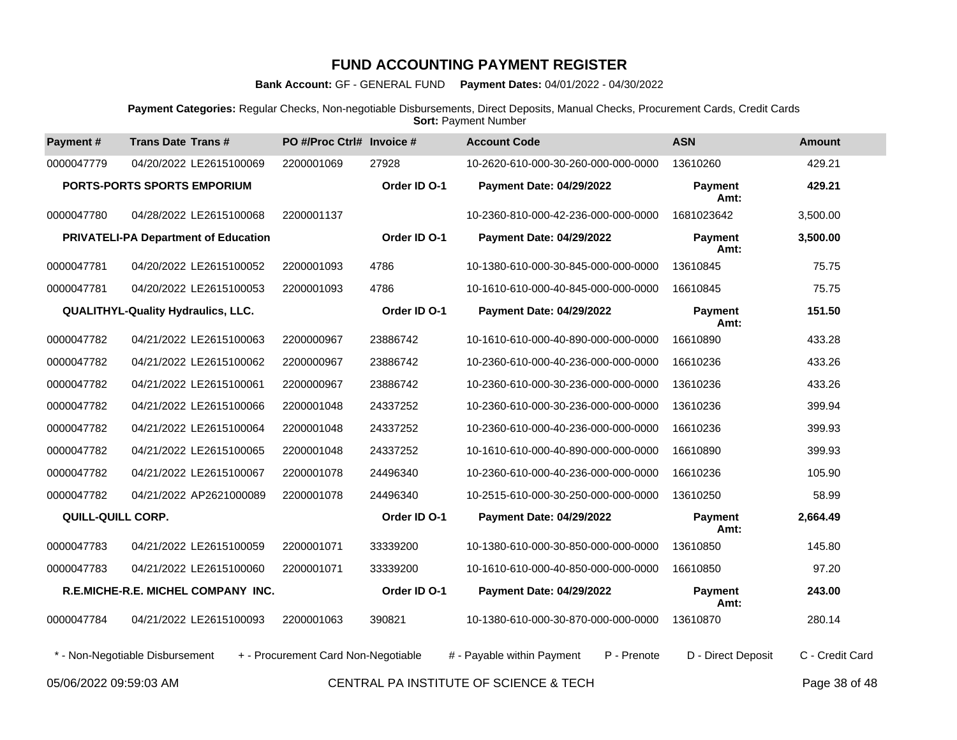**Bank Account:** GF - GENERAL FUND **Payment Dates:** 04/01/2022 - 04/30/2022

**Payment Categories:** Regular Checks, Non-negotiable Disbursements, Direct Deposits, Manual Checks, Procurement Cards, Credit Cards **Sort: Payment Number** 

| Payment#                                       | <b>Trans Date Trans#</b>                    | PO #/Proc Ctrl# Invoice #           |              | <b>Account Code</b>                       | <b>ASN</b>             | Amount                             |
|------------------------------------------------|---------------------------------------------|-------------------------------------|--------------|-------------------------------------------|------------------------|------------------------------------|
| 0000047779                                     | 04/20/2022 LE2615100069                     | 2200001069                          | 27928        | 10-2620-610-000-30-260-000-000-0000       | 13610260               | 429.21                             |
|                                                | <b>PORTS-PORTS SPORTS EMPORIUM</b>          |                                     | Order ID O-1 | Payment Date: 04/29/2022                  | <b>Payment</b><br>Amt: | 429.21                             |
| 0000047780                                     | 04/28/2022 LE2615100068                     | 2200001137                          |              | 10-2360-810-000-42-236-000-000-0000       | 1681023642             | 3,500.00                           |
|                                                | <b>PRIVATELI-PA Department of Education</b> |                                     | Order ID O-1 | Payment Date: 04/29/2022                  | <b>Payment</b><br>Amt: | 3,500.00                           |
| 0000047781                                     | 04/20/2022 LE2615100052                     | 2200001093                          | 4786         | 10-1380-610-000-30-845-000-000-0000       | 13610845               | 75.75                              |
| 0000047781                                     | 04/20/2022 LE2615100053                     | 2200001093                          | 4786         | 10-1610-610-000-40-845-000-000-0000       | 16610845               | 75.75                              |
|                                                | <b>QUALITHYL-Quality Hydraulics, LLC.</b>   |                                     | Order ID O-1 | <b>Payment Date: 04/29/2022</b>           | Payment<br>Amt:        | 151.50                             |
| 0000047782                                     | 04/21/2022 LE2615100063                     | 2200000967                          | 23886742     | 10-1610-610-000-40-890-000-000-0000       | 16610890               | 433.28                             |
| 0000047782                                     | 04/21/2022 LE2615100062                     | 2200000967                          | 23886742     | 10-2360-610-000-40-236-000-000-0000       | 16610236               | 433.26                             |
| 0000047782                                     | 04/21/2022 LE2615100061                     | 2200000967                          | 23886742     | 10-2360-610-000-30-236-000-000-0000       | 13610236               | 433.26                             |
| 0000047782                                     | 04/21/2022 LE2615100066                     | 2200001048                          | 24337252     | 10-2360-610-000-30-236-000-000-0000       | 13610236               | 399.94                             |
| 0000047782                                     | 04/21/2022 LE2615100064                     | 2200001048                          | 24337252     | 10-2360-610-000-40-236-000-000-0000       | 16610236               | 399.93                             |
| 0000047782                                     | 04/21/2022 LE2615100065                     | 2200001048                          | 24337252     | 10-1610-610-000-40-890-000-000-0000       | 16610890               | 399.93                             |
| 0000047782                                     | 04/21/2022 LE2615100067                     | 2200001078                          | 24496340     | 10-2360-610-000-40-236-000-000-0000       | 16610236               | 105.90                             |
| 0000047782                                     | 04/21/2022 AP2621000089                     | 2200001078                          | 24496340     | 10-2515-610-000-30-250-000-000-0000       | 13610250               | 58.99                              |
| QUILL-QUILL CORP.                              |                                             |                                     | Order ID O-1 | <b>Payment Date: 04/29/2022</b>           | <b>Payment</b><br>Amt: | 2,664.49                           |
| 0000047783                                     | 04/21/2022 LE2615100059                     | 2200001071                          | 33339200     | 10-1380-610-000-30-850-000-000-0000       | 13610850               | 145.80                             |
| 0000047783                                     | 04/21/2022 LE2615100060                     | 2200001071                          | 33339200     | 10-1610-610-000-40-850-000-000-0000       | 16610850               | 97.20                              |
|                                                | R.E.MICHE-R.E. MICHEL COMPANY INC.          |                                     | Order ID O-1 | Payment Date: 04/29/2022                  | Payment<br>Amt:        | 243.00                             |
| 0000047784                                     | 04/21/2022 LE2615100093                     | 2200001063                          | 390821       | 10-1380-610-000-30-870-000-000-0000       | 13610870               | 280.14                             |
|                                                | * - Non-Negotiable Disbursement             | + - Procurement Card Non-Negotiable |              | # - Payable within Payment<br>P - Prenote | D - Direct Deposit     | C - Credit Card                    |
| $0.5/0.0/0.000$ 0.0 $-0.00$ $\pm$ $0.00$ $\pm$ |                                             |                                     |              | $Q = \frac{1}{2}$                         |                        | $\sim$ $\sim$ $\sim$ $\sim$ $\sim$ |

05/06/2022 09:59:03 AM CENTRAL PA INSTITUTE OF SCIENCE & TECH Page 38 of 48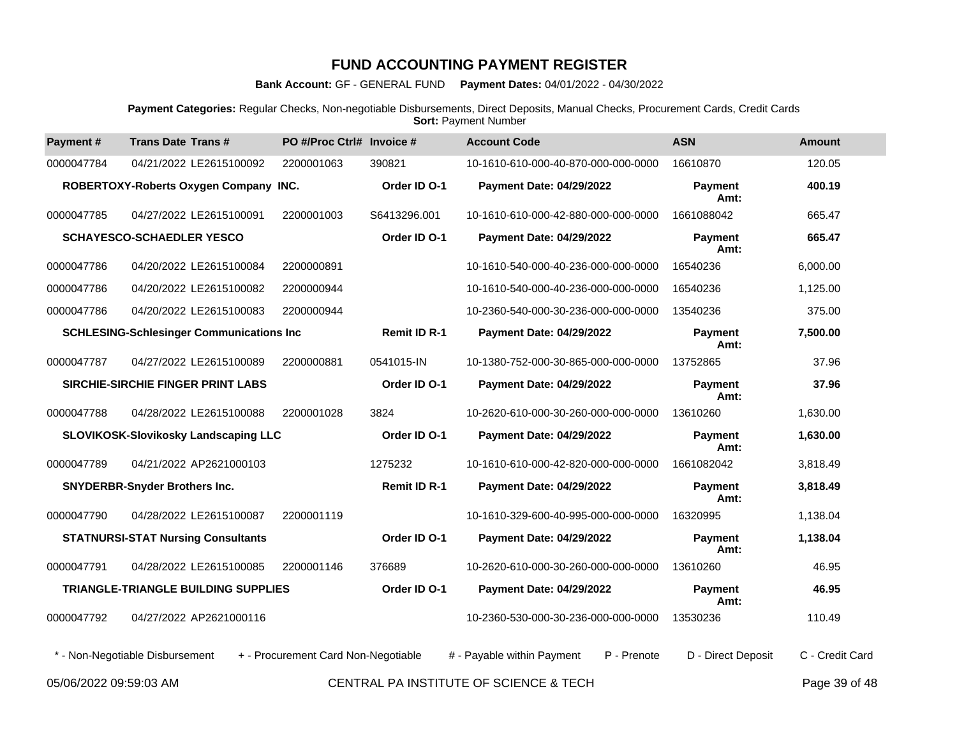**Bank Account:** GF - GENERAL FUND **Payment Dates:** 04/01/2022 - 04/30/2022

**Payment Categories:** Regular Checks, Non-negotiable Disbursements, Direct Deposits, Manual Checks, Procurement Cards, Credit Cards **Sort: Payment Number** 

| Payment#   | <b>Trans Date Trans#</b>                        | PO #/Proc Ctrl# Invoice #           |                     | <b>Account Code</b>                       | <b>ASN</b>             | <b>Amount</b>   |
|------------|-------------------------------------------------|-------------------------------------|---------------------|-------------------------------------------|------------------------|-----------------|
| 0000047784 | 04/21/2022 LE2615100092                         | 2200001063                          | 390821              | 10-1610-610-000-40-870-000-000-0000       | 16610870               | 120.05          |
|            | ROBERTOXY-Roberts Oxygen Company INC.           |                                     | Order ID O-1        | <b>Payment Date: 04/29/2022</b>           | <b>Payment</b><br>Amt: | 400.19          |
| 0000047785 | 04/27/2022 LE2615100091                         | 2200001003                          | S6413296.001        | 10-1610-610-000-42-880-000-000-0000       | 1661088042             | 665.47          |
|            | <b>SCHAYESCO-SCHAEDLER YESCO</b>                |                                     | Order ID O-1        | <b>Payment Date: 04/29/2022</b>           | Payment<br>Amt:        | 665.47          |
| 0000047786 | 04/20/2022 LE2615100084                         | 2200000891                          |                     | 10-1610-540-000-40-236-000-000-0000       | 16540236               | 6,000.00        |
| 0000047786 | 04/20/2022 LE2615100082                         | 2200000944                          |                     | 10-1610-540-000-40-236-000-000-0000       | 16540236               | 1,125.00        |
| 0000047786 | 04/20/2022 LE2615100083                         | 2200000944                          |                     | 10-2360-540-000-30-236-000-000-0000       | 13540236               | 375.00          |
|            | <b>SCHLESING-Schlesinger Communications Inc</b> |                                     | <b>Remit ID R-1</b> | <b>Payment Date: 04/29/2022</b>           | Payment<br>Amt:        | 7,500.00        |
| 0000047787 | 04/27/2022 LE2615100089                         | 2200000881                          | 0541015-IN          | 10-1380-752-000-30-865-000-000-0000       | 13752865               | 37.96           |
|            | SIRCHIE-SIRCHIE FINGER PRINT LABS               |                                     | Order ID O-1        | <b>Payment Date: 04/29/2022</b>           | <b>Payment</b><br>Amt: | 37.96           |
| 0000047788 | 04/28/2022 LE2615100088                         | 2200001028                          | 3824                | 10-2620-610-000-30-260-000-000-0000       | 13610260               | 1,630.00        |
|            | <b>SLOVIKOSK-Slovikosky Landscaping LLC</b>     |                                     | Order ID O-1        | <b>Payment Date: 04/29/2022</b>           | Payment<br>Amt:        | 1,630.00        |
| 0000047789 | 04/21/2022 AP2621000103                         |                                     | 1275232             | 10-1610-610-000-42-820-000-000-0000       | 1661082042             | 3,818.49        |
|            | <b>SNYDERBR-Snyder Brothers Inc.</b>            |                                     | <b>Remit ID R-1</b> | <b>Payment Date: 04/29/2022</b>           | <b>Payment</b><br>Amt: | 3,818.49        |
| 0000047790 | 04/28/2022 LE2615100087                         | 2200001119                          |                     | 10-1610-329-600-40-995-000-000-0000       | 16320995               | 1,138.04        |
|            | <b>STATNURSI-STAT Nursing Consultants</b>       |                                     | Order ID O-1        | <b>Payment Date: 04/29/2022</b>           | <b>Payment</b><br>Amt: | 1,138.04        |
| 0000047791 | 04/28/2022 LE2615100085                         | 2200001146                          | 376689              | 10-2620-610-000-30-260-000-000-0000       | 13610260               | 46.95           |
|            | <b>TRIANGLE-TRIANGLE BUILDING SUPPLIES</b>      |                                     | Order ID O-1        | <b>Payment Date: 04/29/2022</b>           | <b>Payment</b><br>Amt: | 46.95           |
| 0000047792 | 04/27/2022 AP2621000116                         |                                     |                     | 10-2360-530-000-30-236-000-000-0000       | 13530236               | 110.49          |
|            | * - Non-Negotiable Disbursement                 | + - Procurement Card Non-Negotiable |                     | # - Payable within Payment<br>P - Prenote | D - Direct Deposit     | C - Credit Card |

05/06/2022 09:59:03 AM CENTRAL PA INSTITUTE OF SCIENCE & TECH Page 39 of 48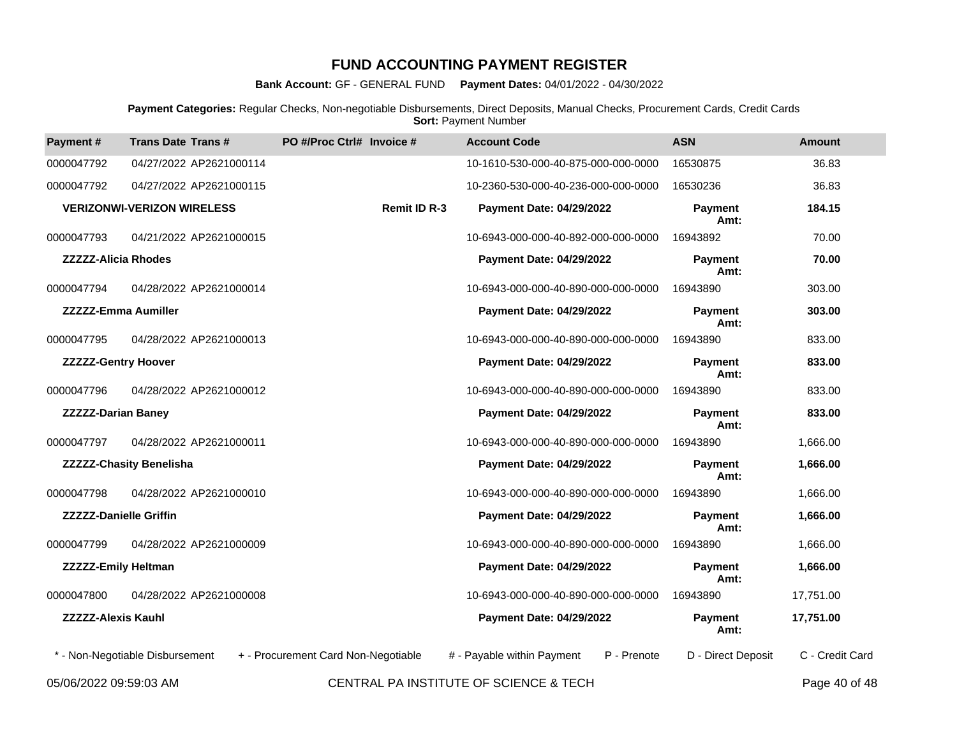**Bank Account:** GF - GENERAL FUND **Payment Dates:** 04/01/2022 - 04/30/2022

**Payment Categories:** Regular Checks, Non-negotiable Disbursements, Direct Deposits, Manual Checks, Procurement Cards, Credit Cards **Sort: Payment Number** 

| Payment#                      | <b>Trans Date Trans#</b>          | PO #/Proc Ctrl# Invoice #           | <b>Account Code</b>                       | <b>ASN</b>             | <b>Amount</b>   |
|-------------------------------|-----------------------------------|-------------------------------------|-------------------------------------------|------------------------|-----------------|
| 0000047792                    | 04/27/2022 AP2621000114           |                                     | 10-1610-530-000-40-875-000-000-0000       | 16530875               | 36.83           |
| 0000047792                    | 04/27/2022 AP2621000115           |                                     | 10-2360-530-000-40-236-000-000-0000       | 16530236               | 36.83           |
|                               | <b>VERIZONWI-VERIZON WIRELESS</b> | <b>Remit ID R-3</b>                 | <b>Payment Date: 04/29/2022</b>           | <b>Payment</b><br>Amt: | 184.15          |
| 0000047793                    | 04/21/2022 AP2621000015           |                                     | 10-6943-000-000-40-892-000-000-0000       | 16943892               | 70.00           |
| <b>ZZZZZ-Alicia Rhodes</b>    |                                   |                                     | <b>Payment Date: 04/29/2022</b>           | <b>Payment</b><br>Amt: | 70.00           |
| 0000047794                    | 04/28/2022 AP2621000014           |                                     | 10-6943-000-000-40-890-000-000-0000       | 16943890               | 303.00          |
| <b>ZZZZZ-Emma Aumiller</b>    |                                   |                                     | Payment Date: 04/29/2022                  | Payment<br>Amt:        | 303.00          |
| 0000047795                    | 04/28/2022 AP2621000013           |                                     | 10-6943-000-000-40-890-000-000-0000       | 16943890               | 833.00          |
| <b>ZZZZZ-Gentry Hoover</b>    |                                   |                                     | <b>Payment Date: 04/29/2022</b>           | <b>Payment</b><br>Amt: | 833.00          |
| 0000047796                    | 04/28/2022 AP2621000012           |                                     | 10-6943-000-000-40-890-000-000-0000       | 16943890               | 833.00          |
| <b>ZZZZZ-Darian Baney</b>     |                                   |                                     | <b>Payment Date: 04/29/2022</b>           | <b>Payment</b><br>Amt: | 833.00          |
| 0000047797                    | 04/28/2022 AP2621000011           |                                     | 10-6943-000-000-40-890-000-000-0000       | 16943890               | 1,666.00        |
|                               | <b>ZZZZZ-Chasity Benelisha</b>    |                                     | Payment Date: 04/29/2022                  | Payment<br>Amt:        | 1,666.00        |
| 0000047798                    | 04/28/2022 AP2621000010           |                                     | 10-6943-000-000-40-890-000-000-0000       | 16943890               | 1,666.00        |
| <b>ZZZZZ-Danielle Griffin</b> |                                   |                                     | <b>Payment Date: 04/29/2022</b>           | <b>Payment</b><br>Amt: | 1,666.00        |
| 0000047799                    | 04/28/2022 AP2621000009           |                                     | 10-6943-000-000-40-890-000-000-0000       | 16943890               | 1,666.00        |
| <b>ZZZZZ-Emily Heltman</b>    |                                   |                                     | <b>Payment Date: 04/29/2022</b>           | <b>Payment</b><br>Amt: | 1,666.00        |
| 0000047800                    | 04/28/2022 AP2621000008           |                                     | 10-6943-000-000-40-890-000-000-0000       | 16943890               | 17,751.00       |
| <b>ZZZZZ-Alexis Kauhl</b>     |                                   |                                     | <b>Payment Date: 04/29/2022</b>           | Payment<br>Amt:        | 17,751.00       |
|                               | * - Non-Negotiable Disbursement   | + - Procurement Card Non-Negotiable | # - Payable within Payment<br>P - Prenote | D - Direct Deposit     | C - Credit Card |
|                               |                                   |                                     |                                           |                        | .               |

05/06/2022 09:59:03 AM CENTRAL PA INSTITUTE OF SCIENCE & TECH Page 40 of 48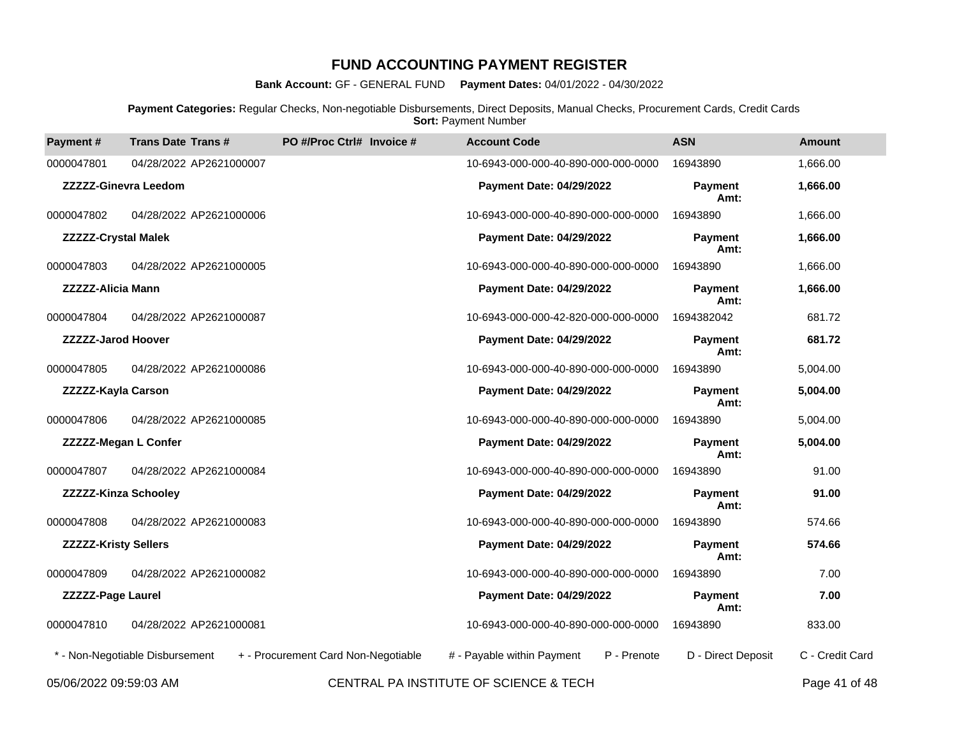**Bank Account:** GF - GENERAL FUND **Payment Dates:** 04/01/2022 - 04/30/2022

**Payment Categories:** Regular Checks, Non-negotiable Disbursements, Direct Deposits, Manual Checks, Procurement Cards, Credit Cards **Sort: Payment Number** 

| Payment#                    | <b>Trans Date Trans#</b>        | PO #/Proc Ctrl# Invoice #           | <b>Account Code</b>                       | <b>ASN</b>             | <b>Amount</b>   |
|-----------------------------|---------------------------------|-------------------------------------|-------------------------------------------|------------------------|-----------------|
| 0000047801                  | 04/28/2022 AP2621000007         |                                     | 10-6943-000-000-40-890-000-000-0000       | 16943890               | 1,666.00        |
|                             | <b>ZZZZZ-Ginevra Leedom</b>     |                                     | Payment Date: 04/29/2022                  | <b>Payment</b><br>Amt: | 1,666.00        |
| 0000047802                  | 04/28/2022 AP2621000006         |                                     | 10-6943-000-000-40-890-000-000-0000       | 16943890               | 1,666.00        |
| <b>ZZZZZ-Crystal Malek</b>  |                                 |                                     | Payment Date: 04/29/2022                  | <b>Payment</b><br>Amt: | 1,666.00        |
| 0000047803                  | 04/28/2022 AP2621000005         |                                     | 10-6943-000-000-40-890-000-000-0000       | 16943890               | 1,666.00        |
| <b>ZZZZZ-Alicia Mann</b>    |                                 |                                     | <b>Payment Date: 04/29/2022</b>           | <b>Payment</b><br>Amt: | 1,666.00        |
| 0000047804                  | 04/28/2022 AP2621000087         |                                     | 10-6943-000-000-42-820-000-000-0000       | 1694382042             | 681.72          |
| <b>ZZZZZ-Jarod Hoover</b>   |                                 |                                     | Payment Date: 04/29/2022                  | <b>Payment</b><br>Amt: | 681.72          |
| 0000047805                  | 04/28/2022 AP2621000086         |                                     | 10-6943-000-000-40-890-000-000-0000       | 16943890               | 5,004.00        |
| ZZZZZ-Kayla Carson          |                                 |                                     | Payment Date: 04/29/2022                  | <b>Payment</b><br>Amt: | 5,004.00        |
| 0000047806                  | 04/28/2022 AP2621000085         |                                     | 10-6943-000-000-40-890-000-000-0000       | 16943890               | 5,004.00        |
| <b>ZZZZZ-Megan L Confer</b> |                                 |                                     | <b>Payment Date: 04/29/2022</b>           | <b>Payment</b><br>Amt: | 5,004.00        |
| 0000047807                  | 04/28/2022 AP2621000084         |                                     | 10-6943-000-000-40-890-000-000-0000       | 16943890               | 91.00           |
| <b>ZZZZZ-Kinza Schooley</b> |                                 |                                     | <b>Payment Date: 04/29/2022</b>           | <b>Payment</b><br>Amt: | 91.00           |
| 0000047808                  | 04/28/2022 AP2621000083         |                                     | 10-6943-000-000-40-890-000-000-0000       | 16943890               | 574.66          |
| <b>ZZZZZ-Kristy Sellers</b> |                                 |                                     | Payment Date: 04/29/2022                  | <b>Pavment</b><br>Amt: | 574.66          |
| 0000047809                  | 04/28/2022 AP2621000082         |                                     | 10-6943-000-000-40-890-000-000-0000       | 16943890               | 7.00            |
| <b>ZZZZZ-Page Laurel</b>    |                                 |                                     | Payment Date: 04/29/2022                  | <b>Payment</b><br>Amt: | 7.00            |
| 0000047810                  | 04/28/2022 AP2621000081         |                                     | 10-6943-000-000-40-890-000-000-0000       | 16943890               | 833.00          |
|                             | * - Non-Negotiable Disbursement | + - Procurement Card Non-Negotiable | # - Payable within Payment<br>P - Prenote | D - Direct Deposit     | C - Credit Card |
|                             |                                 |                                     |                                           |                        |                 |

05/06/2022 09:59:03 AM CENTRAL PA INSTITUTE OF SCIENCE & TECH Page 41 of 48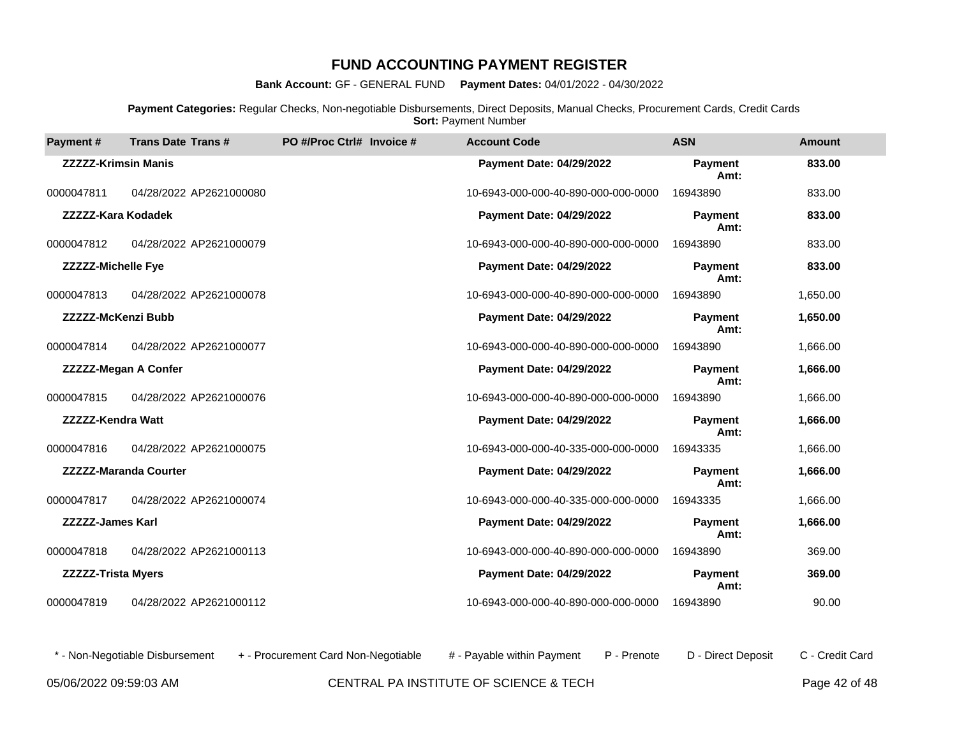**Bank Account:** GF - GENERAL FUND **Payment Dates:** 04/01/2022 - 04/30/2022

**Payment Categories:** Regular Checks, Non-negotiable Disbursements, Direct Deposits, Manual Checks, Procurement Cards, Credit Cards **Sort: Payment Number** 

| <b>Payment#</b>             | <b>Trans Date Trans#</b>     | PO #/Proc Ctrl# Invoice # | <b>Account Code</b>                 | <b>ASN</b>             | <b>Amount</b> |
|-----------------------------|------------------------------|---------------------------|-------------------------------------|------------------------|---------------|
| <b>ZZZZZ-Krimsin Manis</b>  |                              |                           | Payment Date: 04/29/2022            | <b>Payment</b><br>Amt: | 833.00        |
| 0000047811                  | 04/28/2022 AP2621000080      |                           | 10-6943-000-000-40-890-000-000-0000 | 16943890               | 833.00        |
| ZZZZZ-Kara Kodadek          |                              |                           | <b>Payment Date: 04/29/2022</b>     | <b>Payment</b><br>Amt: | 833.00        |
| 0000047812                  | 04/28/2022 AP2621000079      |                           | 10-6943-000-000-40-890-000-000-0000 | 16943890               | 833.00        |
| <b>ZZZZZ-Michelle Fye</b>   |                              |                           | Payment Date: 04/29/2022            | <b>Payment</b><br>Amt: | 833.00        |
| 0000047813                  | 04/28/2022 AP2621000078      |                           | 10-6943-000-000-40-890-000-000-0000 | 16943890               | 1,650.00      |
| <b>ZZZZZ-McKenzi Bubb</b>   |                              |                           | <b>Payment Date: 04/29/2022</b>     | <b>Payment</b><br>Amt: | 1,650.00      |
| 0000047814                  | 04/28/2022 AP2621000077      |                           | 10-6943-000-000-40-890-000-000-0000 | 16943890               | 1,666.00      |
| <b>ZZZZZ-Megan A Confer</b> |                              |                           | <b>Payment Date: 04/29/2022</b>     | <b>Payment</b><br>Amt: | 1,666.00      |
| 0000047815                  | 04/28/2022 AP2621000076      |                           | 10-6943-000-000-40-890-000-000-0000 | 16943890               | 1,666.00      |
| <b>ZZZZZ-Kendra Watt</b>    |                              |                           | Payment Date: 04/29/2022            | <b>Payment</b><br>Amt: | 1,666.00      |
| 0000047816                  | 04/28/2022 AP2621000075      |                           | 10-6943-000-000-40-335-000-000-0000 | 16943335               | 1,666.00      |
|                             | <b>ZZZZZ-Maranda Courter</b> |                           | Payment Date: 04/29/2022            | <b>Payment</b><br>Amt: | 1,666.00      |
| 0000047817                  | 04/28/2022 AP2621000074      |                           | 10-6943-000-000-40-335-000-000-0000 | 16943335               | 1,666.00      |
| <b>ZZZZZ-James Karl</b>     |                              |                           | Payment Date: 04/29/2022            | <b>Payment</b><br>Amt: | 1,666.00      |
| 0000047818                  | 04/28/2022 AP2621000113      |                           | 10-6943-000-000-40-890-000-000-0000 | 16943890               | 369.00        |
| <b>ZZZZZ-Trista Myers</b>   |                              |                           | <b>Payment Date: 04/29/2022</b>     | <b>Payment</b><br>Amt: | 369.00        |
| 0000047819                  | 04/28/2022 AP2621000112      |                           | 10-6943-000-000-40-890-000-000-0000 | 16943890               | 90.00         |

05/06/2022 09:59:03 AM CENTRAL PA INSTITUTE OF SCIENCE & TECH Page 42 of 48 \* - Non-Negotiable Disbursement + - Procurement Card Non-Negotiable # - Payable within Payment P - Prenote D - Direct Deposit C - Credit Card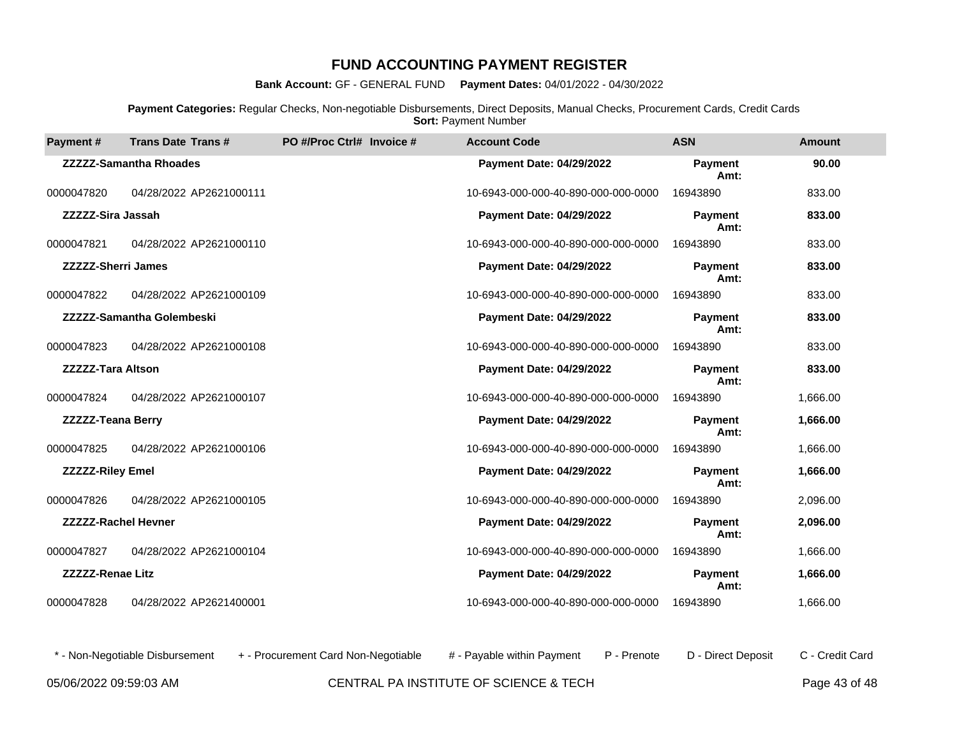**Bank Account:** GF - GENERAL FUND **Payment Dates:** 04/01/2022 - 04/30/2022

**Payment Categories:** Regular Checks, Non-negotiable Disbursements, Direct Deposits, Manual Checks, Procurement Cards, Credit Cards **Sort: Payment Number** 

| <b>Payment#</b>            | <b>Trans Date Trans#</b>         | PO #/Proc Ctrl# Invoice # | <b>Account Code</b>                 | <b>ASN</b>             | <b>Amount</b> |
|----------------------------|----------------------------------|---------------------------|-------------------------------------|------------------------|---------------|
|                            | <b>ZZZZZ-Samantha Rhoades</b>    |                           | Payment Date: 04/29/2022            | <b>Payment</b><br>Amt: | 90.00         |
| 0000047820                 | 04/28/2022 AP2621000111          |                           | 10-6943-000-000-40-890-000-000-0000 | 16943890               | 833.00        |
| <b>ZZZZZ-Sira Jassah</b>   |                                  |                           | <b>Payment Date: 04/29/2022</b>     | <b>Payment</b><br>Amt: | 833.00        |
| 0000047821                 | 04/28/2022 AP2621000110          |                           | 10-6943-000-000-40-890-000-000-0000 | 16943890               | 833.00        |
| <b>ZZZZZ-Sherri James</b>  |                                  |                           | <b>Payment Date: 04/29/2022</b>     | <b>Payment</b><br>Amt: | 833.00        |
| 0000047822                 | 04/28/2022 AP2621000109          |                           | 10-6943-000-000-40-890-000-000-0000 | 16943890               | 833.00        |
|                            | <b>ZZZZZ-Samantha Golembeski</b> |                           | <b>Payment Date: 04/29/2022</b>     | <b>Payment</b><br>Amt: | 833.00        |
| 0000047823                 | 04/28/2022 AP2621000108          |                           | 10-6943-000-000-40-890-000-000-0000 | 16943890               | 833.00        |
| <b>ZZZZZ-Tara Altson</b>   |                                  |                           | <b>Payment Date: 04/29/2022</b>     | <b>Payment</b><br>Amt: | 833.00        |
| 0000047824                 | 04/28/2022 AP2621000107          |                           | 10-6943-000-000-40-890-000-000-0000 | 16943890               | 1,666.00      |
| <b>ZZZZZ-Teana Berry</b>   |                                  |                           | <b>Payment Date: 04/29/2022</b>     | <b>Payment</b><br>Amt: | 1,666.00      |
| 0000047825                 | 04/28/2022 AP2621000106          |                           | 10-6943-000-000-40-890-000-000-0000 | 16943890               | 1,666.00      |
| <b>ZZZZZ-Riley Emel</b>    |                                  |                           | <b>Payment Date: 04/29/2022</b>     | <b>Payment</b><br>Amt: | 1,666.00      |
| 0000047826                 | 04/28/2022 AP2621000105          |                           | 10-6943-000-000-40-890-000-000-0000 | 16943890               | 2,096.00      |
| <b>ZZZZZ-Rachel Hevner</b> |                                  |                           | <b>Payment Date: 04/29/2022</b>     | <b>Payment</b><br>Amt: | 2,096.00      |
| 0000047827                 | 04/28/2022 AP2621000104          |                           | 10-6943-000-000-40-890-000-000-0000 | 16943890               | 1,666.00      |
| <b>ZZZZZ-Renae Litz</b>    |                                  |                           | <b>Payment Date: 04/29/2022</b>     | <b>Payment</b><br>Amt: | 1,666.00      |
| 0000047828                 | 04/28/2022 AP2621400001          |                           | 10-6943-000-000-40-890-000-000-0000 | 16943890               | 1,666.00      |

05/06/2022 09:59:03 AM CENTRAL PA INSTITUTE OF SCIENCE & TECH Page 43 of 48 \* - Non-Negotiable Disbursement + - Procurement Card Non-Negotiable # - Payable within Payment P - Prenote D - Direct Deposit C - Credit Card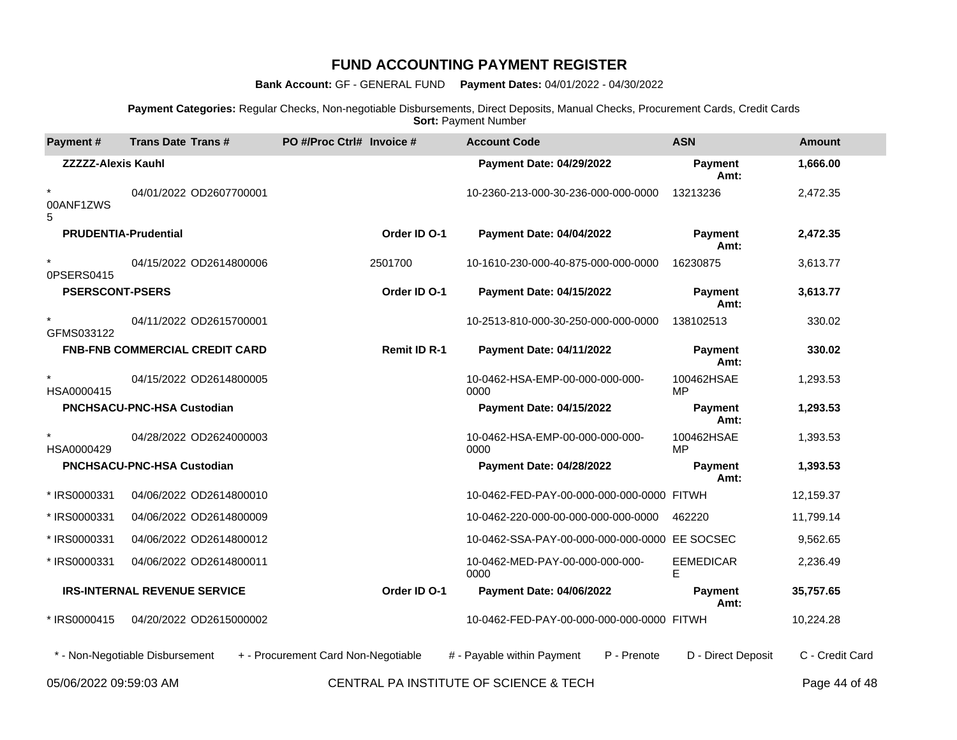**Bank Account:** GF - GENERAL FUND **Payment Dates:** 04/01/2022 - 04/30/2022

**Payment Categories:** Regular Checks, Non-negotiable Disbursements, Direct Deposits, Manual Checks, Procurement Cards, Credit Cards **Sort: Payment Number** 

| Payment#                    | <b>Trans Date Trans#</b>              | PO #/Proc Ctrl# Invoice #           |                     | <b>Account Code</b>                           | <b>ASN</b>              | <b>Amount</b>   |
|-----------------------------|---------------------------------------|-------------------------------------|---------------------|-----------------------------------------------|-------------------------|-----------------|
| <b>ZZZZZ-Alexis Kauhl</b>   |                                       |                                     |                     | <b>Payment Date: 04/29/2022</b>               | <b>Payment</b><br>Amt:  | 1,666.00        |
| $\star$<br>00ANF1ZWS<br>5   | 04/01/2022 OD2607700001               |                                     |                     | 10-2360-213-000-30-236-000-000-0000           | 13213236                | 2,472.35        |
| <b>PRUDENTIA-Prudential</b> |                                       |                                     | Order ID O-1        | <b>Payment Date: 04/04/2022</b>               | Payment<br>Amt:         | 2,472.35        |
| $\star$<br>0PSERS0415       | 04/15/2022 OD2614800006               | 2501700                             |                     | 10-1610-230-000-40-875-000-000-0000           | 16230875                | 3,613.77        |
| <b>PSERSCONT-PSERS</b>      |                                       |                                     | Order ID O-1        | <b>Payment Date: 04/15/2022</b>               | Payment<br>Amt:         | 3,613.77        |
| $\star$<br>GFMS033122       | 04/11/2022 OD2615700001               |                                     |                     | 10-2513-810-000-30-250-000-000-0000           | 138102513               | 330.02          |
|                             | <b>FNB-FNB COMMERCIAL CREDIT CARD</b> |                                     | <b>Remit ID R-1</b> | Payment Date: 04/11/2022                      | Payment<br>Amt:         | 330.02          |
| $\star$<br>HSA0000415       | 04/15/2022 OD2614800005               |                                     |                     | 10-0462-HSA-EMP-00-000-000-000-<br>0000       | 100462HSAE<br><b>MP</b> | 1,293.53        |
|                             | <b>PNCHSACU-PNC-HSA Custodian</b>     |                                     |                     | <b>Payment Date: 04/15/2022</b>               | Payment<br>Amt:         | 1,293.53        |
| $\star$<br>HSA0000429       | 04/28/2022 OD2624000003               |                                     |                     | 10-0462-HSA-EMP-00-000-000-000-<br>0000       | 100462HSAE<br><b>MP</b> | 1,393.53        |
|                             | <b>PNCHSACU-PNC-HSA Custodian</b>     |                                     |                     | <b>Payment Date: 04/28/2022</b>               | <b>Payment</b><br>Amt:  | 1,393.53        |
| * IRS0000331                | 04/06/2022 OD2614800010               |                                     |                     | 10-0462-FED-PAY-00-000-000-000-0000 FITWH     |                         | 12,159.37       |
| * IRS0000331                | 04/06/2022 OD2614800009               |                                     |                     | 10-0462-220-000-00-000-000-000-0000           | 462220                  | 11,799.14       |
| * IRS0000331                | 04/06/2022 OD2614800012               |                                     |                     | 10-0462-SSA-PAY-00-000-000-000-0000 EE SOCSEC |                         | 9,562.65        |
| * IRS0000331                | 04/06/2022 OD2614800011               |                                     |                     | 10-0462-MED-PAY-00-000-000-000-<br>0000       | <b>EEMEDICAR</b><br>E.  | 2,236.49        |
|                             | <b>IRS-INTERNAL REVENUE SERVICE</b>   |                                     | Order ID O-1        | <b>Payment Date: 04/06/2022</b>               | <b>Payment</b><br>Amt:  | 35,757.65       |
| * IRS0000415                | 04/20/2022 OD2615000002               |                                     |                     | 10-0462-FED-PAY-00-000-000-000-0000 FITWH     |                         | 10,224.28       |
|                             | * - Non-Negotiable Disbursement       | + - Procurement Card Non-Negotiable |                     | # - Payable within Payment<br>P - Prenote     | D - Direct Deposit      | C - Credit Card |
|                             |                                       |                                     |                     |                                               |                         |                 |

05/06/2022 09:59:03 AM CENTRAL PA INSTITUTE OF SCIENCE & TECH Page 44 of 48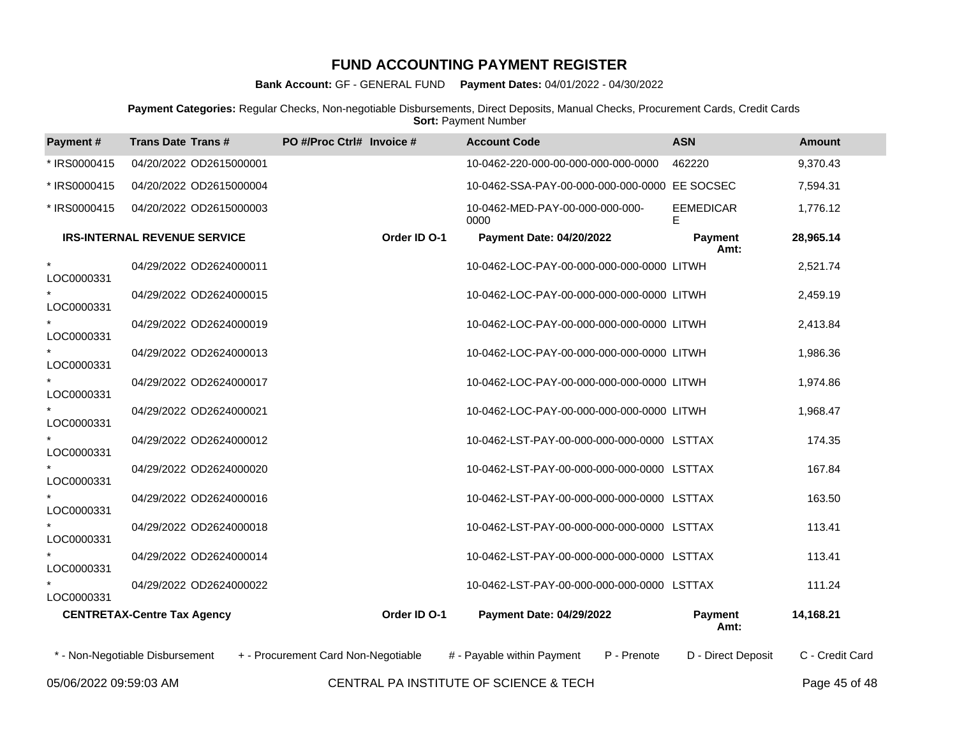**Bank Account:** GF - GENERAL FUND **Payment Dates:** 04/01/2022 - 04/30/2022

**Payment Categories:** Regular Checks, Non-negotiable Disbursements, Direct Deposits, Manual Checks, Procurement Cards, Credit Cards **Sort: Payment Number** 

| Payment#              | <b>Trans Date Trans#</b>            | PO #/Proc Ctrl# Invoice #           |              | <b>Account Code</b>                           | <b>ASN</b>            | <b>Amount</b>   |
|-----------------------|-------------------------------------|-------------------------------------|--------------|-----------------------------------------------|-----------------------|-----------------|
| * IRS0000415          | 04/20/2022 OD2615000001             |                                     |              | 10-0462-220-000-00-000-000-000-0000           | 462220                | 9,370.43        |
| * IRS0000415          | 04/20/2022 OD2615000004             |                                     |              | 10-0462-SSA-PAY-00-000-000-000-0000 EE SOCSEC |                       | 7,594.31        |
| * IRS0000415          | 04/20/2022 OD2615000003             |                                     |              | 10-0462-MED-PAY-00-000-000-000-<br>0000       | <b>EEMEDICAR</b><br>E | 1,776.12        |
|                       | <b>IRS-INTERNAL REVENUE SERVICE</b> |                                     | Order ID O-1 | <b>Payment Date: 04/20/2022</b>               | Payment<br>Amt:       | 28,965.14       |
| $\star$<br>LOC0000331 | 04/29/2022 OD2624000011             |                                     |              | 10-0462-LOC-PAY-00-000-000-000-0000 LITWH     |                       | 2,521.74        |
| LOC0000331            | 04/29/2022 OD2624000015             |                                     |              | 10-0462-LOC-PAY-00-000-000-000-0000 LITWH     |                       | 2,459.19        |
| LOC0000331            | 04/29/2022 OD2624000019             |                                     |              | 10-0462-LOC-PAY-00-000-000-000-0000 LITWH     |                       | 2,413.84        |
| LOC0000331            | 04/29/2022 OD2624000013             |                                     |              | 10-0462-LOC-PAY-00-000-000-000-0000 LITWH     |                       | 1,986.36        |
| LOC0000331            | 04/29/2022 OD2624000017             |                                     |              | 10-0462-LOC-PAY-00-000-000-000-0000 LITWH     |                       | 1,974.86        |
| LOC0000331            | 04/29/2022 OD2624000021             |                                     |              | 10-0462-LOC-PAY-00-000-000-000-0000 LITWH     |                       | 1,968.47        |
| LOC0000331            | 04/29/2022 OD2624000012             |                                     |              | 10-0462-LST-PAY-00-000-000-000-0000 LSTTAX    |                       | 174.35          |
| LOC0000331            | 04/29/2022 OD2624000020             |                                     |              | 10-0462-LST-PAY-00-000-000-000-0000 LSTTAX    |                       | 167.84          |
| LOC0000331            | 04/29/2022 OD2624000016             |                                     |              | 10-0462-LST-PAY-00-000-000-000-0000 LSTTAX    |                       | 163.50          |
| LOC0000331            | 04/29/2022 OD2624000018             |                                     |              | 10-0462-LST-PAY-00-000-000-000-0000 LSTTAX    |                       | 113.41          |
| LOC0000331            | 04/29/2022 OD2624000014             |                                     |              | 10-0462-LST-PAY-00-000-000-000-0000 LSTTAX    |                       | 113.41          |
| LOC0000331            | 04/29/2022 OD2624000022             |                                     |              | 10-0462-LST-PAY-00-000-000-000-0000 LSTTAX    |                       | 111.24          |
|                       | <b>CENTRETAX-Centre Tax Agency</b>  |                                     | Order ID O-1 | <b>Payment Date: 04/29/2022</b>               | Payment<br>Amt:       | 14,168.21       |
|                       | * - Non-Negotiable Disbursement     | + - Procurement Card Non-Negotiable |              | # - Payable within Payment<br>P - Prenote     | D - Direct Deposit    | C - Credit Card |
|                       |                                     |                                     |              |                                               |                       |                 |

05/06/2022 09:59:03 AM CENTRAL PA INSTITUTE OF SCIENCE & TECH Page 45 of 48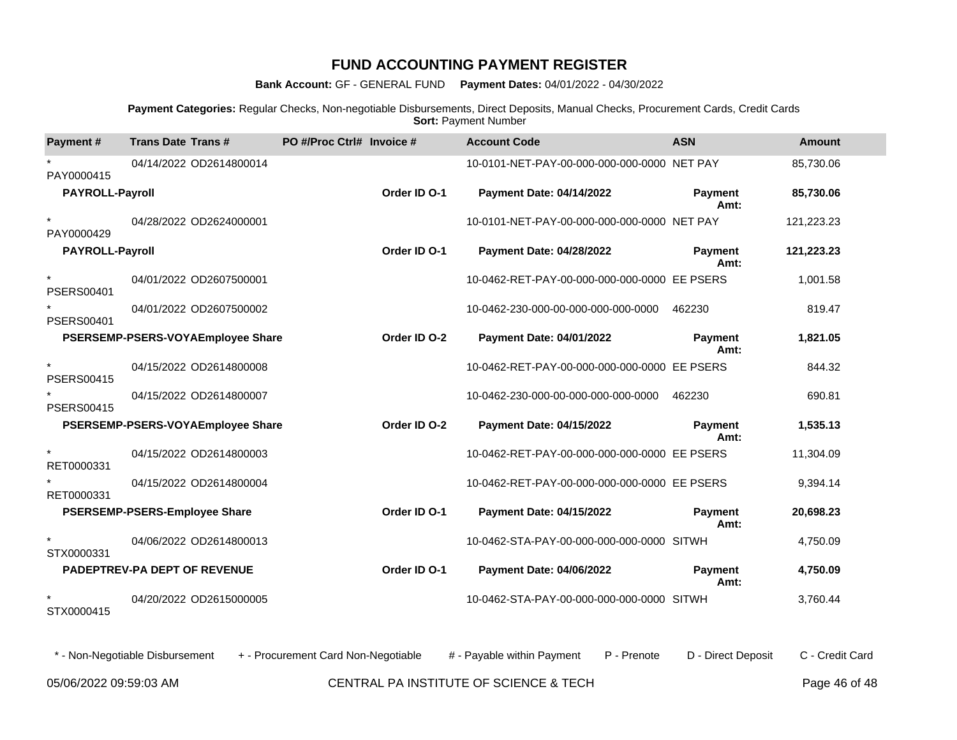**Bank Account:** GF - GENERAL FUND **Payment Dates:** 04/01/2022 - 04/30/2022

**Payment Categories:** Regular Checks, Non-negotiable Disbursements, Direct Deposits, Manual Checks, Procurement Cards, Credit Cards **Sort: Payment Number** 

| Payment#                     | <b>Trans Date Trans#</b>             | PO #/Proc Ctrl# Invoice # |              | <b>Account Code</b>                          | <b>ASN</b>             | <b>Amount</b> |
|------------------------------|--------------------------------------|---------------------------|--------------|----------------------------------------------|------------------------|---------------|
| PAY0000415                   | 04/14/2022 OD2614800014              |                           |              | 10-0101-NET-PAY-00-000-000-000-0000 NET PAY  |                        | 85,730.06     |
| <b>PAYROLL-Payroll</b>       |                                      |                           | Order ID O-1 | <b>Payment Date: 04/14/2022</b>              | <b>Payment</b><br>Amt: | 85,730.06     |
| $\star$<br>PAY0000429        | 04/28/2022 OD2624000001              |                           |              | 10-0101-NET-PAY-00-000-000-000-0000 NET PAY  |                        | 121,223.23    |
| <b>PAYROLL-Payroll</b>       |                                      |                           | Order ID O-1 | <b>Payment Date: 04/28/2022</b>              | <b>Payment</b><br>Amt: | 121,223.23    |
| $\star$<br><b>PSERS00401</b> | 04/01/2022 OD2607500001              |                           |              | 10-0462-RET-PAY-00-000-000-000-0000 EE PSERS |                        | 1,001.58      |
| <b>PSERS00401</b>            | 04/01/2022 OD2607500002              |                           |              | 10-0462-230-000-00-000-000-000-0000          | 462230                 | 819.47        |
|                              | PSERSEMP-PSERS-VOYAEmployee Share    |                           | Order ID O-2 | <b>Payment Date: 04/01/2022</b>              | <b>Payment</b><br>Amt: | 1,821.05      |
| $\star$<br><b>PSERS00415</b> | 04/15/2022 OD2614800008              |                           |              | 10-0462-RET-PAY-00-000-000-000-0000 EE PSERS |                        | 844.32        |
| <b>PSERS00415</b>            | 04/15/2022 OD2614800007              |                           |              | 10-0462-230-000-00-000-000-000-0000          | 462230                 | 690.81        |
|                              | PSERSEMP-PSERS-VOYAEmployee Share    |                           | Order ID O-2 | <b>Payment Date: 04/15/2022</b>              | Payment<br>Amt:        | 1,535.13      |
| $\star$<br>RET0000331        | 04/15/2022 OD2614800003              |                           |              | 10-0462-RET-PAY-00-000-000-000-0000 EE PSERS |                        | 11,304.09     |
| RET0000331                   | 04/15/2022 OD2614800004              |                           |              | 10-0462-RET-PAY-00-000-000-000-0000 EE PSERS |                        | 9,394.14      |
|                              | <b>PSERSEMP-PSERS-Employee Share</b> |                           | Order ID O-1 | <b>Payment Date: 04/15/2022</b>              | Payment<br>Amt:        | 20,698.23     |
| STX0000331                   | 04/06/2022 OD2614800013              |                           |              | 10-0462-STA-PAY-00-000-000-000-0000 SITWH    |                        | 4,750.09      |
|                              | PADEPTREV-PA DEPT OF REVENUE         |                           | Order ID O-1 | <b>Payment Date: 04/06/2022</b>              | <b>Payment</b><br>Amt: | 4,750.09      |
| $\star$<br>STX0000415        | 04/20/2022 OD2615000005              |                           |              | 10-0462-STA-PAY-00-000-000-000-0000 SITWH    |                        | 3,760.44      |

05/06/2022 09:59:03 AM CENTRAL PA INSTITUTE OF SCIENCE & TECH Page 46 of 48 \* - Non-Negotiable Disbursement + - Procurement Card Non-Negotiable # - Payable within Payment P - Prenote D - Direct Deposit C - Credit Card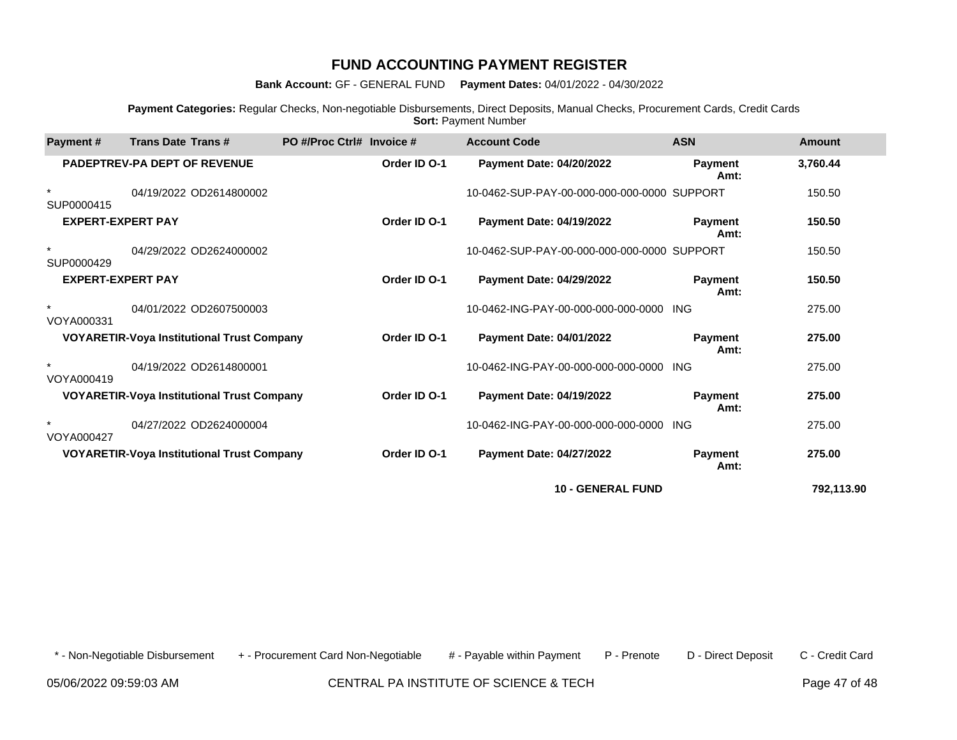**Bank Account:** GF - GENERAL FUND **Payment Dates:** 04/01/2022 - 04/30/2022

**Payment Categories:** Regular Checks, Non-negotiable Disbursements, Direct Deposits, Manual Checks, Procurement Cards, Credit Cards **Sort: Payment Number** 

| <b>Payment#</b>          | <b>Trans Date Trans#</b>                          | PO #/Proc Ctrl# Invoice # |              | <b>Account Code</b>                         | <b>ASN</b>             | Amount     |
|--------------------------|---------------------------------------------------|---------------------------|--------------|---------------------------------------------|------------------------|------------|
|                          | <b>PADEPTREV-PA DEPT OF REVENUE</b>               |                           | Order ID O-1 | Payment Date: 04/20/2022                    | Payment<br>Amt:        | 3,760.44   |
| $\star$<br>SUP0000415    | 04/19/2022 OD2614800002                           |                           |              | 10-0462-SUP-PAY-00-000-000-000-0000 SUPPORT |                        | 150.50     |
| <b>EXPERT-EXPERT PAY</b> |                                                   |                           | Order ID O-1 | <b>Payment Date: 04/19/2022</b>             | Payment<br>Amt:        | 150.50     |
| $\star$<br>SUP0000429    | 04/29/2022 OD2624000002                           |                           |              | 10-0462-SUP-PAY-00-000-000-000-0000 SUPPORT |                        | 150.50     |
| <b>EXPERT-EXPERT PAY</b> |                                                   |                           | Order ID O-1 | <b>Payment Date: 04/29/2022</b>             | <b>Payment</b><br>Amt: | 150.50     |
| $\star$<br>VOYA000331    | 04/01/2022 OD2607500003                           |                           |              | 10-0462-ING-PAY-00-000-000-000-0000         | ING                    | 275.00     |
|                          | <b>VOYARETIR-Voya Institutional Trust Company</b> |                           | Order ID O-1 | Payment Date: 04/01/2022                    | <b>Payment</b><br>Amt: | 275.00     |
| $\star$<br>VOYA000419    | 04/19/2022 OD2614800001                           |                           |              | 10-0462-ING-PAY-00-000-000-000-0000         | ING                    | 275.00     |
|                          | <b>VOYARETIR-Voya Institutional Trust Company</b> |                           | Order ID O-1 | <b>Payment Date: 04/19/2022</b>             | <b>Payment</b><br>Amt: | 275.00     |
| VOYA000427               | 04/27/2022 OD2624000004                           |                           |              | 10-0462-ING-PAY-00-000-000-000-0000         | <b>ING</b>             | 275.00     |
|                          | <b>VOYARETIR-Voya Institutional Trust Company</b> |                           | Order ID O-1 | Payment Date: 04/27/2022                    | <b>Payment</b><br>Amt: | 275.00     |
|                          |                                                   |                           |              | <b>10 - GENERAL FUND</b>                    |                        | 792.113.90 |

\* - Non-Negotiable Disbursement + - Procurement Card Non-Negotiable # - Payable within Payment P - Prenote D - Direct Deposit C - Credit Card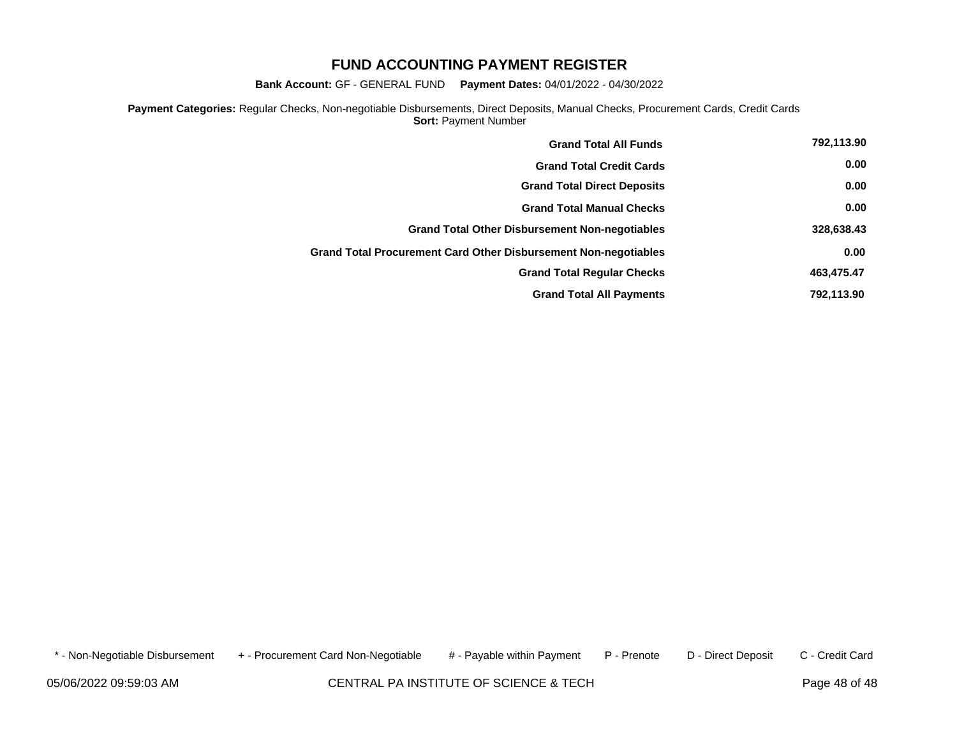**Bank Account:** GF - GENERAL FUND **Payment Dates:** 04/01/2022 - 04/30/2022

**Payment Categories:** Regular Checks, Non-negotiable Disbursements, Direct Deposits, Manual Checks, Procurement Cards, Credit Cards **Sort: Payment Number** 

| <b>Grand Total All Funds</b>                                    | 792,113.90 |
|-----------------------------------------------------------------|------------|
| <b>Grand Total Credit Cards</b>                                 | 0.00       |
| <b>Grand Total Direct Deposits</b>                              | 0.00       |
| <b>Grand Total Manual Checks</b>                                | 0.00       |
| <b>Grand Total Other Disbursement Non-negotiables</b>           | 328,638.43 |
| Grand Total Procurement Card Other Disbursement Non-negotiables | 0.00       |
| <b>Grand Total Regular Checks</b>                               | 463,475.47 |
| <b>Grand Total All Payments</b>                                 | 792,113.90 |

\* - Non-Negotiable Disbursement + - Procurement Card Non-Negotiable # - Payable within Payment P - Prenote D - Direct Deposit C - Credit Card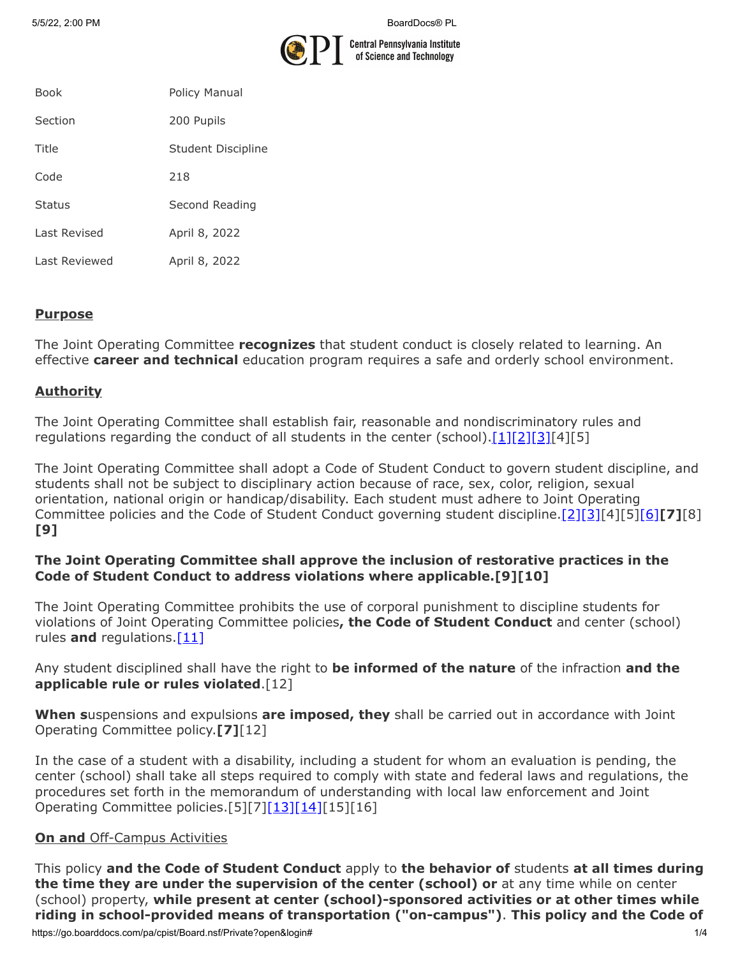

| <b>Book</b>   | Policy Manual      |
|---------------|--------------------|
| Section       | 200 Pupils         |
| Title         | Student Discipline |
| Code          | 218                |
| <b>Status</b> | Second Reading     |
| Last Revised  | April 8, 2022      |
| Last Reviewed | April 8, 2022      |

#### **Purpose**

The Joint Operating Committee **recognizes** that student conduct is closely related to learning. An effective **career and technical** education program requires a safe and orderly school environment.

#### **Authority**

The Joint Operating Committee shall establish fair, reasonable and nondiscriminatory rules and regulations regarding the conduct of all students in the center (school). $[1][2][3][4][5]$  $[1][2][3][4][5]$  $[1][2][3][4][5]$  $[1][2][3][4][5]$ 

The Joint Operating Committee shall adopt a Code of Student Conduct to govern student discipline, and students shall not be subject to disciplinary action because of race, sex, color, religion, sexual orientation, national origin or handicap/disability. Each student must adhere to Joint Operating Committee policies and the Code of Student Conduct governing student discipline.[\[2\]](http://pacodeandbulletin.gov/Display/pacode?file=/secure/pacode/data/022/chapter12/s12.3.html&d=reduce)[\[3\]](http://pacodeandbulletin.gov/Display/pacode?file=/secure/pacode/data/022/chapter12/s12.4.html&d=reduce)[4][5[\]\[6\]](http://pacodeandbulletin.gov/Display/pacode?file=/secure/pacode/data/022/chapter12/s12.2.html&d=reduce)**[7]**[8] **[9]**

#### **The Joint Operating Committee shall approve the inclusion of restorative practices in the Code of Student Conduct to address violations where applicable.[9][10]**

The Joint Operating Committee prohibits the use of corporal punishment to discipline students for violations of Joint Operating Committee policies**, the Code of Student Conduct** and center (school) rules and regulations.<sup>[11]</sup>

#### Any student disciplined shall have the right to **be informed of the nature** of the infraction **and the applicable rule or rules violated**.[12]

**When s**uspensions and expulsions **are imposed, they** shall be carried out in accordance with Joint Operating Committee policy.**[7]**[12]

In the case of a student with a disability, including a student for whom an evaluation is pending, the center (school) shall take all steps required to comply with state and federal laws and regulations, the procedures set forth in the memorandum of understanding with local law enforcement and Joint Operating Committee policies.[5][7[\]\[13\]](http://pacodeandbulletin.gov/Display/pacode?file=/secure/pacode/data/022/chapter10/s10.23.html&d=reduce)[\[14\]\[](http://www.law.cornell.edu/uscode/text/20/chapter-33)15][16]

#### **On and Off-Campus Activities**

This policy **and the Code of Student Conduct** apply to **the behavior of** students **at all times during the time they are under the supervision of the center (school) or** at any time while on center (school) property, **while present at center (school)-sponsored activities or at other times while riding in school-provided means of transportation ("on-campus")**. **This policy and the Code of**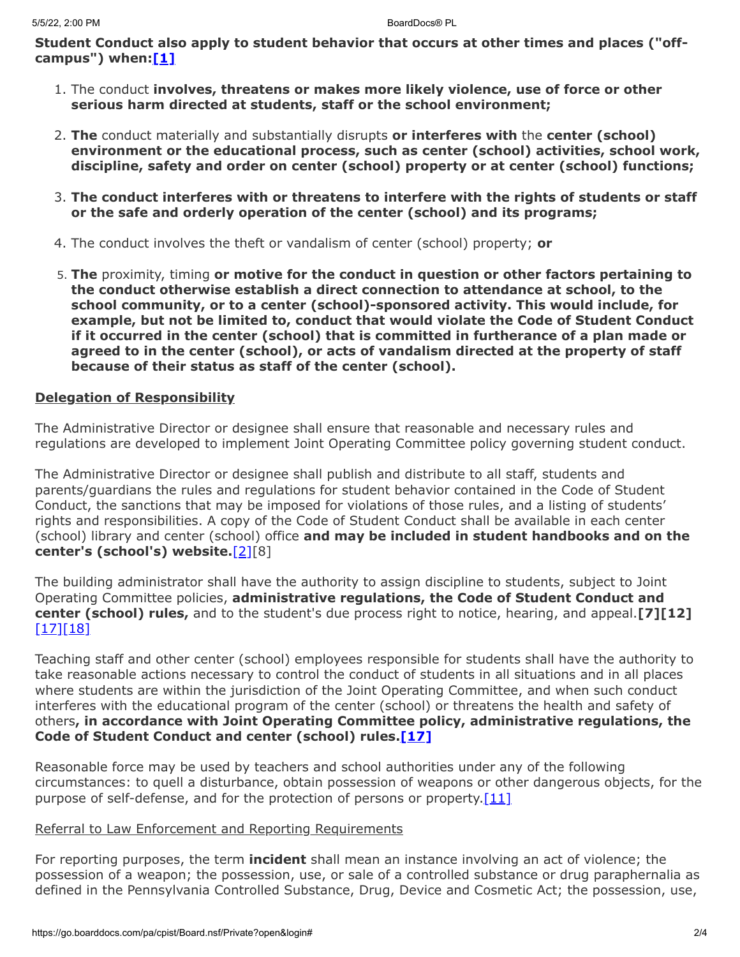**Student Conduct also apply to student behavior that occurs at other times and places ("offcampus") when[:\[1\]](http://www.legis.state.pa.us/cfdocs/legis/LI/uconsCheck.cfm?txtType=HTM&yr=1949&sessInd=0&smthLwInd=0&act=14&chpt=18&sctn=50&subsctn=1)**

- 1. The conduct **involves, threatens or makes more likely violence, use of force or other serious harm directed at students, staff or the school environment;**
- 2. **The** conduct materially and substantially disrupts **or interferes with** the **center (school) environment or the educational process, such as center (school) activities, school work, discipline, safety and order on center (school) property or at center (school) functions;**
- 3. **The conduct interferes with or threatens to interfere with the rights of students or staff or the safe and orderly operation of the center (school) and its programs;**
- 4. The conduct involves the theft or vandalism of center (school) property; **or**
- 5. **The** proximity, timing **or motive for the conduct in question or other factors pertaining to the conduct otherwise establish a direct connection to attendance at school, to the school community, or to a center (school)-sponsored activity. This would include, for example, but not be limited to, conduct that would violate the Code of Student Conduct if it occurred in the center (school) that is committed in furtherance of a plan made or agreed to in the center (school), or acts of vandalism directed at the property of staff because of their status as staff of the center (school).**

#### **Delegation of Responsibility**

The Administrative Director or designee shall ensure that reasonable and necessary rules and regulations are developed to implement Joint Operating Committee policy governing student conduct.

The Administrative Director or designee shall publish and distribute to all staff, students and parents/guardians the rules and regulations for student behavior contained in the Code of Student Conduct, the sanctions that may be imposed for violations of those rules, and a listing of students' rights and responsibilities. A copy of the Code of Student Conduct shall be available in each center (school) library and center (school) office **and may be included in student handbooks and on the center's (school's) website.**[\[2\]\[](http://pacodeandbulletin.gov/Display/pacode?file=/secure/pacode/data/022/chapter12/s12.3.html&d=reduce)8]

The building administrator shall have the authority to assign discipline to students, subject to Joint Operating Committee policies, **administrative regulations, the Code of Student Conduct and center (school) rules,** and to the student's due process right to notice, hearing, and appeal.**[7][12]** [\[17\]](http://www.legis.state.pa.us/cfdocs/legis/LI/uconsCheck.cfm?txtType=HTM&yr=1949&sessInd=0&smthLwInd=0&act=14&chpt=13&sctn=17&subsctn=0)[\[18\]](http://www.legis.state.pa.us/cfdocs/legis/LI/uconsCheck.cfm?txtType=HTM&yr=1949&sessInd=0&smthLwInd=0&act=14&chpt=13&sctn=18&subsctn=0)

Teaching staff and other center (school) employees responsible for students shall have the authority to take reasonable actions necessary to control the conduct of students in all situations and in all places where students are within the jurisdiction of the Joint Operating Committee, and when such conduct interferes with the educational program of the center (school) or threatens the health and safety of others**, in accordance with Joint Operating Committee policy, administrative regulations, the Code of Student Conduct and center (school) rules[.\[17\]](http://www.legis.state.pa.us/cfdocs/legis/LI/uconsCheck.cfm?txtType=HTM&yr=1949&sessInd=0&smthLwInd=0&act=14&chpt=13&sctn=17&subsctn=0)**

Reasonable force may be used by teachers and school authorities under any of the following circumstances: to quell a disturbance, obtain possession of weapons or other dangerous objects, for the purpose of self-defense, and for the protection of persons or property. [11]

#### Referral to Law Enforcement and Reporting Requirements

For reporting purposes, the term **incident** shall mean an instance involving an act of violence; the possession of a weapon; the possession, use, or sale of a controlled substance or drug paraphernalia as defined in the Pennsylvania Controlled Substance, Drug, Device and Cosmetic Act; the possession, use,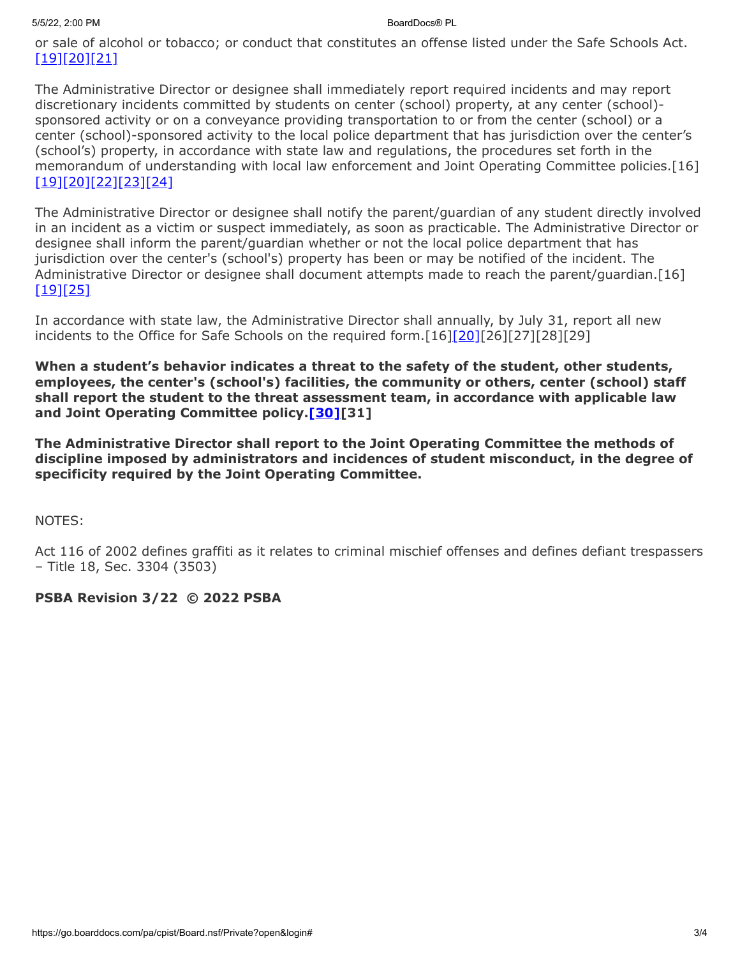or sale of alcohol or tobacco; or conduct that constitutes an offense listed under the Safe Schools Act. [\[19\]](http://pacodeandbulletin.gov/Display/pacode?file=/secure/pacode/data/022/chapter10/s10.2.html&d=reduce)[\[20\]](http://www.legis.state.pa.us/cfdocs/legis/LI/uconsCheck.cfm?txtType=HTM&yr=1949&sessInd=0&smthLwInd=0&act=14&chpt=13A&sctn=3&subsctn=0)[\[21\]](http://www.legis.state.pa.us/cfdocs/legis/LI/uconsCheck.cfm?txtType=HTM&yr=1972&sessInd=0&smthLwInd=0&act=64&chpt=0&sctn=2&subsctn=0)

The Administrative Director or designee shall immediately report required incidents and may report discretionary incidents committed by students on center (school) property, at any center (school) sponsored activity or on a conveyance providing transportation to or from the center (school) or a center (school)-sponsored activity to the local police department that has jurisdiction over the center's (school's) property, in accordance with state law and regulations, the procedures set forth in the memorandum of understanding with local law enforcement and Joint Operating Committee policies.[16] [\[19\]](http://pacodeandbulletin.gov/Display/pacode?file=/secure/pacode/data/022/chapter10/s10.2.html&d=reduce)[\[20\]](http://www.legis.state.pa.us/cfdocs/legis/LI/uconsCheck.cfm?txtType=HTM&yr=1949&sessInd=0&smthLwInd=0&act=14&chpt=13A&sctn=3&subsctn=0)[\[22\]](http://pacodeandbulletin.gov/Display/pacode?file=/secure/pacode/data/022/chapter10/s10.21.html&d=reduce)[\[23\]](http://pacodeandbulletin.gov/Display/pacode?file=/secure/pacode/data/022/chapter10/s10.22.html&d=reduce)[\[24\]](http://www.legis.state.pa.us/cfdocs/legis/LI/uconsCheck.cfm?txtType=HTM&yr=1949&sessInd=0&smthLwInd=0&act=14&chpt=13A&sctn=2&subsctn=1)

The Administrative Director or designee shall notify the parent/guardian of any student directly involved in an incident as a victim or suspect immediately, as soon as practicable. The Administrative Director or designee shall inform the parent/guardian whether or not the local police department that has jurisdiction over the center's (school's) property has been or may be notified of the incident. The Administrative Director or designee shall document attempts made to reach the parent/guardian.[16] [\[19\]](http://pacodeandbulletin.gov/Display/pacode?file=/secure/pacode/data/022/chapter10/s10.2.html&d=reduce)[\[25\]](http://pacodeandbulletin.gov/Display/pacode?file=/secure/pacode/data/022/chapter10/s10.25.html&d=reduce)

In accordance with state law, the Administrative Director shall annually, by July 31, report all new incidents to the Office for Safe Schools on the required form.[16][\[20\]](http://www.legis.state.pa.us/cfdocs/legis/LI/uconsCheck.cfm?txtType=HTM&yr=1949&sessInd=0&smthLwInd=0&act=14&chpt=13A&sctn=3&subsctn=0)[26][27][28][29]

**When a student's behavior indicates a threat to the safety of the student, other students, employees, the center's (school's) facilities, the community or others, center (school) staff shall report the student to the threat assessment team, in accordance with applicable law and Joint Operating Committee policy.[\[30\]\[](https://www.legis.state.pa.us/cfdocs/legis/LI/uconsCheck.cfm?txtType=HTM&yr=1949&sessInd=0&smthLwInd=0&act=14&chpt=13E&sctn=2&subsctn=0)31]**

**The Administrative Director shall report to the Joint Operating Committee the methods of discipline imposed by administrators and incidences of student misconduct, in the degree of specificity required by the Joint Operating Committee.**

NOTES:

Act 116 of 2002 defines graffiti as it relates to criminal mischief offenses and defines defiant trespassers – Title 18, Sec. 3304 (3503)

#### **PSBA Revision 3/22 © 2022 PSBA**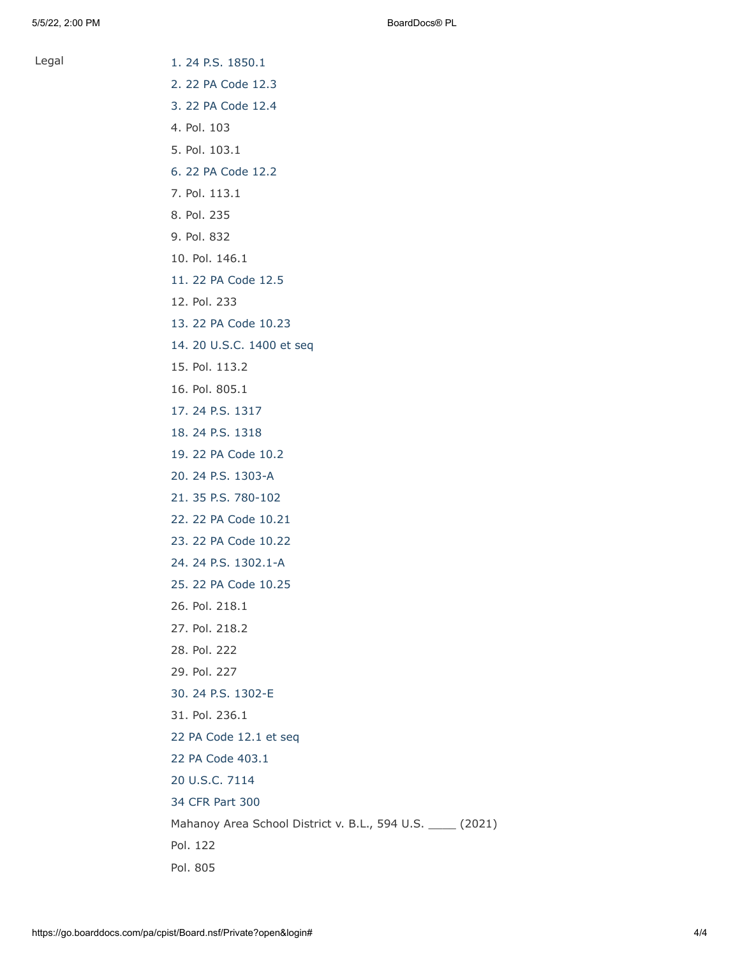Legal [1. 24 P.S. 1850.1](http://www.legis.state.pa.us/cfdocs/legis/LI/uconsCheck.cfm?txtType=HTM&yr=1949&sessInd=0&smthLwInd=0&act=14&chpt=18&sctn=50&subsctn=1)

- [2. 22 PA Code 12.3](http://pacodeandbulletin.gov/Display/pacode?file=/secure/pacode/data/022/chapter12/s12.3.html&d=reduce)
	- [3. 22 PA Code 12.4](http://pacodeandbulletin.gov/Display/pacode?file=/secure/pacode/data/022/chapter12/s12.4.html&d=reduce)
	- 4. Pol. 103
	- 5. Pol. 103.1
	- [6. 22 PA Code 12.2](http://pacodeandbulletin.gov/Display/pacode?file=/secure/pacode/data/022/chapter12/s12.2.html&d=reduce)
	- 7. Pol. 113.1
	- 8. Pol. 235
	- 9. Pol. 832
	- 10. Pol. 146.1
	- [11. 22 PA Code 12.5](http://pacodeandbulletin.gov/Display/pacode?file=/secure/pacode/data/022/chapter12/s12.5.html&d=reduce)
	- 12. Pol. 233
	- [13. 22 PA Code 10.23](http://pacodeandbulletin.gov/Display/pacode?file=/secure/pacode/data/022/chapter10/s10.23.html&d=reduce)
	- [14. 20 U.S.C. 1400 et seq](http://www.law.cornell.edu/uscode/text/20/chapter-33)
	- 15. Pol. 113.2
	- 16. Pol. 805.1
	- [17. 24 P.S. 1317](http://www.legis.state.pa.us/cfdocs/legis/LI/uconsCheck.cfm?txtType=HTM&yr=1949&sessInd=0&smthLwInd=0&act=14&chpt=13&sctn=17&subsctn=0)
	- [18. 24 P.S. 1318](http://www.legis.state.pa.us/cfdocs/legis/LI/uconsCheck.cfm?txtType=HTM&yr=1949&sessInd=0&smthLwInd=0&act=14&chpt=13&sctn=18&subsctn=0)
	- [19. 22 PA Code 10.2](http://pacodeandbulletin.gov/Display/pacode?file=/secure/pacode/data/022/chapter10/s10.2.html&d=reduce)
	- [20. 24 P.S. 1303-A](http://www.legis.state.pa.us/cfdocs/legis/LI/uconsCheck.cfm?txtType=HTM&yr=1949&sessInd=0&smthLwInd=0&act=14&chpt=13A&sctn=3&subsctn=0)
	- [21. 35 P.S. 780-102](http://www.legis.state.pa.us/cfdocs/legis/LI/uconsCheck.cfm?txtType=HTM&yr=1972&sessInd=0&smthLwInd=0&act=64&chpt=0&sctn=2&subsctn=0)
	- [22. 22 PA Code 10.21](http://pacodeandbulletin.gov/Display/pacode?file=/secure/pacode/data/022/chapter10/s10.21.html&d=reduce)
	- [23. 22 PA Code 10.22](http://pacodeandbulletin.gov/Display/pacode?file=/secure/pacode/data/022/chapter10/s10.22.html&d=reduce)
	- [24. 24 P.S. 1302.1-A](http://www.legis.state.pa.us/cfdocs/legis/LI/uconsCheck.cfm?txtType=HTM&yr=1949&sessInd=0&smthLwInd=0&act=14&chpt=13A&sctn=2&subsctn=1)
	- [25. 22 PA Code 10.25](http://pacodeandbulletin.gov/Display/pacode?file=/secure/pacode/data/022/chapter10/s10.25.html&d=reduce)
	- 26. Pol. 218.1
	- 27. Pol. 218.2
	- 28. Pol. 222
	- 29. Pol. 227
	- [30. 24 P.S. 1302-E](https://www.legis.state.pa.us/cfdocs/legis/LI/uconsCheck.cfm?txtType=HTM&yr=1949&sessInd=0&smthLwInd=0&act=14&chpt=13E&sctn=2&subsctn=0)
	- 31. Pol. 236.1
	- [22 PA Code 12.1 et seq](http://pacodeandbulletin.gov/Display/pacode?file=/secure/pacode/data/022/chapter12/chap12toc.html&d=)
	- [22 PA Code 403.1](http://pacodeandbulletin.gov/Display/pacode?file=/secure/pacode/data/022/chapter403/s403.1.html&d=reduce)
- [20 U.S.C. 7114](http://www.law.cornell.edu/uscode/text/20/7114)
- [34 CFR Part 300](http://www.law.cornell.edu/cfr/text/34/part-300)
- Mahanoy Area School District v. B.L., 594 U.S. \_\_\_\_ (2021)
- Pol. 122
- Pol. 805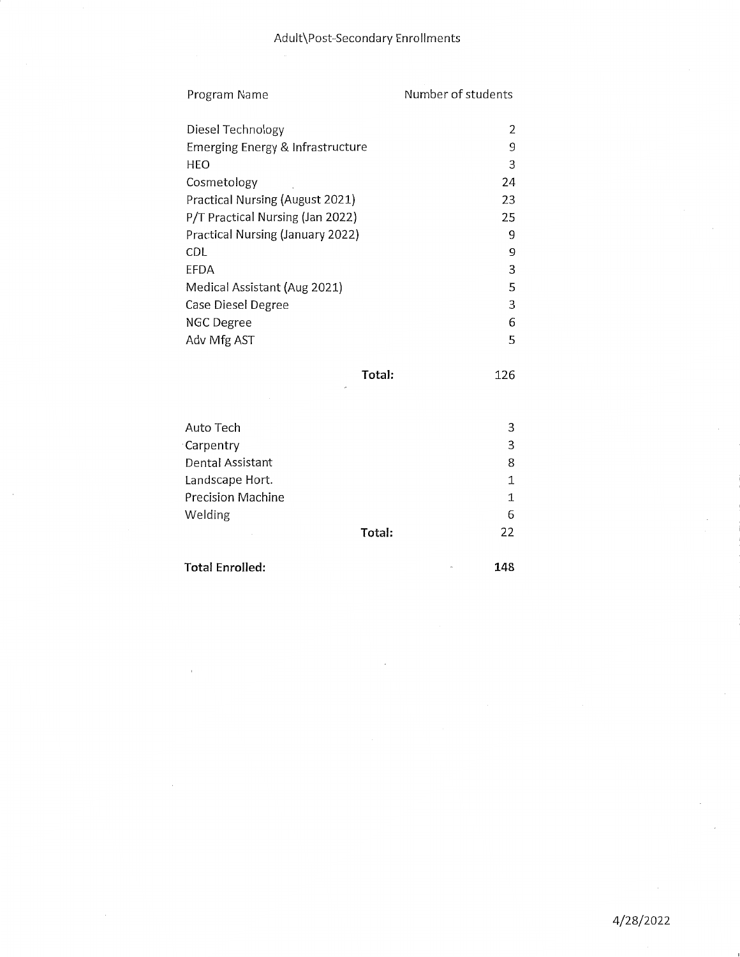| Program Name                     | Number of students |
|----------------------------------|--------------------|
| Diesel Technology                | 2                  |
| Emerging Energy & Infrastructure | 9                  |
| HEO                              | 3                  |
| Cosmetology                      | 24                 |
| Practical Nursing (August 2021)  | 23                 |
| P/T Practical Nursing (Jan 2022) | 25                 |
| Practical Nursing (January 2022) | 9                  |
| CDL                              | 9                  |
| EFDA                             | 3                  |
| Medical Assistant (Aug 2021)     | 5                  |
| Case Diesel Degree               | 3                  |
| NGC Degree                       | 6                  |
| Adv Mfg AST                      | 5                  |
|                                  |                    |

Total:

Auto Tech  $\mathbf{3}$  $\mathsf{3}$ Carpentry Dental Assistant 8 Landscape Hort.  $\mathbf 1$ Precision Machine  $\mathbf 1$ 6 Welding Total: 22

**Total Enrolled:** 

148

126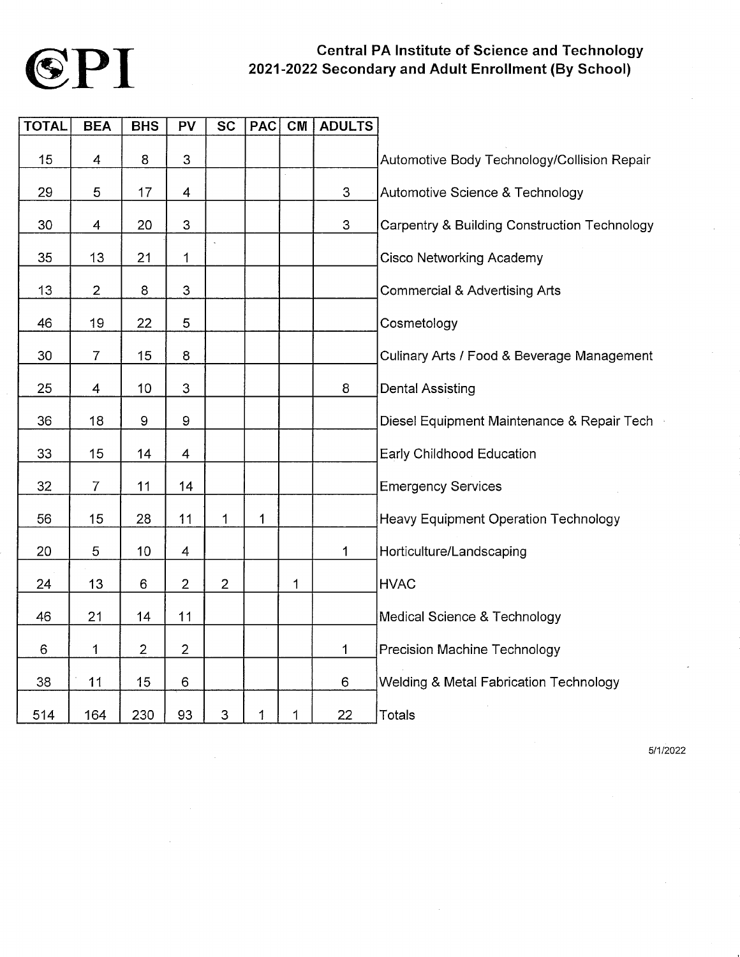

### **Central PA Institute of Science and Technology** 2021-2022 Secondary and Adult Enrollment (By School)

| <b>TOTAL</b> | <b>BEA</b>     | <b>BHS</b>       | PV                        | <b>SC</b>                 | <b>PAC</b>  | CM                            | <b>ADULTS</b>             |                                                         |
|--------------|----------------|------------------|---------------------------|---------------------------|-------------|-------------------------------|---------------------------|---------------------------------------------------------|
| 15           | 4              | 8                | 3                         |                           |             |                               |                           | Automotive Body Technology/Collision Repair             |
| 29           | 5              | 17               | 4                         |                           |             | $\hat{\boldsymbol{\epsilon}}$ | $\ensuremath{\mathsf{3}}$ | Automotive Science & Technology                         |
| 30           | 4              | 20               | 3                         |                           |             |                               | 3                         | <b>Carpentry &amp; Building Construction Technology</b> |
| 35           | 13             | 21               | 1                         | $\ddot{\phantom{a}}$      |             |                               |                           | <b>Cisco Networking Academy</b>                         |
| 13           | $\overline{2}$ | 8                | $\ensuremath{\mathsf{3}}$ |                           |             |                               |                           | <b>Commercial &amp; Advertising Arts</b>                |
| 46           | 19             | 22               | 5                         |                           |             |                               |                           | Cosmetology                                             |
| 30           | $\overline{7}$ | 15               | 8                         |                           |             |                               |                           | Culinary Arts / Food & Beverage Management              |
| 25           | 4              | 10               | $\ensuremath{\mathsf{3}}$ |                           |             |                               | 8                         | <b>Dental Assisting</b>                                 |
| 36           | 18             | $\boldsymbol{9}$ | $\boldsymbol{9}$          |                           |             |                               |                           | Diesel Equipment Maintenance & Repair Tech              |
| 33           | 15             | 14               | 4                         |                           |             |                               |                           | Early Childhood Education                               |
|              |                |                  |                           |                           |             |                               |                           |                                                         |
| 32           | $\overline{7}$ | 11               | 14                        |                           |             |                               |                           | <b>Emergency Services</b>                               |
| 56           | 15             | 28               | 11                        | 1                         | 1           |                               |                           | <b>Heavy Equipment Operation Technology</b>             |
| 20           | 5              | 10               | 4                         |                           |             |                               | 1                         | Horticulture/Landscaping                                |
| 24           | 13             | 6                | $\overline{c}$            | $\overline{2}$            |             | 1                             |                           | <b>HVAC</b>                                             |
| 46           | 21             | 14               | 11                        |                           |             |                               |                           | Medical Science & Technology                            |
| 6            | 1              | $\overline{2}$   | $\overline{2}$            |                           |             |                               | 1                         | Precision Machine Technology                            |
| 38           | 11             | 15               | 6                         |                           |             |                               | $\,6$                     | <b>Welding &amp; Metal Fabrication Technology</b>       |
| 514          | 164            | 230              | 93                        | $\ensuremath{\mathsf{3}}$ | $\mathbf 1$ | 1                             | 22                        | Totals                                                  |

5/1/2022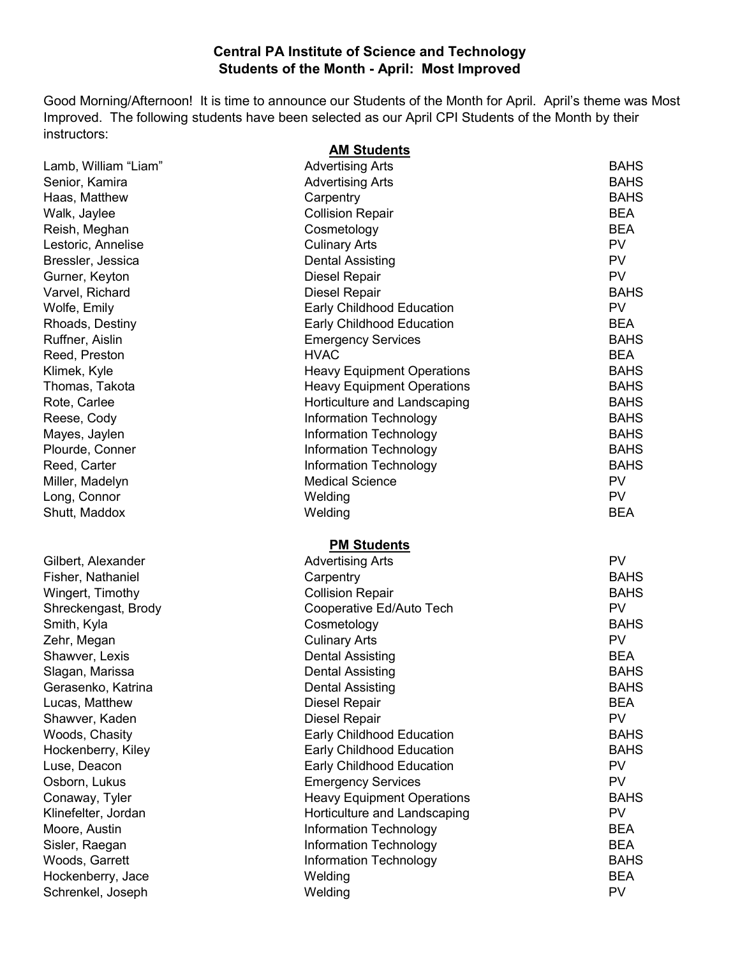#### **Central PA Institute of Science and Technology Students of the Month - April: Most Improved**

Good Morning/Afternoon! It is time to announce our Students of the Month for April. April's theme was Most Improved. The following students have been selected as our April CPI Students of the Month by their instructors: **AM Students**

|                      | <b>AM Students</b>                |             |
|----------------------|-----------------------------------|-------------|
| Lamb, William "Liam" | <b>Advertising Arts</b>           | <b>BAHS</b> |
| Senior, Kamira       | <b>Advertising Arts</b>           | <b>BAHS</b> |
| Haas, Matthew        | Carpentry                         | <b>BAHS</b> |
| Walk, Jaylee         | <b>Collision Repair</b>           | <b>BEA</b>  |
| Reish, Meghan        | Cosmetology                       | <b>BEA</b>  |
| Lestoric, Annelise   | <b>Culinary Arts</b>              | <b>PV</b>   |
| Bressler, Jessica    | <b>Dental Assisting</b>           | <b>PV</b>   |
| Gurner, Keyton       | <b>Diesel Repair</b>              | <b>PV</b>   |
| Varvel, Richard      | <b>Diesel Repair</b>              | <b>BAHS</b> |
| Wolfe, Emily         | Early Childhood Education         | <b>PV</b>   |
| Rhoads, Destiny      | Early Childhood Education         | <b>BEA</b>  |
| Ruffner, Aislin      | <b>Emergency Services</b>         | <b>BAHS</b> |
| Reed, Preston        | <b>HVAC</b>                       | <b>BEA</b>  |
| Klimek, Kyle         | <b>Heavy Equipment Operations</b> | <b>BAHS</b> |
| Thomas, Takota       | <b>Heavy Equipment Operations</b> | <b>BAHS</b> |
| Rote, Carlee         | Horticulture and Landscaping      | <b>BAHS</b> |
| Reese, Cody          | <b>Information Technology</b>     | <b>BAHS</b> |
| Mayes, Jaylen        | Information Technology            | <b>BAHS</b> |
| Plourde, Conner      | Information Technology            | <b>BAHS</b> |
| Reed, Carter         | <b>Information Technology</b>     | <b>BAHS</b> |
| Miller, Madelyn      | <b>Medical Science</b>            | <b>PV</b>   |
| Long, Connor         | Welding                           | <b>PV</b>   |
| Shutt, Maddox        | Welding                           | <b>BEA</b>  |
|                      | <b>PM Students</b>                |             |
| Gilbert, Alexander   | <b>Advertising Arts</b>           | <b>PV</b>   |
| Fisher, Nathaniel    | Carpentry                         | <b>BAHS</b> |
| Wingert, Timothy     | <b>Collision Repair</b>           | <b>BAHS</b> |
| Shreckengast, Brody  | Cooperative Ed/Auto Tech          | PV          |
| Smith, Kyla          | Cosmetology                       | <b>BAHS</b> |
| Zehr, Megan          | <b>Culinary Arts</b>              | <b>PV</b>   |
| Shawver, Lexis       | <b>Dental Assisting</b>           | <b>BEA</b>  |
| Slagan, Marissa      | <b>Dental Assisting</b>           | <b>BAHS</b> |
| Gerasenko, Katrina   | Dental Assisting                  | <b>BAHS</b> |
| Lucas, Matthew       | <b>Diesel Repair</b>              | <b>BEA</b>  |
| Shawver, Kaden       | Diesel Repair                     | <b>PV</b>   |
| Woods, Chasity       | Early Childhood Education         | <b>BAHS</b> |
| Hockenberry, Kiley   | <b>Early Childhood Education</b>  | <b>BAHS</b> |
| Luse, Deacon         | Early Childhood Education         | <b>PV</b>   |
| Osborn, Lukus        | <b>Emergency Services</b>         | <b>PV</b>   |
| Conaway, Tyler       | <b>Heavy Equipment Operations</b> | <b>BAHS</b> |
| Klinefelter, Jordan  | Horticulture and Landscaping      | <b>PV</b>   |
| Moore, Austin        | Information Technology            | <b>BEA</b>  |
| Sisler, Raegan       | Information Technology            | <b>BEA</b>  |
| Woods, Garrett       | Information Technology            | <b>BAHS</b> |
| Hockenberry, Jace    | Welding                           | <b>BEA</b>  |
| Schrenkel, Joseph    | Welding                           | <b>PV</b>   |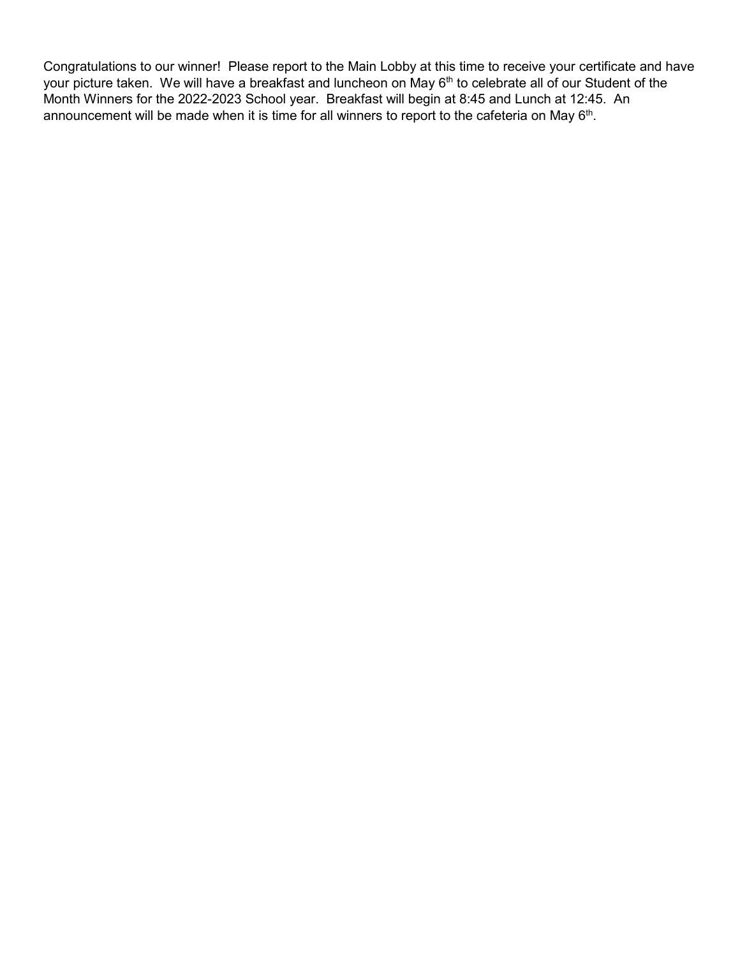Congratulations to our winner! Please report to the Main Lobby at this time to receive your certificate and have your picture taken. We will have a breakfast and luncheon on May 6<sup>th</sup> to celebrate all of our Student of the Month Winners for the 2022-2023 School year. Breakfast will begin at 8:45 and Lunch at 12:45. An announcement will be made when it is time for all winners to report to the cafeteria on May  $6<sup>th</sup>$ .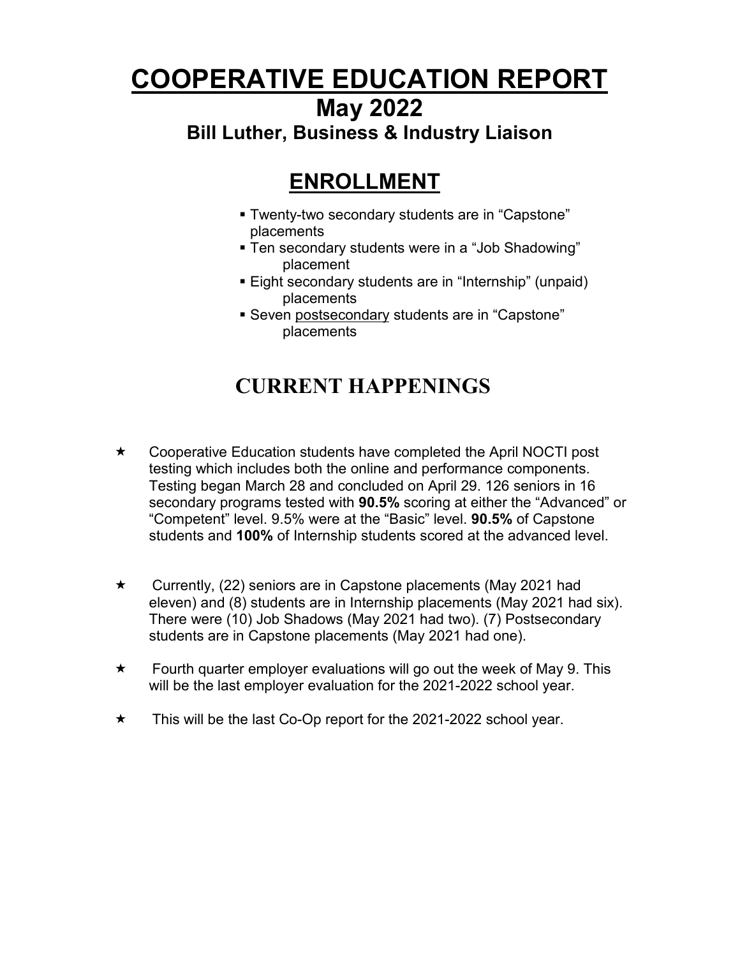# **COOPERATIVE EDUCATION REPORT**

## **May 2022**

## **Bill Luther, Business & Industry Liaison**

# **ENROLLMENT**

- Twenty-two secondary students are in "Capstone" placements
- Ten secondary students were in a "Job Shadowing" placement
- Eight secondary students are in "Internship" (unpaid) placements
- Seven postsecondary students are in "Capstone" placements

# **CURRENT HAPPENINGS**

- ★ Cooperative Education students have completed the April NOCTI post testing which includes both the online and performance components. Testing began March 28 and concluded on April 29. 126 seniors in 16 secondary programs tested with **90.5%** scoring at either the "Advanced" or "Competent" level. 9.5% were at the "Basic" level. **90.5%** of Capstone students and **100%** of Internship students scored at the advanced level.
- $\star$  Currently, (22) seniors are in Capstone placements (May 2021 had eleven) and (8) students are in Internship placements (May 2021 had six). There were (10) Job Shadows (May 2021 had two). (7) Postsecondary students are in Capstone placements (May 2021 had one).
- $\star$  Fourth quarter employer evaluations will go out the week of May 9. This will be the last employer evaluation for the 2021-2022 school year.
- $\star$  This will be the last Co-Op report for the 2021-2022 school year.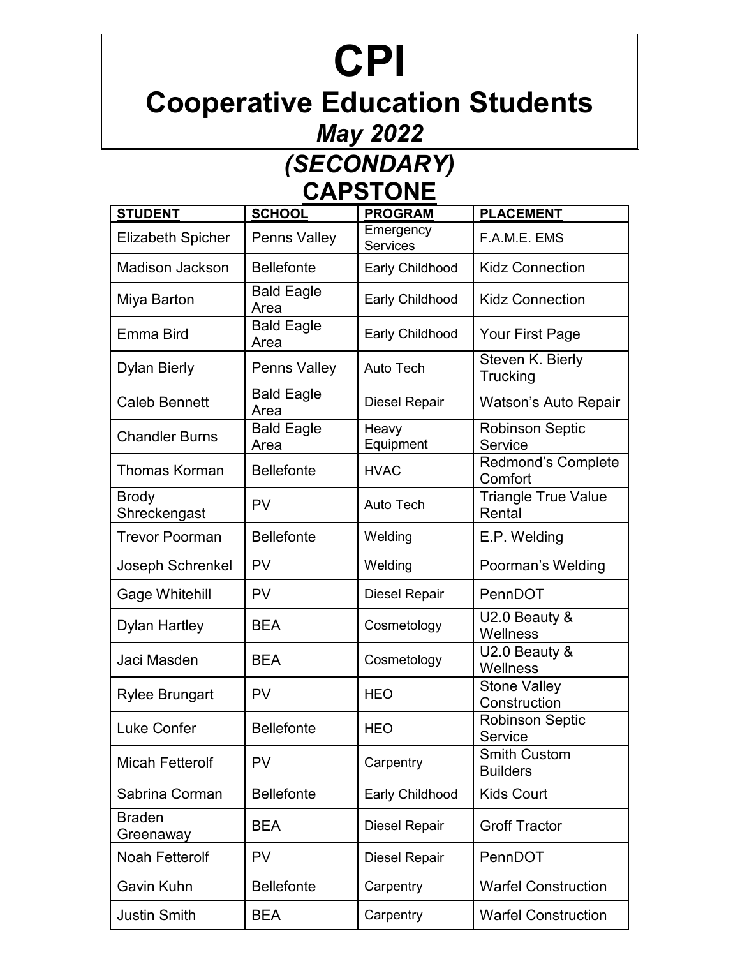# **CPI**

# **Cooperative Education Students**

# *May 2022*

# *(SECONDARY)* **CAPSTONE**

| <b>STUDENT</b>               | <b>SCHOOL</b>             | <b>PROGRAM</b>               | <b>PLACEMENT</b>                       |
|------------------------------|---------------------------|------------------------------|----------------------------------------|
| <b>Elizabeth Spicher</b>     | Penns Valley              | Emergency<br><b>Services</b> | F.A.M.E. EMS                           |
| <b>Madison Jackson</b>       | <b>Bellefonte</b>         | Early Childhood              | <b>Kidz Connection</b>                 |
| Miya Barton                  | <b>Bald Eagle</b><br>Area | Early Childhood              | <b>Kidz Connection</b>                 |
| Emma Bird                    | <b>Bald Eagle</b><br>Area | Early Childhood              | Your First Page                        |
| <b>Dylan Bierly</b>          | Penns Valley              | <b>Auto Tech</b>             | Steven K. Bierly<br>Trucking           |
| <b>Caleb Bennett</b>         | <b>Bald Eagle</b><br>Area | <b>Diesel Repair</b>         | Watson's Auto Repair                   |
| <b>Chandler Burns</b>        | <b>Bald Eagle</b><br>Area | Heavy<br>Equipment           | <b>Robinson Septic</b><br>Service      |
| <b>Thomas Korman</b>         | <b>Bellefonte</b>         | <b>HVAC</b>                  | <b>Redmond's Complete</b><br>Comfort   |
| <b>Brody</b><br>Shreckengast | PV                        | <b>Auto Tech</b>             | <b>Triangle True Value</b><br>Rental   |
| <b>Trevor Poorman</b>        | <b>Bellefonte</b>         | Welding                      | E.P. Welding                           |
| Joseph Schrenkel             | <b>PV</b>                 | Welding                      | Poorman's Welding                      |
| Gage Whitehill               | PV                        | <b>Diesel Repair</b>         | PennDOT                                |
| <b>Dylan Hartley</b>         | <b>BEA</b>                | Cosmetology                  | U2.0 Beauty &<br>Wellness              |
| Jaci Masden                  | <b>BEA</b>                | Cosmetology                  | U2.0 Beauty &<br>Wellness              |
| <b>Rylee Brungart</b>        | <b>PV</b>                 | <b>HEO</b>                   | <b>Stone Valley</b><br>Construction    |
| <b>Luke Confer</b>           | <b>Bellefonte</b>         | <b>HEO</b>                   | <b>Robinson Septic</b><br>Service      |
| <b>Micah Fetterolf</b>       | <b>PV</b>                 | Carpentry                    | <b>Smith Custom</b><br><b>Builders</b> |
| Sabrina Corman               | <b>Bellefonte</b>         | Early Childhood              | <b>Kids Court</b>                      |
| <b>Braden</b><br>Greenaway   | <b>BEA</b>                | <b>Diesel Repair</b>         | <b>Groff Tractor</b>                   |
| <b>Noah Fetterolf</b>        | PV                        | <b>Diesel Repair</b>         | PennDOT                                |
| Gavin Kuhn                   | <b>Bellefonte</b>         | Carpentry                    | <b>Warfel Construction</b>             |
| <b>Justin Smith</b>          | <b>BEA</b>                | Carpentry                    | <b>Warfel Construction</b>             |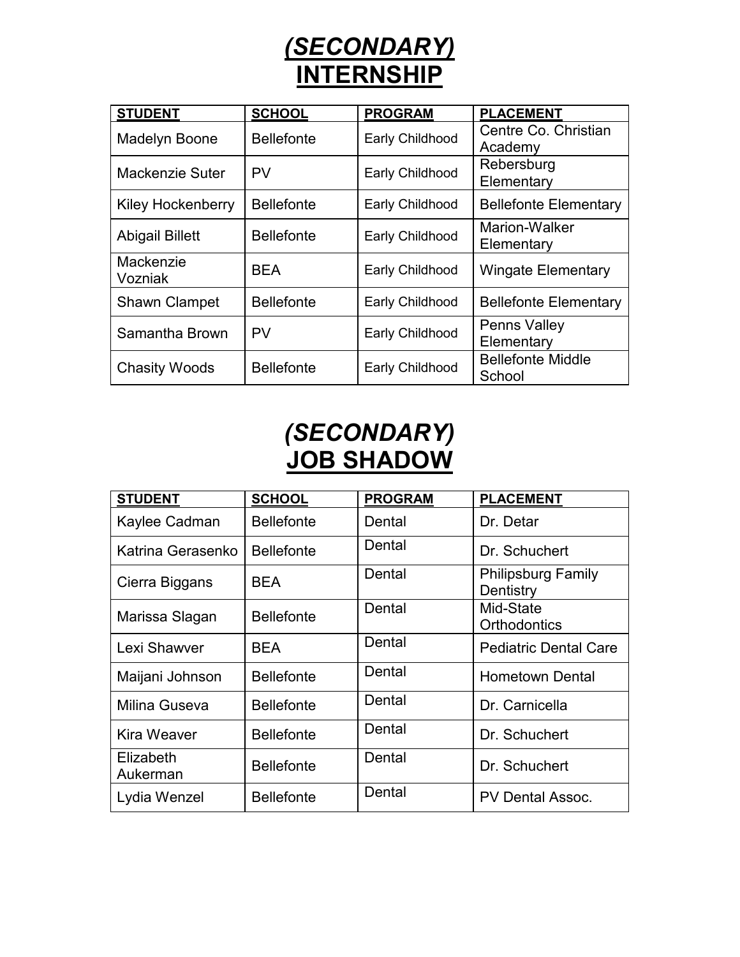

| <b>STUDENT</b>           | <b>SCHOOL</b>     | <b>PROGRAM</b>  | <b>PLACEMENT</b>             |
|--------------------------|-------------------|-----------------|------------------------------|
| <b>Madelyn Boone</b>     | <b>Bellefonte</b> | Early Childhood | Centre Co. Christian         |
|                          |                   |                 | Academy                      |
| Mackenzie Suter          | PV                | Early Childhood | Rebersburg                   |
|                          |                   |                 | Elementary                   |
| <b>Kiley Hockenberry</b> | <b>Bellefonte</b> | Early Childhood | <b>Bellefonte Elementary</b> |
| <b>Abigail Billett</b>   | <b>Bellefonte</b> | Early Childhood | <b>Marion-Walker</b>         |
|                          |                   |                 | Elementary                   |
| Mackenzie                | <b>BEA</b>        | Early Childhood | <b>Wingate Elementary</b>    |
| Vozniak                  |                   |                 |                              |
| <b>Shawn Clampet</b>     | <b>Bellefonte</b> | Early Childhood | <b>Bellefonte Elementary</b> |
| Samantha Brown           | PV                | Early Childhood | <b>Penns Valley</b>          |
|                          |                   |                 | Elementary                   |
|                          | <b>Bellefonte</b> | Early Childhood | <b>Bellefonte Middle</b>     |
| <b>Chasity Woods</b>     |                   |                 | School                       |

# *(SECONDARY)* **JOB SHADOW**

| <b>STUDENT</b>        | <b>SCHOOL</b>     | <b>PROGRAM</b> | <b>PLACEMENT</b>                       |
|-----------------------|-------------------|----------------|----------------------------------------|
| Kaylee Cadman         | <b>Bellefonte</b> | Dental         | Dr. Detar                              |
| Katrina Gerasenko     | <b>Bellefonte</b> | Dental         | Dr. Schuchert                          |
| Cierra Biggans        | <b>BEA</b>        | Dental         | <b>Philipsburg Family</b><br>Dentistry |
| Marissa Slagan        | <b>Bellefonte</b> | Dental         | Mid-State<br>Orthodontics              |
| Lexi Shawver          | <b>BEA</b>        | Dental         | <b>Pediatric Dental Care</b>           |
| Maijani Johnson       | <b>Bellefonte</b> | Dental         | <b>Hometown Dental</b>                 |
| Milina Guseva         | <b>Bellefonte</b> | Dental         | Dr. Carnicella                         |
| Kira Weaver           | <b>Bellefonte</b> | Dental         | Dr. Schuchert                          |
| Elizabeth<br>Aukerman | <b>Bellefonte</b> | Dental         | Dr. Schuchert                          |
| Lydia Wenzel          | <b>Bellefonte</b> | Dental         | <b>PV Dental Assoc.</b>                |